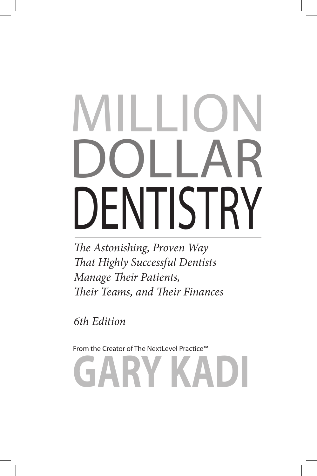# ILLI<sup>(</sup><br>DI I DOLLAR DENTISTRY

*The Astonishing, Proven Way That Highly Successful Dentists Manage Their Patients, Their Teams, and Their Finances*

*6th Edition*

From the Creator of The NextLevel Practice™

**GARY KA**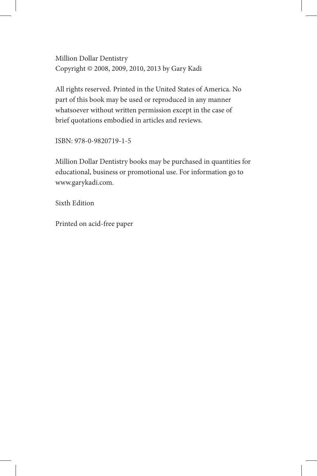Million Dollar Dentistry Copyright © 2008, 2009, 2010, 2013 by Gary Kadi

All rights reserved. Printed in the United States of America. No part of this book may be used or reproduced in any manner whatsoever without written permission except in the case of brief quotations embodied in articles and reviews.

ISBN: 978-0-9820719-1-5

Million Dollar Dentistry books may be purchased in quantities for educational, business or promotional use. For information go to www.garykadi.com.

Sixth Edition

Printed on acid-free paper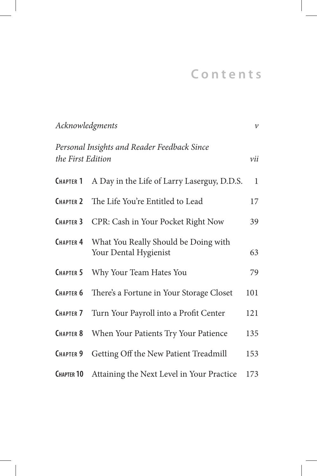# **Contents**

| Acknowledgments                                                  |                                                               | $\mathcal V$ |
|------------------------------------------------------------------|---------------------------------------------------------------|--------------|
| Personal Insights and Reader Feedback Since<br>the First Edition |                                                               | vii          |
| CHAPTER 1                                                        | A Day in the Life of Larry Laserguy, D.D.S.                   | $\mathbf{1}$ |
| <b>CHAPTER 2</b>                                                 | The Life You're Entitled to Lead                              | 17           |
| <b>CHAPTER 3</b>                                                 | CPR: Cash in Your Pocket Right Now                            | 39           |
| <b>CHAPTER 4</b>                                                 | What You Really Should be Doing with<br>Your Dental Hygienist | 63           |
| CHAPTER 5                                                        | Why Your Team Hates You                                       | 79           |
| CHAPTER 6                                                        | There's a Fortune in Your Storage Closet                      | 101          |
| CHAPTER 7                                                        | Turn Your Payroll into a Profit Center                        | 121          |
| <b>CHAPTER 8</b>                                                 | When Your Patients Try Your Patience                          | 135          |
| CHAPTER 9                                                        | Getting Off the New Patient Treadmill                         | 153          |
| CHAPTER 10                                                       | Attaining the Next Level in Your Practice                     | 173          |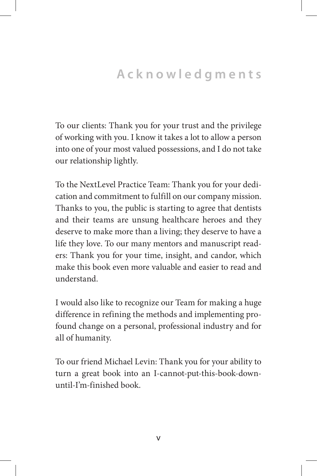# **Acknowledgments**

To our clients: Thank you for your trust and the privilege of working with you. I know it takes a lot to allow a person into one of your most valued possessions, and I do not take our relationship lightly.

To the NextLevel Practice Team: Thank you for your dedication and commitment to fulfill on our company mission. Thanks to you, the public is starting to agree that dentists and their teams are unsung healthcare heroes and they deserve to make more than a living; they deserve to have a life they love. To our many mentors and manuscript readers: Thank you for your time, insight, and candor, which make this book even more valuable and easier to read and understand.

I would also like to recognize our Team for making a huge difference in refining the methods and implementing profound change on a personal, professional industry and for all of humanity.

To our friend Michael Levin: Thank you for your ability to turn a great book into an I-cannot-put-this-book-downuntil-I'm-finished book.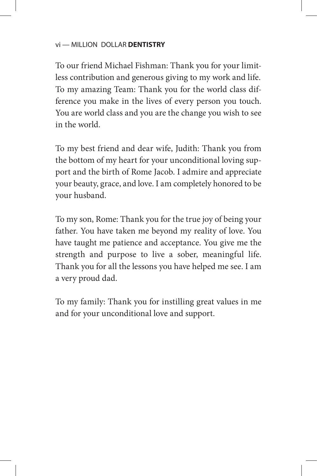#### vi — MILLION DOLLAR **DENTISTRY**

To our friend Michael Fishman: Thank you for your limitless contribution and generous giving to my work and life. To my amazing Team: Thank you for the world class difference you make in the lives of every person you touch. You are world class and you are the change you wish to see in the world.

To my best friend and dear wife, Judith: Thank you from the bottom of my heart for your unconditional loving support and the birth of Rome Jacob. I admire and appreciate your beauty, grace, and love. I am completely honored to be your husband.

To my son, Rome: Thank you for the true joy of being your father. You have taken me beyond my reality of love. You have taught me patience and acceptance. You give me the strength and purpose to live a sober, meaningful life. Thank you for all the lessons you have helped me see. I am a very proud dad.

To my family: Thank you for instilling great values in me and for your unconditional love and support.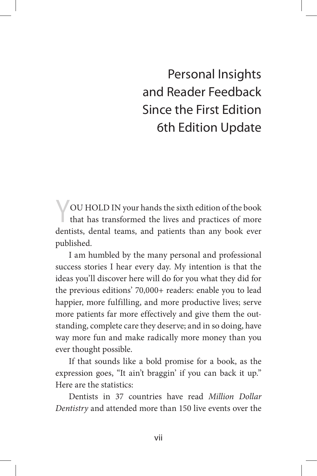Personal Insights and Reader Feedback Since the First Edition 6th Edition Update

You hold in your hands the sixth edition of the book that has transformed the lives and practices of more dentists, dental teams, and patients than any book ever published.

I am humbled by the many personal and professional success stories I hear every day. My intention is that the ideas you'll discover here will do for you what they did for the previous editions' 70,000+ readers: enable you to lead happier, more fulfilling, and more productive lives; serve more patients far more effectively and give them the outstanding, complete care they deserve; and in so doing, have way more fun and make radically more money than you ever thought possible.

If that sounds like a bold promise for a book, as the expression goes, "It ain't braggin' if you can back it up." Here are the statistics:

Dentists in 37 countries have read *Million Dollar Dentistry* and attended more than 150 live events over the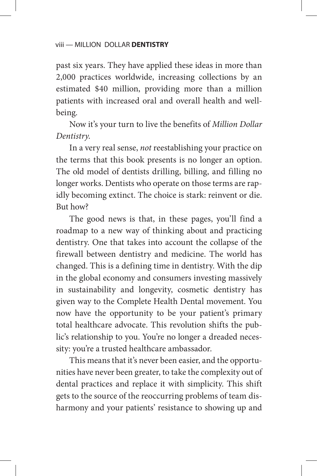#### viii — MILLION DOLLAR **DENTISTRY**

past six years. They have applied these ideas in more than 2,000 practices worldwide, increasing collections by an estimated \$40 million, providing more than a million patients with increased oral and overall health and wellbeing.

Now it's your turn to live the benefits of *Million Dollar Dentistry*.

In a very real sense, *not* reestablishing your practice on the terms that this book presents is no longer an option. The old model of dentists drilling, billing, and filling no longer works. Dentists who operate on those terms are rapidly becoming extinct. The choice is stark: reinvent or die. But how?

The good news is that, in these pages, you'll find a roadmap to a new way of thinking about and practicing dentistry. One that takes into account the collapse of the firewall between dentistry and medicine. The world has changed. This is a defining time in dentistry. With the dip in the global economy and consumers investing massively in sustainability and longevity, cosmetic dentistry has given way to the Complete Health Dental movement. You now have the opportunity to be your patient's primary total healthcare advocate. This revolution shifts the public's relationship to you. You're no longer a dreaded necessity: you're a trusted healthcare ambassador.

This means that it's never been easier, and the opportunities have never been greater, to take the complexity out of dental practices and replace it with simplicity. This shift gets to the source of the reoccurring problems of team disharmony and your patients' resistance to showing up and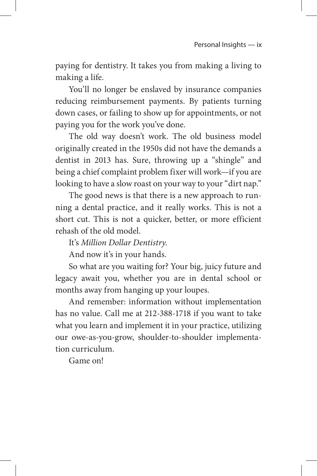paying for dentistry. It takes you from making a living to making a life.

You'll no longer be enslaved by insurance companies reducing reimbursement payments. By patients turning down cases, or failing to show up for appointments, or not paying you for the work you've done.

The old way doesn't work. The old business model originally created in the 1950s did not have the demands a dentist in 2013 has. Sure, throwing up a "shingle" and being a chief complaint problem fixer will work—if you are looking to have a slow roast on your way to your "dirt nap."

The good news is that there is a new approach to running a dental practice, and it really works. This is not a short cut. This is not a quicker, better, or more efficient rehash of the old model.

It's *Million Dollar Dentistry*.

And now it's in your hands.

So what are you waiting for? Your big, juicy future and legacy await you, whether you are in dental school or months away from hanging up your loupes.

And remember: information without implementation has no value. Call me at 212-388-1718 if you want to take what you learn and implement it in your practice, utilizing our owe-as-you-grow, shoulder-to-shoulder implementation curriculum.

Game on!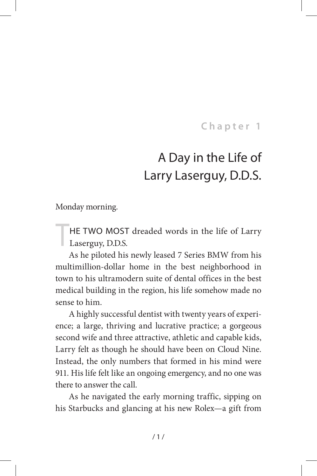## **Chapter 1**

# A Day in the Life of Larry Laserguy, D.D.S.

Monday morning.

THE TWO MOST dreaded words in the life of Larry Laserguy, D.D.S.

As he piloted his newly leased 7 Series BMW from his multimillion-dollar home in the best neighborhood in town to his ultramodern suite of dental offices in the best medical building in the region, his life somehow made no sense to him.

A highly successful dentist with twenty years of experience; a large, thriving and lucrative practice; a gorgeous second wife and three attractive, athletic and capable kids, Larry felt as though he should have been on Cloud Nine. Instead, the only numbers that formed in his mind were 911. His life felt like an ongoing emergency, and no one was there to answer the call.

As he navigated the early morning traffic, sipping on his Starbucks and glancing at his new Rolex—a gift from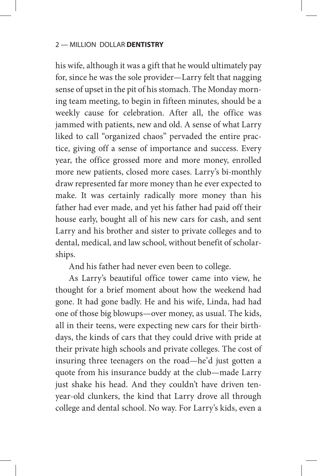#### 2 — MILLION DOLLAR **DENTISTRY**

his wife, although it was a gift that he would ultimately pay for, since he was the sole provider—Larry felt that nagging sense of upset in the pit of his stomach. The Monday morning team meeting, to begin in fifteen minutes, should be a weekly cause for celebration. After all, the office was jammed with patients, new and old. A sense of what Larry liked to call "organized chaos" pervaded the entire practice, giving off a sense of importance and success. Every year, the office grossed more and more money, enrolled more new patients, closed more cases. Larry's bi-monthly draw represented far more money than he ever expected to make. It was certainly radically more money than his father had ever made, and yet his father had paid off their house early, bought all of his new cars for cash, and sent Larry and his brother and sister to private colleges and to dental, medical, and law school, without benefit of scholarships.

And his father had never even been to college.

As Larry's beautiful office tower came into view, he thought for a brief moment about how the weekend had gone. It had gone badly. He and his wife, Linda, had had one of those big blowups—over money, as usual. The kids, all in their teens, were expecting new cars for their birthdays, the kinds of cars that they could drive with pride at their private high schools and private colleges. The cost of insuring three teenagers on the road—he'd just gotten a quote from his insurance buddy at the club—made Larry just shake his head. And they couldn't have driven tenyear-old clunkers, the kind that Larry drove all through college and dental school. No way. For Larry's kids, even a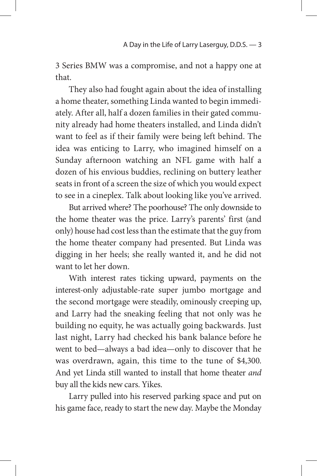3 Series BMW was a compromise, and not a happy one at that.

They also had fought again about the idea of installing a home theater, something Linda wanted to begin immediately. After all, half a dozen families in their gated community already had home theaters installed, and Linda didn't want to feel as if their family were being left behind. The idea was enticing to Larry, who imagined himself on a Sunday afternoon watching an NFL game with half a dozen of his envious buddies, reclining on buttery leather seats in front of a screen the size of which you would expect to see in a cineplex. Talk about looking like you've arrived.

But arrived where? The poorhouse? The only downside to the home theater was the price. Larry's parents' first (and only) house had cost less than the estimate that the guy from the home theater company had presented. But Linda was digging in her heels; she really wanted it, and he did not want to let her down.

With interest rates ticking upward, payments on the interest-only adjustable-rate super jumbo mortgage and the second mortgage were steadily, ominously creeping up, and Larry had the sneaking feeling that not only was he building no equity, he was actually going backwards. Just last night, Larry had checked his bank balance before he went to bed—always a bad idea—only to discover that he was overdrawn, again, this time to the tune of \$4,300. And yet Linda still wanted to install that home theater *and*  buy all the kids new cars. Yikes.

Larry pulled into his reserved parking space and put on his game face, ready to start the new day. Maybe the Monday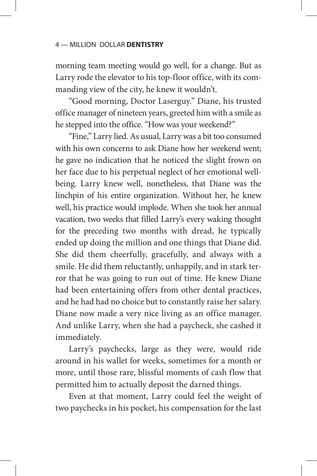morning team meeting would go well, for a change. But as Larry rode the elevator to his top-floor office, with its commanding view of the city, he knew it wouldn't.

"Good morning, Doctor Laserguy." Diane, his trusted office manager of nineteen years, greeted him with a smile as he stepped into the office. "How was your weekend?"

"Fine," Larry lied. As usual, Larry was a bit too consumed with his own concerns to ask Diane how her weekend went; he gave no indication that he noticed the slight frown on her face due to his perpetual neglect of her emotional wellbeing. Larry knew well, nonetheless, that Diane was the linchpin of his entire organization. Without her, he knew well, his practice would implode. When she took her annual vacation, two weeks that filled Larry's every waking thought for the preceding two months with dread, he typically ended up doing the million and one things that Diane did. She did them cheerfully, gracefully, and always with a smile. He did them reluctantly, unhappily, and in stark terror that he was going to run out of time. He knew Diane had been entertaining offers from other dental practices, and he had had no choice but to constantly raise her salary. Diane now made a very nice living as an office manager. And unlike Larry, when she had a paycheck, she cashed it immediately.

Larry's paychecks, large as they were, would ride around in his wallet for weeks, sometimes for a month or more, until those rare, blissful moments of cash flow that permitted him to actually deposit the darned things.

Even at that moment, Larry could feel the weight of two paychecks in his pocket, his compensation for the last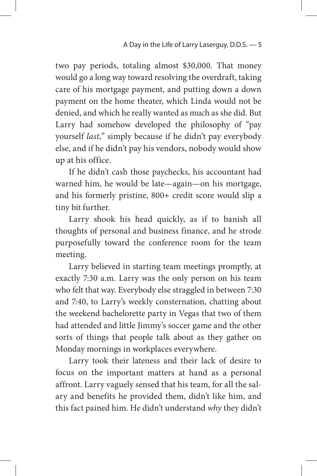two pay periods, totaling almost \$30,000. That money would go a long way toward resolving the overdraft, taking care of his mortgage payment, and putting down a down payment on the home theater, which Linda would not be denied, and which he really wanted as much as she did. But Larry had somehow developed the philosophy of "pay yourself *last,*" simply because if he didn't pay everybody else, and if he didn't pay his vendors, nobody would show up at his office.

If he didn't cash those paychecks, his accountant had warned him, he would be late—again—on his mortgage, and his formerly pristine, 800+ credit score would slip a tiny bit further.

Larry shook his head quickly, as if to banish all thoughts of personal and business finance, and he strode purposefully toward the conference room for the team meeting.

Larry believed in starting team meetings promptly, at exactly 7:30 a.m. Larry was the only person on his team who felt that way. Everybody else straggled in between 7:30 and 7:40, to Larry's weekly consternation, chatting about the weekend bachelorette party in Vegas that two of them had attended and little Jimmy's soccer game and the other sorts of things that people talk about as they gather on Monday mornings in workplaces everywhere.

Larry took their lateness and their lack of desire to focus on the important matters at hand as a personal affront. Larry vaguely sensed that his team, for all the salary and benefits he provided them, didn't like him, and this fact pained him. He didn't understand *why* they didn't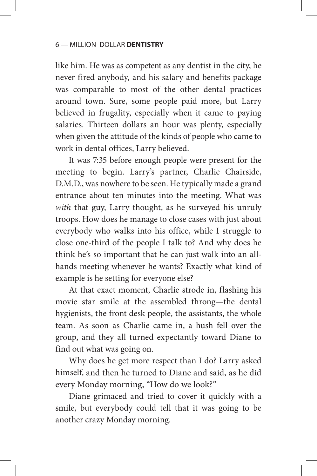like him. He was as competent as any dentist in the city, he never fired anybody, and his salary and benefits package was comparable to most of the other dental practices around town. Sure, some people paid more, but Larry believed in frugality, especially when it came to paying salaries. Thirteen dollars an hour was plenty, especially when given the attitude of the kinds of people who came to work in dental offices, Larry believed.

It was 7:35 before enough people were present for the meeting to begin. Larry's partner, Charlie Chairside, D.M.D., was nowhere to be seen. He typically made a grand entrance about ten minutes into the meeting. What was *with* that guy, Larry thought, as he surveyed his unruly troops. How does he manage to close cases with just about everybody who walks into his office, while I struggle to close one-third of the people I talk to? And why does he think he's so important that he can just walk into an allhands meeting whenever he wants? Exactly what kind of example is he setting for everyone else?

At that exact moment, Charlie strode in, flashing his movie star smile at the assembled throng—the dental hygienists, the front desk people, the assistants, the whole team. As soon as Charlie came in, a hush fell over the group, and they all turned expectantly toward Diane to find out what was going on.

Why does he get more respect than I do? Larry asked himself, and then he turned to Diane and said, as he did every Monday morning, "How do we look?"

Diane grimaced and tried to cover it quickly with a smile, but everybody could tell that it was going to be another crazy Monday morning.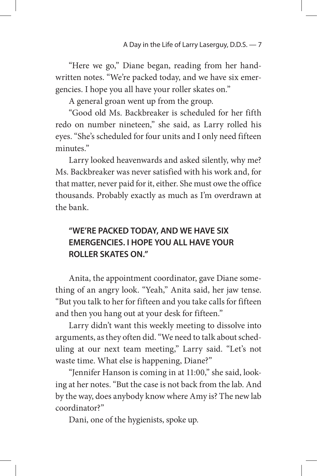"Here we go," Diane began, reading from her handwritten notes. "We're packed today, and we have six emergencies. I hope you all have your roller skates on."

A general groan went up from the group.

"Good old Ms. Backbreaker is scheduled for her fifth redo on number nineteen," she said, as Larry rolled his eyes. "She's scheduled for four units and I only need fifteen minutes<sup>"</sup>

Larry looked heavenwards and asked silently, why me? Ms. Backbreaker was never satisfied with his work and, for that matter, never paid for it, either. She must owe the office thousands. Probably exactly as much as I'm overdrawn at the bank.

## **"WE'RE PACKED TODAY, AND WE HAVE SIX EMERGENCIES. I HOPE YOU ALL HAVE YOUR ROLLER SKATES ON."**

Anita, the appointment coordinator, gave Diane something of an angry look. "Yeah," Anita said, her jaw tense. "But you talk to her for fifteen and you take calls for fifteen and then you hang out at your desk for fifteen."

Larry didn't want this weekly meeting to dissolve into arguments, as they often did. "We need to talk about scheduling at our next team meeting," Larry said. "Let's not waste time. What else is happening, Diane?"

"Jennifer Hanson is coming in at 11:00," she said, looking at her notes. "But the case is not back from the lab. And by the way, does anybody know where Amy is? The new lab coordinator?"

Dani, one of the hygienists, spoke up.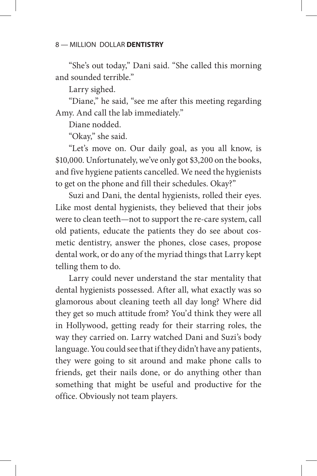"She's out today," Dani said. "She called this morning and sounded terrible"

Larry sighed.

"Diane," he said, "see me after this meeting regarding Amy. And call the lab immediately."

Diane nodded.

"Okay," she said.

"Let's move on. Our daily goal, as you all know, is \$10,000. Unfortunately, we've only got \$3,200 on the books, and five hygiene patients cancelled. We need the hygienists to get on the phone and fill their schedules. Okay?"

Suzi and Dani, the dental hygienists, rolled their eyes. Like most dental hygienists, they believed that their jobs were to clean teeth—not to support the re-care system, call old patients, educate the patients they do see about cosmetic dentistry, answer the phones, close cases, propose dental work, or do any of the myriad things that Larry kept telling them to do.

Larry could never understand the star mentality that dental hygienists possessed. After all, what exactly was so glamorous about cleaning teeth all day long? Where did they get so much attitude from? You'd think they were all in Hollywood, getting ready for their starring roles, the way they carried on. Larry watched Dani and Suzi's body language. You could see that if they didn't have any patients, they were going to sit around and make phone calls to friends, get their nails done, or do anything other than something that might be useful and productive for the office. Obviously not team players.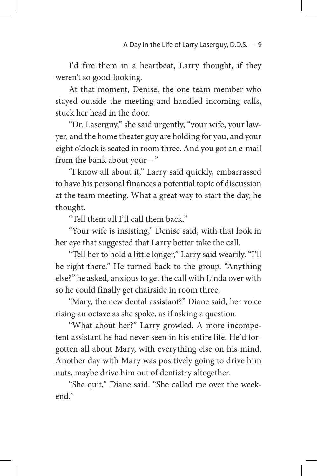I'd fire them in a heartbeat, Larry thought, if they weren't so good-looking.

At that moment, Denise, the one team member who stayed outside the meeting and handled incoming calls, stuck her head in the door.

"Dr. Laserguy," she said urgently, "your wife, your lawyer, and the home theater guy are holding for you, and your eight o'clock is seated in room three. And you got an e-mail from the bank about your—"

"I know all about it," Larry said quickly, embarrassed to have his personal finances a potential topic of discussion at the team meeting. What a great way to start the day, he thought.

"Tell them all I'll call them back."

"Your wife is insisting," Denise said, with that look in her eye that suggested that Larry better take the call.

"Tell her to hold a little longer," Larry said wearily. "I'll be right there." He turned back to the group. "Anything else?" he asked, anxious to get the call with Linda over with so he could finally get chairside in room three.

"Mary, the new dental assistant?" Diane said, her voice rising an octave as she spoke, as if asking a question.

"What about her?" Larry growled. A more incompetent assistant he had never seen in his entire life. He'd forgotten all about Mary, with everything else on his mind. Another day with Mary was positively going to drive him nuts, maybe drive him out of dentistry altogether.

"She quit," Diane said. "She called me over the weekend"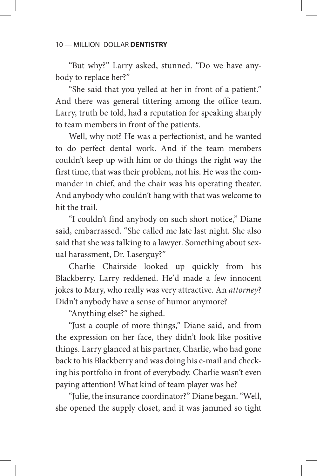"But why?" Larry asked, stunned. "Do we have anybody to replace her?"

"She said that you yelled at her in front of a patient." And there was general tittering among the office team. Larry, truth be told, had a reputation for speaking sharply to team members in front of the patients.

Well, why not? He was a perfectionist, and he wanted to do perfect dental work. And if the team members couldn't keep up with him or do things the right way the first time, that was their problem, not his. He was the commander in chief, and the chair was his operating theater. And anybody who couldn't hang with that was welcome to hit the trail.

"I couldn't find anybody on such short notice," Diane said, embarrassed. "She called me late last night. She also said that she was talking to a lawyer. Something about sexual harassment, Dr. Laserguy?"

Charlie Chairside looked up quickly from his Blackberry. Larry reddened. He'd made a few innocent jokes to Mary, who really was very attractive. An *attorney*? Didn't anybody have a sense of humor anymore?

"Anything else?" he sighed.

"Just a couple of more things," Diane said, and from the expression on her face, they didn't look like positive things. Larry glanced at his partner, Charlie, who had gone back to his Blackberry and was doing his e-mail and checking his portfolio in front of everybody. Charlie wasn't even paying attention! What kind of team player was he?

"Julie, the insurance coordinator?" Diane began. "Well, she opened the supply closet, and it was jammed so tight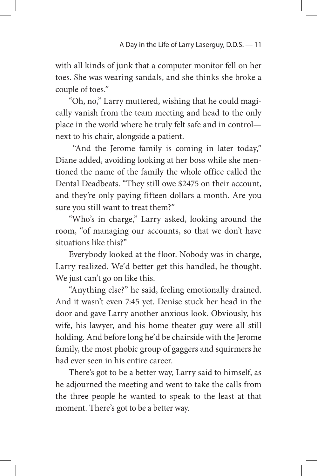with all kinds of junk that a computer monitor fell on her toes. She was wearing sandals, and she thinks she broke a couple of toes."

"Oh, no," Larry muttered, wishing that he could magically vanish from the team meeting and head to the only place in the world where he truly felt safe and in control next to his chair, alongside a patient.

 "And the Jerome family is coming in later today," Diane added, avoiding looking at her boss while she mentioned the name of the family the whole office called the Dental Deadbeats. "They still owe \$2475 on their account, and they're only paying fifteen dollars a month. Are you sure you still want to treat them?"

"Who's in charge," Larry asked, looking around the room, "of managing our accounts, so that we don't have situations like this?"

Everybody looked at the floor. Nobody was in charge, Larry realized. We'd better get this handled, he thought. We just can't go on like this.

"Anything else?" he said, feeling emotionally drained. And it wasn't even 7:45 yet. Denise stuck her head in the door and gave Larry another anxious look. Obviously, his wife, his lawyer, and his home theater guy were all still holding. And before long he'd be chairside with the Jerome family, the most phobic group of gaggers and squirmers he had ever seen in his entire career.

There's got to be a better way, Larry said to himself, as he adjourned the meeting and went to take the calls from the three people he wanted to speak to the least at that moment. There's got to be a better way.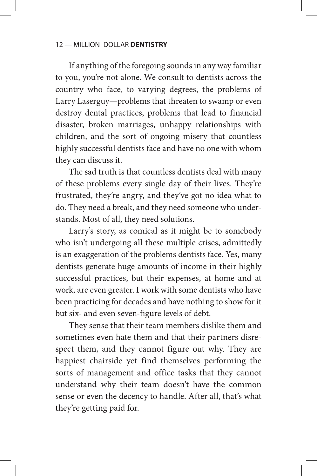#### 12 — MILLION DOLLAR **DENTISTRY**

If anything of the foregoing sounds in any way familiar to you, you're not alone. We consult to dentists across the country who face, to varying degrees, the problems of Larry Laserguy—problems that threaten to swamp or even destroy dental practices, problems that lead to financial disaster, broken marriages, unhappy relationships with children, and the sort of ongoing misery that countless highly successful dentists face and have no one with whom they can discuss it.

The sad truth is that countless dentists deal with many of these problems every single day of their lives. They're frustrated, they're angry, and they've got no idea what to do. They need a break, and they need someone who understands. Most of all, they need solutions.

Larry's story, as comical as it might be to somebody who isn't undergoing all these multiple crises, admittedly is an exaggeration of the problems dentists face. Yes, many dentists generate huge amounts of income in their highly successful practices, but their expenses, at home and at work, are even greater. I work with some dentists who have been practicing for decades and have nothing to show for it but six- and even seven-figure levels of debt.

They sense that their team members dislike them and sometimes even hate them and that their partners disrespect them, and they cannot figure out why. They are happiest chairside yet find themselves performing the sorts of management and office tasks that they cannot understand why their team doesn't have the common sense or even the decency to handle. After all, that's what they're getting paid for.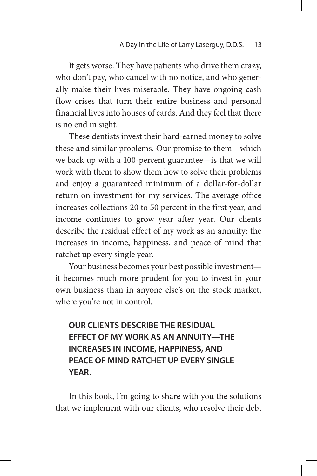It gets worse. They have patients who drive them crazy, who don't pay, who cancel with no notice, and who generally make their lives miserable. They have ongoing cash flow crises that turn their entire business and personal financial lives into houses of cards. And they feel that there is no end in sight.

These dentists invest their hard-earned money to solve these and similar problems. Our promise to them—which we back up with a 100-percent guarantee—is that we will work with them to show them how to solve their problems and enjoy a guaranteed minimum of a dollar-for-dollar return on investment for my services. The average office increases collections 20 to 50 percent in the first year, and income continues to grow year after year. Our clients describe the residual effect of my work as an annuity: the increases in income, happiness, and peace of mind that ratchet up every single year.

Your business becomes your best possible investment it becomes much more prudent for you to invest in your own business than in anyone else's on the stock market, where you're not in control.

## **OUR CLIENTS DESCRIBE THE RESIDUAL EFFECT OF MY WORK AS AN ANNUITY—THE INCREASES IN INCOME, HAPPINESS, AND PEACE OF MIND RATCHET UP EVERY SINGLE YEAR.**

In this book, I'm going to share with you the solutions that we implement with our clients, who resolve their debt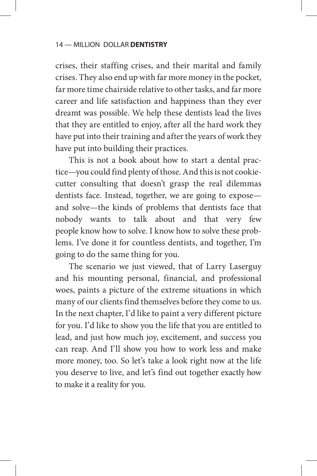#### 14 — MILLION DOLLAR **DENTISTRY**

crises, their staffing crises, and their marital and family crises. They also end up with far more money in the pocket, far more time chairside relative to other tasks, and far more career and life satisfaction and happiness than they ever dreamt was possible. We help these dentists lead the lives that they are entitled to enjoy, after all the hard work they have put into their training and after the years of work they have put into building their practices.

This is not a book about how to start a dental practice—you could find plenty of those. And this is not cookiecutter consulting that doesn't grasp the real dilemmas dentists face. Instead, together, we are going to expose and solve—the kinds of problems that dentists face that nobody wants to talk about and that very few people know how to solve. I know how to solve these problems. I've done it for countless dentists, and together, I'm going to do the same thing for you.

The scenario we just viewed, that of Larry Laserguy and his mounting personal, financial, and professional woes, paints a picture of the extreme situations in which many of our clients find themselves before they come to us. In the next chapter, I'd like to paint a very different picture for you. I'd like to show you the life that you are entitled to lead, and just how much joy, excitement, and success you can reap. And I'll show you how to work less and make more money, too. So let's take a look right now at the life you deserve to live, and let's find out together exactly how to make it a reality for you.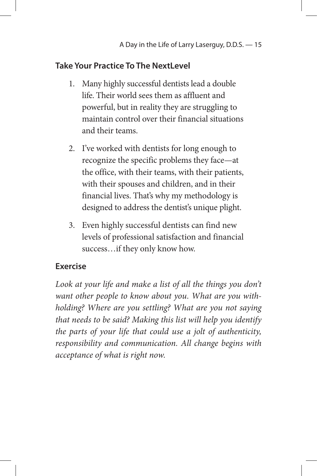#### **Take Your Practice To The NextLevel**

- 1. Many highly successful dentists lead a double life. Their world sees them as affluent and powerful, but in reality they are struggling to maintain control over their financial situations and their teams.
- 2. I've worked with dentists for long enough to recognize the specific problems they face—at the office, with their teams, with their patients, with their spouses and children, and in their financial lives. That's why my methodology is designed to address the dentist's unique plight.
- 3. Even highly successful dentists can find new levels of professional satisfaction and financial success…if they only know how.

#### **Exercise**

Look at your life and make a list of all the things you don't *want other people to know about you. What are you withholding? Where are you settling? What are you not saying that needs to be said? Making this list will help you identify the parts of your life that could use a jolt of authenticity, responsibility and communication. All change begins with acceptance of what is right now.*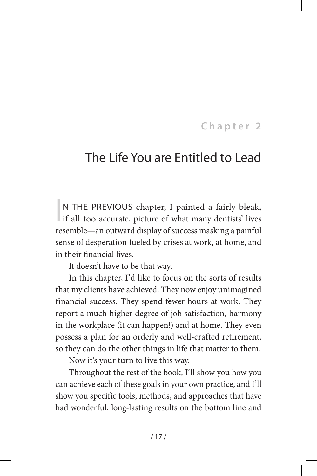## **Chapter 2**

## The Life You are Entitled to Lead

N THE PREVIOUS chapter, I painted a fairly bleak, if all too accurate, picture of what many dentists' lives if all too accurate, picture of what many dentists' lives resemble—an outward display of success masking a painful sense of desperation fueled by crises at work, at home, and in their financial lives.

It doesn't have to be that way.

In this chapter, I'd like to focus on the sorts of results that my clients have achieved. They now enjoy unimagined financial success. They spend fewer hours at work. They report a much higher degree of job satisfaction, harmony in the workplace (it can happen!) and at home. They even possess a plan for an orderly and well-crafted retirement, so they can do the other things in life that matter to them.

Now it's your turn to live this way.

Throughout the rest of the book, I'll show you how you can achieve each of these goals in your own practice, and I'll show you specific tools, methods, and approaches that have had wonderful, long-lasting results on the bottom line and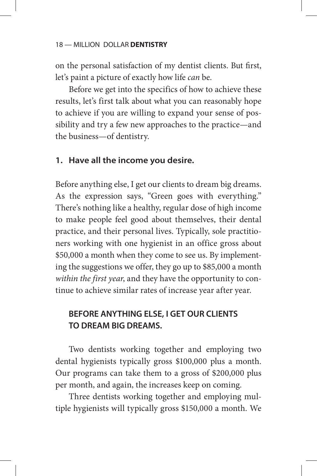#### 18 — MILLION DOLLAR **DENTISTRY**

on the personal satisfaction of my dentist clients. But first, let's paint a picture of exactly how life *can* be.

Before we get into the specifics of how to achieve these results, let's first talk about what you can reasonably hope to achieve if you are willing to expand your sense of possibility and try a few new approaches to the practice—and the business—of dentistry.

#### **1. Have all the income you desire.**

Before anything else, I get our clients to dream big dreams. As the expression says, "Green goes with everything." There's nothing like a healthy, regular dose of high income to make people feel good about themselves, their dental practice, and their personal lives. Typically, sole practitioners working with one hygienist in an office gross about \$50,000 a month when they come to see us. By implementing the suggestions we offer, they go up to \$85,000 a month *within the first year*, and they have the opportunity to continue to achieve similar rates of increase year after year.

## **BEFORE ANYTHING ELSE, I GET OUR CLIENTS TO DREAM BIG DREAMS.**

Two dentists working together and employing two dental hygienists typically gross \$100,000 plus a month. Our programs can take them to a gross of \$200,000 plus per month, and again, the increases keep on coming.

Three dentists working together and employing multiple hygienists will typically gross \$150,000 a month. We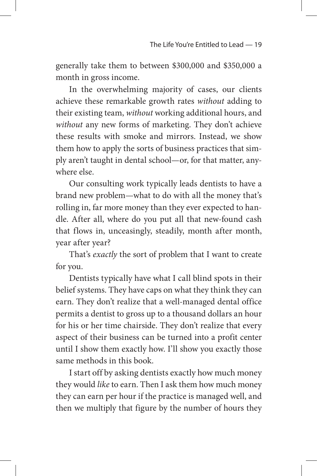generally take them to between \$300,000 and \$350,000 a month in gross income.

In the overwhelming majority of cases, our clients achieve these remarkable growth rates *without* adding to their existing team, *without* working additional hours, and *without* any new forms of marketing. They don't achieve these results with smoke and mirrors. Instead, we show them how to apply the sorts of business practices that simply aren't taught in dental school—or, for that matter, anywhere else.

Our consulting work typically leads dentists to have a brand new problem—what to do with all the money that's rolling in, far more money than they ever expected to handle. After all, where do you put all that new-found cash that flows in, unceasingly, steadily, month after month, year after year?

That's *exactly* the sort of problem that I want to create for you.

Dentists typically have what I call blind spots in their belief systems. They have caps on what they think they can earn. They don't realize that a well-managed dental office permits a dentist to gross up to a thousand dollars an hour for his or her time chairside. They don't realize that every aspect of their business can be turned into a profit center until I show them exactly how. I'll show you exactly those same methods in this book.

I start off by asking dentists exactly how much money they would *like* to earn. Then I ask them how much money they can earn per hour if the practice is managed well, and then we multiply that figure by the number of hours they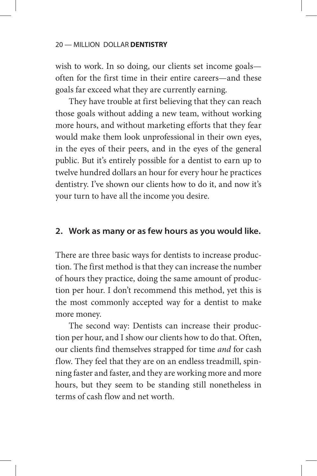wish to work. In so doing, our clients set income goals often for the first time in their entire careers—and these goals far exceed what they are currently earning.

They have trouble at first believing that they can reach those goals without adding a new team, without working more hours, and without marketing efforts that they fear would make them look unprofessional in their own eyes, in the eyes of their peers, and in the eyes of the general public. But it's entirely possible for a dentist to earn up to twelve hundred dollars an hour for every hour he practices dentistry. I've shown our clients how to do it, and now it's your turn to have all the income you desire.

#### **2. Work as many or as few hours as you would like.**

There are three basic ways for dentists to increase production. The first method is that they can increase the number of hours they practice, doing the same amount of production per hour. I don't recommend this method, yet this is the most commonly accepted way for a dentist to make more money.

The second way: Dentists can increase their production per hour, and I show our clients how to do that. Often, our clients find themselves strapped for time *and* for cash flow. They feel that they are on an endless treadmill, spinning faster and faster, and they are working more and more hours, but they seem to be standing still nonetheless in terms of cash flow and net worth.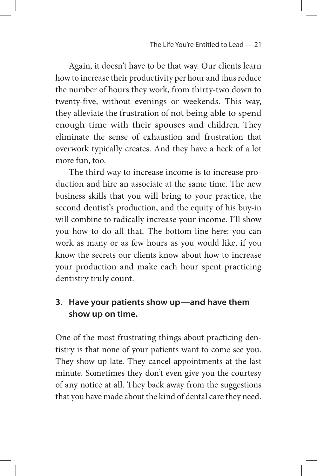Again, it doesn't have to be that way. Our clients learn how to increase their productivity per hour and thus reduce the number of hours they work, from thirty-two down to twenty-five, without evenings or weekends. This way, they alleviate the frustration of not being able to spend enough time with their spouses and children. They eliminate the sense of exhaustion and frustration that overwork typically creates. And they have a heck of a lot more fun, too.

The third way to increase income is to increase production and hire an associate at the same time. The new business skills that you will bring to your practice, the second dentist's production, and the equity of his buy-in will combine to radically increase your income. I'll show you how to do all that. The bottom line here: you can work as many or as few hours as you would like, if you know the secrets our clients know about how to increase your production and make each hour spent practicing dentistry truly count.

#### **3. Have your patients show up—and have them show up on time.**

One of the most frustrating things about practicing dentistry is that none of your patients want to come see you. They show up late. They cancel appointments at the last minute. Sometimes they don't even give you the courtesy of any notice at all. They back away from the suggestions that you have made about the kind of dental care they need.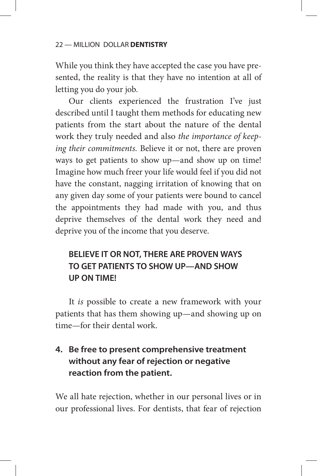#### 22 — MILLION DOLLAR **DENTISTRY**

While you think they have accepted the case you have presented, the reality is that they have no intention at all of letting you do your job.

Our clients experienced the frustration I've just described until I taught them methods for educating new patients from the start about the nature of the dental work they truly needed and also *the importance of keeping their commitments.* Believe it or not, there are proven ways to get patients to show up—and show up on time! Imagine how much freer your life would feel if you did not have the constant, nagging irritation of knowing that on any given day some of your patients were bound to cancel the appointments they had made with you, and thus deprive themselves of the dental work they need and deprive you of the income that you deserve.

## **BELIEVE IT OR NOT, THERE ARE PROVEN WAYS TO GET PATIENTS TO SHOW UP—AND SHOW UP ON TIME!**

It *is* possible to create a new framework with your patients that has them showing up—and showing up on time—for their dental work.

## **4. Be free to present comprehensive treatment without any fear of rejection or negative reaction from the patient.**

We all hate rejection, whether in our personal lives or in our professional lives. For dentists, that fear of rejection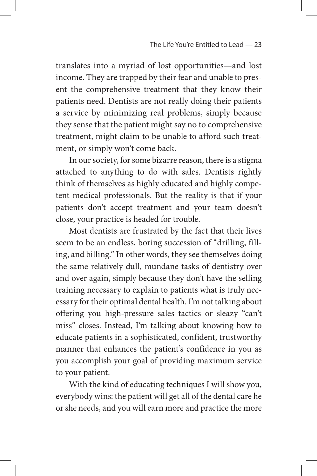translates into a myriad of lost opportunities—and lost income. They are trapped by their fear and unable to present the comprehensive treatment that they know their patients need. Dentists are not really doing their patients a service by minimizing real problems, simply because they sense that the patient might say no to comprehensive treatment, might claim to be unable to afford such treatment, or simply won't come back.

In our society, for some bizarre reason, there is a stigma attached to anything to do with sales. Dentists rightly think of themselves as highly educated and highly competent medical professionals. But the reality is that if your patients don't accept treatment and your team doesn't close, your practice is headed for trouble.

Most dentists are frustrated by the fact that their lives seem to be an endless, boring succession of "drilling, filling, and billing." In other words, they see themselves doing the same relatively dull, mundane tasks of dentistry over and over again, simply because they don't have the selling training necessary to explain to patients what is truly necessary for their optimal dental health. I'm not talking about offering you high-pressure sales tactics or sleazy "can't miss" closes. Instead, I'm talking about knowing how to educate patients in a sophisticated, confident, trustworthy manner that enhances the patient's confidence in you as you accomplish your goal of providing maximum service to your patient.

With the kind of educating techniques I will show you, everybody wins: the patient will get all of the dental care he or she needs, and you will earn more and practice the more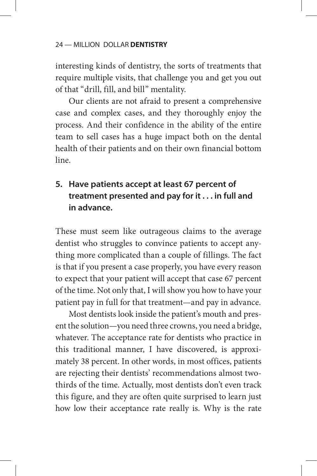interesting kinds of dentistry, the sorts of treatments that require multiple visits, that challenge you and get you out of that "drill, fill, and bill" mentality.

Our clients are not afraid to present a comprehensive case and complex cases, and they thoroughly enjoy the process. And their confidence in the ability of the entire team to sell cases has a huge impact both on the dental health of their patients and on their own financial bottom line.

## **5. Have patients accept at least 67 percent of treatment presented and pay for it . . . in full and in advance.**

These must seem like outrageous claims to the average dentist who struggles to convince patients to accept anything more complicated than a couple of fillings. The fact is that if you present a case properly, you have every reason to expect that your patient will accept that case 67 percent of the time. Not only that, I will show you how to have your patient pay in full for that treatment—and pay in advance.

Most dentists look inside the patient's mouth and present the solution—you need three crowns, you need a bridge, whatever. The acceptance rate for dentists who practice in this traditional manner, I have discovered, is approximately 38 percent. In other words, in most offices, patients are rejecting their dentists' recommendations almost twothirds of the time. Actually, most dentists don't even track this figure, and they are often quite surprised to learn just how low their acceptance rate really is. Why is the rate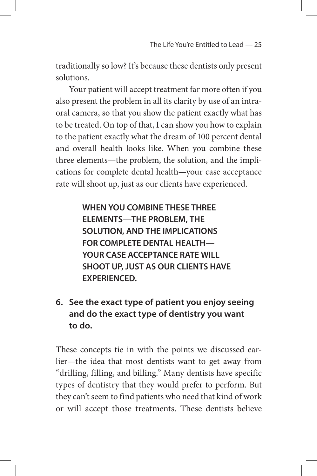traditionally so low? It's because these dentists only present solutions.

Your patient will accept treatment far more often if you also present the problem in all its clarity by use of an intraoral camera, so that you show the patient exactly what has to be treated. On top of that, I can show you how to explain to the patient exactly what the dream of 100 percent dental and overall health looks like. When you combine these three elements—the problem, the solution, and the implications for complete dental health—your case acceptance rate will shoot up, just as our clients have experienced.

> **WHEN YOU COMBINE THESE THREE ELEMENTS—THE PROBLEM, THE SOLUTION, AND THE IMPLICATIONS FOR COMPLETE DENTAL HEALTH— YOUR CASE ACCEPTANCE RATE WILL SHOOT UP, JUST AS OUR CLIENTS HAVE EXPERIENCED.**

**6. See the exact type of patient you enjoy seeing and do the exact type of dentistry you want to do.** 

These concepts tie in with the points we discussed earlier—the idea that most dentists want to get away from "drilling, filling, and billing." Many dentists have specific types of dentistry that they would prefer to perform. But they can't seem to find patients who need that kind of work or will accept those treatments. These dentists believe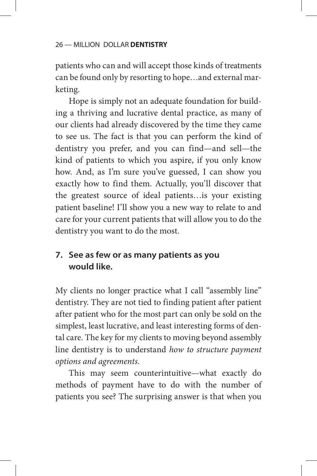patients who can and will accept those kinds of treatments can be found only by resorting to hope…and external marketing.

Hope is simply not an adequate foundation for building a thriving and lucrative dental practice, as many of our clients had already discovered by the time they came to see us. The fact is that you can perform the kind of dentistry you prefer, and you can find—and sell—the kind of patients to which you aspire, if you only know how. And, as I'm sure you've guessed, I can show you exactly how to find them. Actually, you'll discover that the greatest source of ideal patients…is your existing patient baseline! I'll show you a new way to relate to and care for your current patients that will allow you to do the dentistry you want to do the most.

## **7. See as few or as many patients as you would like.**

My clients no longer practice what I call "assembly line" dentistry. They are not tied to finding patient after patient after patient who for the most part can only be sold on the simplest, least lucrative, and least interesting forms of dental care. The key for my clients to moving beyond assembly line dentistry is to understand *how to structure payment options and agreements.* 

This may seem counterintuitive—what exactly do methods of payment have to do with the number of patients you see? The surprising answer is that when you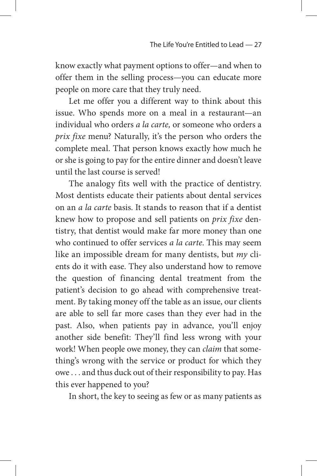know exactly what payment options to offer—and when to offer them in the selling process—you can educate more people on more care that they truly need.

Let me offer you a different way to think about this issue. Who spends more on a meal in a restaurant—an individual who orders *a la carte,* or someone who orders a *prix fixe* menu? Naturally, it's the person who orders the complete meal. That person knows exactly how much he or she is going to pay for the entire dinner and doesn't leave until the last course is served!

The analogy fits well with the practice of dentistry. Most dentists educate their patients about dental services on an *a la carte* basis. It stands to reason that if a dentist knew how to propose and sell patients on *prix fixe* dentistry, that dentist would make far more money than one who continued to offer services *a la carte*. This may seem like an impossible dream for many dentists, but *my* clients do it with ease. They also understand how to remove the question of financing dental treatment from the patient's decision to go ahead with comprehensive treatment. By taking money off the table as an issue, our clients are able to sell far more cases than they ever had in the past. Also, when patients pay in advance, you'll enjoy another side benefit: They'll find less wrong with your work! When people owe money, they can *claim* that something's wrong with the service or product for which they owe . . . and thus duck out of their responsibility to pay. Has this ever happened to you?

In short, the key to seeing as few or as many patients as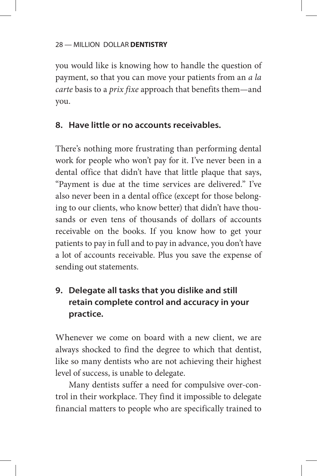you would like is knowing how to handle the question of payment, so that you can move your patients from an *a la carte* basis to a *prix fixe* approach that benefits them—and you.

### **8. Have little or no accounts receivables.**

There's nothing more frustrating than performing dental work for people who won't pay for it. I've never been in a dental office that didn't have that little plaque that says, "Payment is due at the time services are delivered." I've also never been in a dental office (except for those belonging to our clients, who know better) that didn't have thousands or even tens of thousands of dollars of accounts receivable on the books. If you know how to get your patients to pay in full and to pay in advance, you don't have a lot of accounts receivable. Plus you save the expense of sending out statements.

## **9. Delegate all tasks that you dislike and still retain complete control and accuracy in your practice.**

Whenever we come on board with a new client, we are always shocked to find the degree to which that dentist, like so many dentists who are not achieving their highest level of success, is unable to delegate.

Many dentists suffer a need for compulsive over-control in their workplace. They find it impossible to delegate financial matters to people who are specifically trained to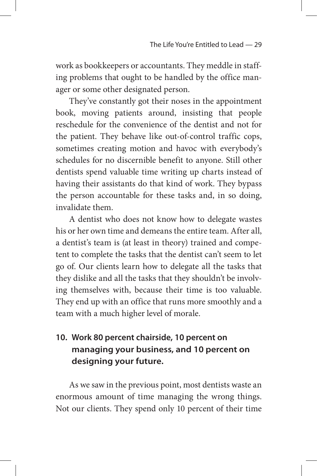work as bookkeepers or accountants. They meddle in staffing problems that ought to be handled by the office manager or some other designated person.

They've constantly got their noses in the appointment book, moving patients around, insisting that people reschedule for the convenience of the dentist and not for the patient. They behave like out-of-control traffic cops, sometimes creating motion and havoc with everybody's schedules for no discernible benefit to anyone. Still other dentists spend valuable time writing up charts instead of having their assistants do that kind of work. They bypass the person accountable for these tasks and, in so doing, invalidate them.

A dentist who does not know how to delegate wastes his or her own time and demeans the entire team. After all, a dentist's team is (at least in theory) trained and competent to complete the tasks that the dentist can't seem to let go of. Our clients learn how to delegate all the tasks that they dislike and all the tasks that they shouldn't be involving themselves with, because their time is too valuable. They end up with an office that runs more smoothly and a team with a much higher level of morale.

### **10. Work 80 percent chairside, 10 percent on managing your business, and 10 percent on designing your future.**

As we saw in the previous point, most dentists waste an enormous amount of time managing the wrong things. Not our clients. They spend only 10 percent of their time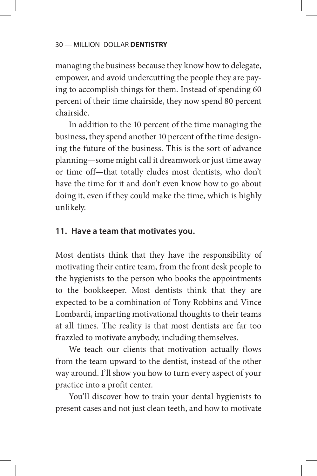managing the business because they know how to delegate, empower, and avoid undercutting the people they are paying to accomplish things for them. Instead of spending 60 percent of their time chairside, they now spend 80 percent chairside.

In addition to the 10 percent of the time managing the business, they spend another 10 percent of the time designing the future of the business. This is the sort of advance planning—some might call it dreamwork or just time away or time off—that totally eludes most dentists, who don't have the time for it and don't even know how to go about doing it, even if they could make the time, which is highly unlikely.

#### **11. Have a team that motivates you.**

Most dentists think that they have the responsibility of motivating their entire team, from the front desk people to the hygienists to the person who books the appointments to the bookkeeper. Most dentists think that they are expected to be a combination of Tony Robbins and Vince Lombardi, imparting motivational thoughts to their teams at all times. The reality is that most dentists are far too frazzled to motivate anybody, including themselves.

We teach our clients that motivation actually flows from the team upward to the dentist, instead of the other way around. I'll show you how to turn every aspect of your practice into a profit center.

You'll discover how to train your dental hygienists to present cases and not just clean teeth, and how to motivate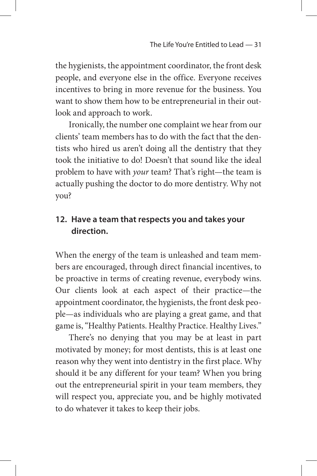the hygienists, the appointment coordinator, the front desk people, and everyone else in the office. Everyone receives incentives to bring in more revenue for the business. You want to show them how to be entrepreneurial in their outlook and approach to work.

Ironically, the number one complaint we hear from our clients' team members has to do with the fact that the dentists who hired us aren't doing all the dentistry that they took the initiative to do! Doesn't that sound like the ideal problem to have with *your* team? That's right—the team is actually pushing the doctor to do more dentistry. Why not you?

## **12. Have a team that respects you and takes your direction.**

When the energy of the team is unleashed and team members are encouraged, through direct financial incentives, to be proactive in terms of creating revenue, everybody wins. Our clients look at each aspect of their practice—the appointment coordinator, the hygienists, the front desk people—as individuals who are playing a great game, and that game is, "Healthy Patients. Healthy Practice. Healthy Lives."

There's no denying that you may be at least in part motivated by money; for most dentists, this is at least one reason why they went into dentistry in the first place. Why should it be any different for your team? When you bring out the entrepreneurial spirit in your team members, they will respect you, appreciate you, and be highly motivated to do whatever it takes to keep their jobs.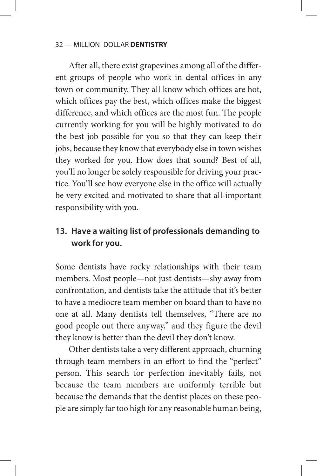After all, there exist grapevines among all of the different groups of people who work in dental offices in any town or community. They all know which offices are hot, which offices pay the best, which offices make the biggest difference, and which offices are the most fun. The people currently working for you will be highly motivated to do the best job possible for you so that they can keep their jobs, because they know that everybody else in town wishes they worked for you. How does that sound? Best of all, you'll no longer be solely responsible for driving your practice. You'll see how everyone else in the office will actually be very excited and motivated to share that all-important responsibility with you.

### **13. Have a waiting list of professionals demanding to work for you.**

Some dentists have rocky relationships with their team members. Most people—not just dentists—shy away from confrontation, and dentists take the attitude that it's better to have a mediocre team member on board than to have no one at all. Many dentists tell themselves, "There are no good people out there anyway," and they figure the devil they know is better than the devil they don't know.

Other dentists take a very different approach, churning through team members in an effort to find the "perfect" person. This search for perfection inevitably fails, not because the team members are uniformly terrible but because the demands that the dentist places on these people are simply far too high for any reasonable human being,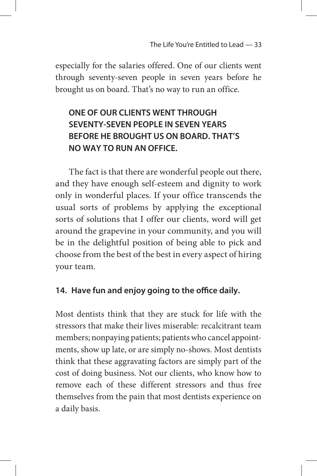especially for the salaries offered. One of our clients went through seventy-seven people in seven years before he brought us on board. That's no way to run an office.

## **ONE OF OUR CLIENTS WENT THROUGH SEVENTY-SEVEN PEOPLE IN SEVEN YEARS BEFORE HE BROUGHT US ON BOARD. THAT'S NO WAY TO RUN AN OFFICE.**

The fact is that there are wonderful people out there, and they have enough self-esteem and dignity to work only in wonderful places. If your office transcends the usual sorts of problems by applying the exceptional sorts of solutions that I offer our clients, word will get around the grapevine in your community, and you will be in the delightful position of being able to pick and choose from the best of the best in every aspect of hiring your team.

#### **14. Have fun and enjoy going to the office daily.**

Most dentists think that they are stuck for life with the stressors that make their lives miserable: recalcitrant team members; nonpaying patients; patients who cancel appointments, show up late, or are simply no-shows. Most dentists think that these aggravating factors are simply part of the cost of doing business. Not our clients, who know how to remove each of these different stressors and thus free themselves from the pain that most dentists experience on a daily basis.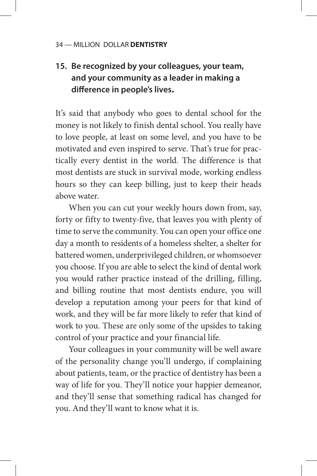## **15. Be recognized by your colleagues, your team, and your community as a leader in making a difference in people's lives.**

It's said that anybody who goes to dental school for the money is not likely to finish dental school. You really have to love people, at least on some level, and you have to be motivated and even inspired to serve. That's true for practically every dentist in the world. The difference is that most dentists are stuck in survival mode, working endless hours so they can keep billing, just to keep their heads above water.

When you can cut your weekly hours down from, say, forty or fifty to twenty-five, that leaves you with plenty of time to serve the community. You can open your office one day a month to residents of a homeless shelter, a shelter for battered women, underprivileged children, or whomsoever you choose. If you are able to select the kind of dental work you would rather practice instead of the drilling, filling, and billing routine that most dentists endure, you will develop a reputation among your peers for that kind of work, and they will be far more likely to refer that kind of work to you. These are only some of the upsides to taking control of your practice and your financial life.

Your colleagues in your community will be well aware of the personality change you'll undergo, if complaining about patients, team, or the practice of dentistry has been a way of life for you. They'll notice your happier demeanor, and they'll sense that something radical has changed for you. And they'll want to know what it is.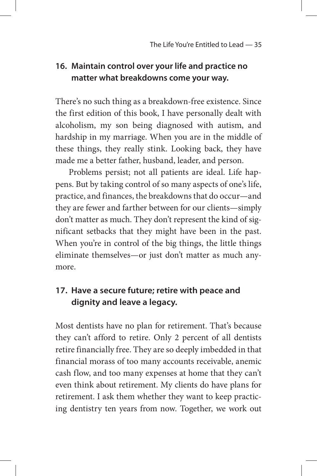### **16. Maintain control over your life and practice no matter what breakdowns come your way.**

There's no such thing as a breakdown-free existence. Since the first edition of this book, I have personally dealt with alcoholism, my son being diagnosed with autism, and hardship in my marriage. When you are in the middle of these things, they really stink. Looking back, they have made me a better father, husband, leader, and person.

Problems persist; not all patients are ideal. Life happens. But by taking control of so many aspects of one's life, practice, and finances, the breakdowns that do occur—and they are fewer and farther between for our clients—simply don't matter as much. They don't represent the kind of significant setbacks that they might have been in the past. When you're in control of the big things, the little things eliminate themselves—or just don't matter as much anymore.

## **17. Have a secure future; retire with peace and dignity and leave a legacy.**

Most dentists have no plan for retirement. That's because they can't afford to retire. Only 2 percent of all dentists retire financially free. They are so deeply imbedded in that financial morass of too many accounts receivable, anemic cash flow, and too many expenses at home that they can't even think about retirement. My clients do have plans for retirement. I ask them whether they want to keep practicing dentistry ten years from now. Together, we work out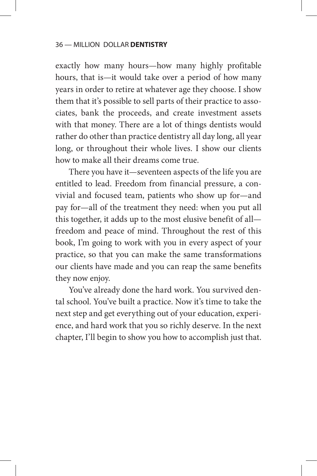exactly how many hours—how many highly profitable hours, that is—it would take over a period of how many years in order to retire at whatever age they choose. I show them that it's possible to sell parts of their practice to associates, bank the proceeds, and create investment assets with that money. There are a lot of things dentists would rather do other than practice dentistry all day long, all year long, or throughout their whole lives. I show our clients how to make all their dreams come true.

There you have it—seventeen aspects of the life you are entitled to lead. Freedom from financial pressure, a convivial and focused team, patients who show up for—and pay for—all of the treatment they need: when you put all this together, it adds up to the most elusive benefit of all freedom and peace of mind. Throughout the rest of this book, I'm going to work with you in every aspect of your practice, so that you can make the same transformations our clients have made and you can reap the same benefits they now enjoy.

You've already done the hard work. You survived dental school. You've built a practice. Now it's time to take the next step and get everything out of your education, experience, and hard work that you so richly deserve. In the next chapter, I'll begin to show you how to accomplish just that.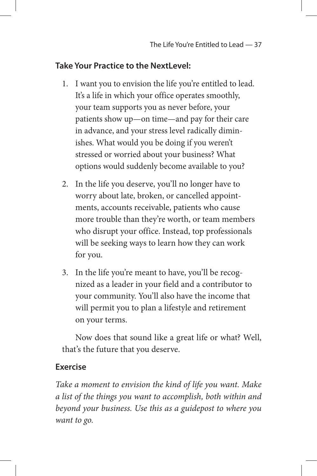#### **Take Your Practice to the NextLevel:**

- 1. I want you to envision the life you're entitled to lead. It's a life in which your office operates smoothly, your team supports you as never before, your patients show up—on time—and pay for their care in advance, and your stress level radically diminishes. What would you be doing if you weren't stressed or worried about your business? What options would suddenly become available to you?
- 2. In the life you deserve, you'll no longer have to worry about late, broken, or cancelled appointments, accounts receivable, patients who cause more trouble than they're worth, or team members who disrupt your office. Instead, top professionals will be seeking ways to learn how they can work for you.
- 3. In the life you're meant to have, you'll be recognized as a leader in your field and a contributor to your community. You'll also have the income that will permit you to plan a lifestyle and retirement on your terms.

Now does that sound like a great life or what? Well, that's the future that you deserve.

#### **Exercise**

*Take a moment to envision the kind of life you want. Make a list of the things you want to accomplish, both within and beyond your business. Use this as a guidepost to where you want to go.*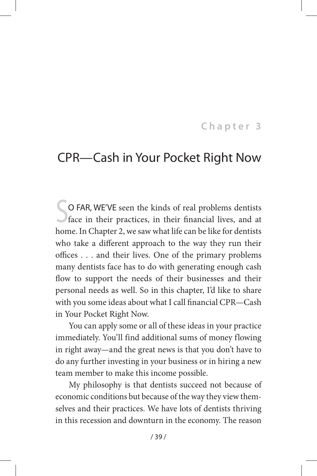### **Chapter 3**

# CPR—Cash in Your Pocket Right Now

O FAR, WE'VE seen the kinds of real problems dentists face in their practices, in their financial lives, and at home. In Chapter 2, we saw what life can be like for dentists who take a different approach to the way they run their offices . . . and their lives. One of the primary problems many dentists face has to do with generating enough cash flow to support the needs of their businesses and their personal needs as well. So in this chapter, I'd like to share with you some ideas about what I call financial CPR—Cash in Your Pocket Right Now.

You can apply some or all of these ideas in your practice immediately. You'll find additional sums of money flowing in right away—and the great news is that you don't have to do any further investing in your business or in hiring a new team member to make this income possible.

My philosophy is that dentists succeed not because of economic conditions but because of the way they view themselves and their practices. We have lots of dentists thriving in this recession and downturn in the economy. The reason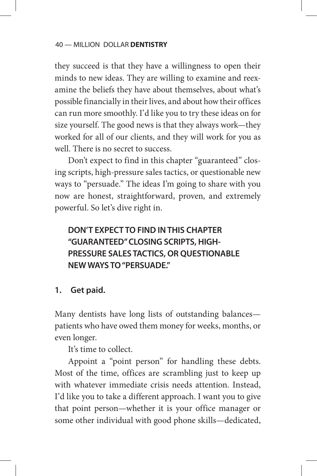they succeed is that they have a willingness to open their minds to new ideas. They are willing to examine and reexamine the beliefs they have about themselves, about what's possible financially in their lives, and about how their offices can run more smoothly. I'd like you to try these ideas on for size yourself. The good news is that they always work—they worked for all of our clients, and they will work for you as well. There is no secret to success.

Don't expect to find in this chapter "guaranteed" closing scripts, high-pressure sales tactics, or questionable new ways to "persuade." The ideas I'm going to share with you now are honest, straightforward, proven, and extremely powerful. So let's dive right in.

## **DON'T EXPECT TO FIND IN THIS CHAPTER "GUARANTEED" CLOSING SCRIPTS, HIGH-PRESSURE SALES TACTICS, OR QUESTIONABLE NEW WAYS TO "PERSUADE."**

#### **1. Get paid.**

Many dentists have long lists of outstanding balances patients who have owed them money for weeks, months, or even longer.

It's time to collect.

Appoint a "point person" for handling these debts. Most of the time, offices are scrambling just to keep up with whatever immediate crisis needs attention. Instead, I'd like you to take a different approach. I want you to give that point person—whether it is your office manager or some other individual with good phone skills—dedicated,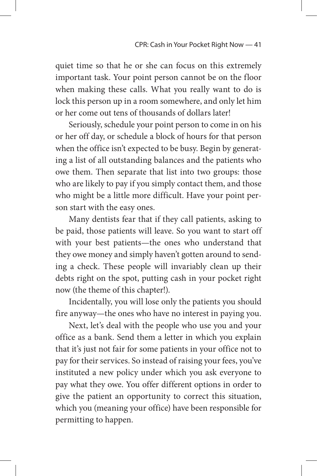quiet time so that he or she can focus on this extremely important task. Your point person cannot be on the floor when making these calls. What you really want to do is lock this person up in a room somewhere, and only let him or her come out tens of thousands of dollars later!

Seriously, schedule your point person to come in on his or her off day, or schedule a block of hours for that person when the office isn't expected to be busy. Begin by generating a list of all outstanding balances and the patients who owe them. Then separate that list into two groups: those who are likely to pay if you simply contact them, and those who might be a little more difficult. Have your point person start with the easy ones.

Many dentists fear that if they call patients, asking to be paid, those patients will leave. So you want to start off with your best patients—the ones who understand that they owe money and simply haven't gotten around to sending a check. These people will invariably clean up their debts right on the spot, putting cash in your pocket right now (the theme of this chapter!).

Incidentally, you will lose only the patients you should fire anyway—the ones who have no interest in paying you.

Next, let's deal with the people who use you and your office as a bank. Send them a letter in which you explain that it's just not fair for some patients in your office not to pay for their services. So instead of raising your fees, you've instituted a new policy under which you ask everyone to pay what they owe. You offer different options in order to give the patient an opportunity to correct this situation, which you (meaning your office) have been responsible for permitting to happen.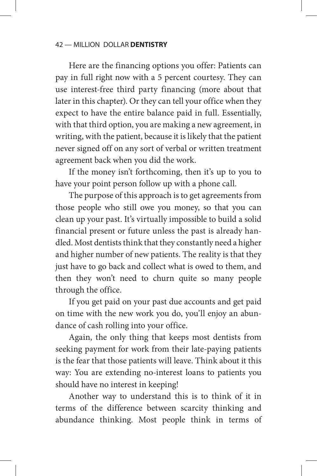Here are the financing options you offer: Patients can pay in full right now with a 5 percent courtesy. They can use interest-free third party financing (more about that later in this chapter). Or they can tell your office when they expect to have the entire balance paid in full. Essentially, with that third option, you are making a new agreement, in writing, with the patient, because it is likely that the patient never signed off on any sort of verbal or written treatment agreement back when you did the work.

If the money isn't forthcoming, then it's up to you to have your point person follow up with a phone call.

The purpose of this approach is to get agreements from those people who still owe you money, so that you can clean up your past. It's virtually impossible to build a solid financial present or future unless the past is already handled. Most dentists think that they constantly need a higher and higher number of new patients. The reality is that they just have to go back and collect what is owed to them, and then they won't need to churn quite so many people through the office.

If you get paid on your past due accounts and get paid on time with the new work you do, you'll enjoy an abundance of cash rolling into your office.

Again, the only thing that keeps most dentists from seeking payment for work from their late-paying patients is the fear that those patients will leave. Think about it this way: You are extending no-interest loans to patients you should have no interest in keeping!

Another way to understand this is to think of it in terms of the difference between scarcity thinking and abundance thinking. Most people think in terms of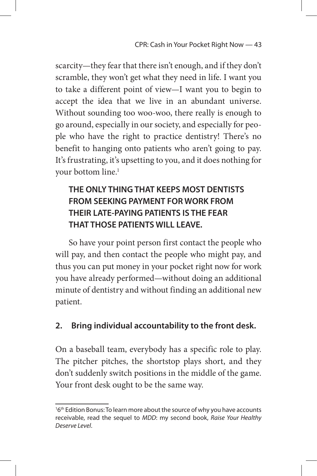scarcity—they fear that there isn't enough, and if they don't scramble, they won't get what they need in life. I want you to take a different point of view—I want you to begin to accept the idea that we live in an abundant universe. Without sounding too woo-woo, there really is enough to go around, especially in our society, and especially for people who have the right to practice dentistry! There's no benefit to hanging onto patients who aren't going to pay. It's frustrating, it's upsetting to you, and it does nothing for your bottom line.1

## **THE ONLY THING THAT KEEPS MOST DENTISTS FROM SEEKING PAYMENT FOR WORK FROM THEIR LATE-PAYING PATIENTS IS THE FEAR THAT THOSE PATIENTS WILL LEAVE.**

So have your point person first contact the people who will pay, and then contact the people who might pay, and thus you can put money in your pocket right now for work you have already performed—without doing an additional minute of dentistry and without finding an additional new patient.

### **2. Bring individual accountability to the front desk.**

On a baseball team, everybody has a specific role to play. The pitcher pitches, the shortstop plays short, and they don't suddenly switch positions in the middle of the game. Your front desk ought to be the same way.

<sup>&</sup>lt;sup>1</sup>6<sup>th</sup> Edition Bonus: To learn more about the source of why you have accounts receivable, read the sequel to *MDD*: my second book, *Raise Your Healthy Deserve Level*.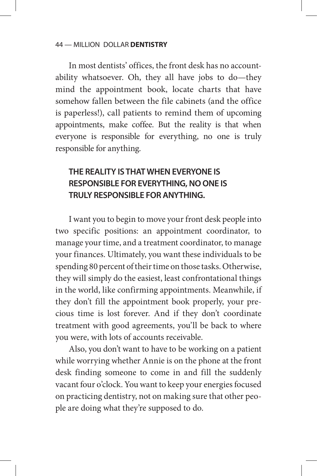In most dentists' offices, the front desk has no accountability whatsoever. Oh, they all have jobs to do—they mind the appointment book, locate charts that have somehow fallen between the file cabinets (and the office is paperless!), call patients to remind them of upcoming appointments, make coffee. But the reality is that when everyone is responsible for everything, no one is truly responsible for anything.

## **THE REALITY IS THAT WHEN EVERYONE IS RESPONSIBLE FOR EVERYTHING, NO ONE IS TRULY RESPONSIBLE FOR ANYTHING.**

I want you to begin to move your front desk people into two specific positions: an appointment coordinator, to manage your time, and a treatment coordinator, to manage your finances. Ultimately, you want these individuals to be spending 80 percent of their time on those tasks. Otherwise, they will simply do the easiest, least confrontational things in the world, like confirming appointments. Meanwhile, if they don't fill the appointment book properly, your precious time is lost forever. And if they don't coordinate treatment with good agreements, you'll be back to where you were, with lots of accounts receivable.

Also, you don't want to have to be working on a patient while worrying whether Annie is on the phone at the front desk finding someone to come in and fill the suddenly vacant four o'clock. You want to keep your energies focused on practicing dentistry, not on making sure that other people are doing what they're supposed to do.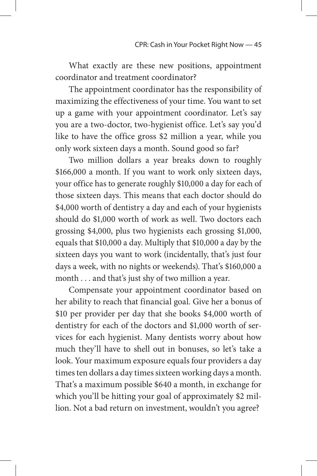What exactly are these new positions, appointment coordinator and treatment coordinator?

The appointment coordinator has the responsibility of maximizing the effectiveness of your time. You want to set up a game with your appointment coordinator. Let's say you are a two-doctor, two-hygienist office. Let's say you'd like to have the office gross \$2 million a year, while you only work sixteen days a month. Sound good so far?

Two million dollars a year breaks down to roughly \$166,000 a month. If you want to work only sixteen days, your office has to generate roughly \$10,000 a day for each of those sixteen days. This means that each doctor should do \$4,000 worth of dentistry a day and each of your hygienists should do \$1,000 worth of work as well. Two doctors each grossing \$4,000, plus two hygienists each grossing \$1,000, equals that \$10,000 a day. Multiply that \$10,000 a day by the sixteen days you want to work (incidentally, that's just four days a week, with no nights or weekends). That's \$160,000 a month . . . and that's just shy of two million a year.

Compensate your appointment coordinator based on her ability to reach that financial goal. Give her a bonus of \$10 per provider per day that she books \$4,000 worth of dentistry for each of the doctors and \$1,000 worth of services for each hygienist. Many dentists worry about how much they'll have to shell out in bonuses, so let's take a look. Your maximum exposure equals four providers a day times ten dollars a day times sixteen working days a month. That's a maximum possible \$640 a month, in exchange for which you'll be hitting your goal of approximately \$2 million. Not a bad return on investment, wouldn't you agree?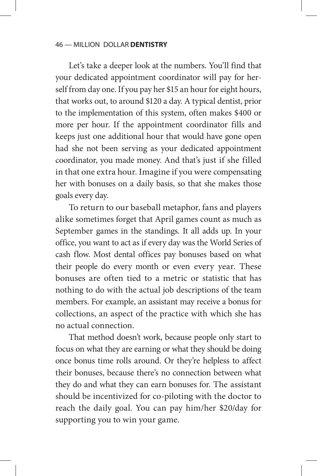Let's take a deeper look at the numbers. You'll find that your dedicated appointment coordinator will pay for herself from day one. If you pay her \$15 an hour for eight hours, that works out, to around \$120 a day. A typical dentist, prior to the implementation of this system, often makes \$400 or more per hour. If the appointment coordinator fills and keeps just one additional hour that would have gone open had she not been serving as your dedicated appointment coordinator, you made money. And that's just if she filled in that one extra hour. Imagine if you were compensating her with bonuses on a daily basis, so that she makes those goals every day.

To return to our baseball metaphor, fans and players alike sometimes forget that April games count as much as September games in the standings. It all adds up. In your office, you want to act as if every day was the World Series of cash flow. Most dental offices pay bonuses based on what their people do every month or even every year. These bonuses are often tied to a metric or statistic that has nothing to do with the actual job descriptions of the team members. For example, an assistant may receive a bonus for collections, an aspect of the practice with which she has no actual connection.

That method doesn't work, because people only start to focus on what they are earning or what they should be doing once bonus time rolls around. Or they're helpless to affect their bonuses, because there's no connection between what they do and what they can earn bonuses for. The assistant should be incentivized for co-piloting with the doctor to reach the daily goal. You can pay him/her \$20/day for supporting you to win your game.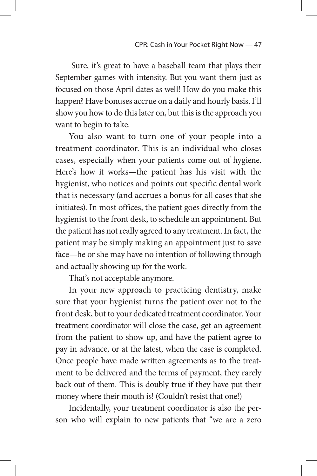Sure, it's great to have a baseball team that plays their September games with intensity. But you want them just as focused on those April dates as well! How do you make this happen? Have bonuses accrue on a daily and hourly basis. I'll show you how to do this later on, but this is the approach you want to begin to take.

You also want to turn one of your people into a treatment coordinator. This is an individual who closes cases, especially when your patients come out of hygiene. Here's how it works—the patient has his visit with the hygienist, who notices and points out specific dental work that is necessary (and accrues a bonus for all cases that she initiates). In most offices, the patient goes directly from the hygienist to the front desk, to schedule an appointment. But the patient has not really agreed to any treatment. In fact, the patient may be simply making an appointment just to save face—he or she may have no intention of following through and actually showing up for the work.

That's not acceptable anymore.

In your new approach to practicing dentistry, make sure that your hygienist turns the patient over not to the front desk, but to your dedicated treatment coordinator. Your treatment coordinator will close the case, get an agreement from the patient to show up, and have the patient agree to pay in advance, or at the latest, when the case is completed. Once people have made written agreements as to the treatment to be delivered and the terms of payment, they rarely back out of them. This is doubly true if they have put their money where their mouth is! (Couldn't resist that one!)

Incidentally, your treatment coordinator is also the person who will explain to new patients that "we are a zero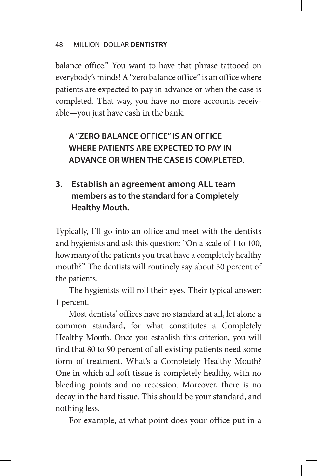balance office." You want to have that phrase tattooed on everybody's minds! A "zero balance office" is an office where patients are expected to pay in advance or when the case is completed. That way, you have no more accounts receivable—you just have cash in the bank.

## **A "ZERO BALANCE OFFICE" IS AN OFFICE WHERE PATIENTS ARE EXPECTED TO PAY IN ADVANCE OR WHEN THE CASE IS COMPLETED.**

## **3. Establish an agreement among ALL team members as to the standard for a Completely Healthy Mouth.**

Typically, I'll go into an office and meet with the dentists and hygienists and ask this question: "On a scale of 1 to 100, how many of the patients you treat have a completely healthy mouth?" The dentists will routinely say about 30 percent of the patients.

The hygienists will roll their eyes. Their typical answer: 1 percent.

Most dentists' offices have no standard at all, let alone a common standard, for what constitutes a Completely Healthy Mouth. Once you establish this criterion, you will find that 80 to 90 percent of all existing patients need some form of treatment. What's a Completely Healthy Mouth? One in which all soft tissue is completely healthy, with no bleeding points and no recession. Moreover, there is no decay in the hard tissue. This should be your standard, and nothing less.

For example, at what point does your office put in a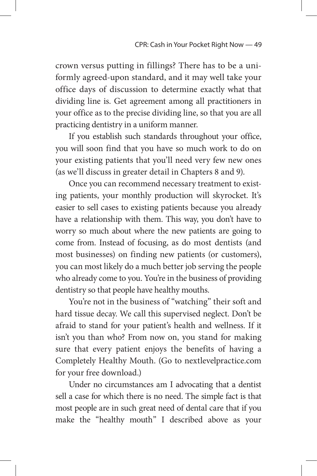crown versus putting in fillings? There has to be a uniformly agreed-upon standard, and it may well take your office days of discussion to determine exactly what that dividing line is. Get agreement among all practitioners in your office as to the precise dividing line, so that you are all practicing dentistry in a uniform manner.

If you establish such standards throughout your office, you will soon find that you have so much work to do on your existing patients that you'll need very few new ones (as we'll discuss in greater detail in Chapters 8 and 9).

Once you can recommend necessary treatment to existing patients, your monthly production will skyrocket. It's easier to sell cases to existing patients because you already have a relationship with them. This way, you don't have to worry so much about where the new patients are going to come from. Instead of focusing, as do most dentists (and most businesses) on finding new patients (or customers), you can most likely do a much better job serving the people who already come to you. You're in the business of providing dentistry so that people have healthy mouths.

You're not in the business of "watching" their soft and hard tissue decay. We call this supervised neglect. Don't be afraid to stand for your patient's health and wellness. If it isn't you than who? From now on, you stand for making sure that every patient enjoys the benefits of having a Completely Healthy Mouth. (Go to nextlevelpractice.com for your free download.)

Under no circumstances am I advocating that a dentist sell a case for which there is no need. The simple fact is that most people are in such great need of dental care that if you make the "healthy mouth" I described above as your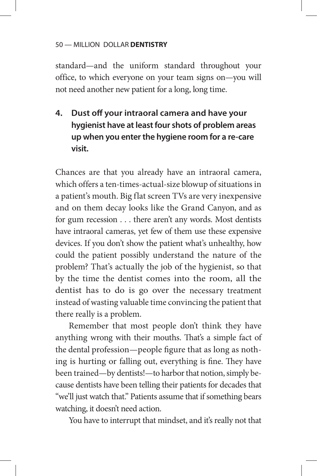standard—and the uniform standard throughout your office, to which everyone on your team signs on—you will not need another new patient for a long, long time.

**4. Dust off your intraoral camera and have your hygienist have at least four shots of problem areas up when you enter the hygiene room for a re-care visit.** 

Chances are that you already have an intraoral camera, which offers a ten-times-actual-size blowup of situations in a patient's mouth. Big flat screen TVs are very inexpensive and on them decay looks like the Grand Canyon, and as for gum recession . . . there aren't any words. Most dentists have intraoral cameras, yet few of them use these expensive devices. If you don't show the patient what's unhealthy, how could the patient possibly understand the nature of the problem? That's actually the job of the hygienist, so that by the time the dentist comes into the room, all the dentist has to do is go over the necessary treatment instead of wasting valuable time convincing the patient that there really is a problem.

Remember that most people don't think they have anything wrong with their mouths. That's a simple fact of the dental profession—people figure that as long as nothing is hurting or falling out, everything is fine. They have been trained—by dentists!—to harbor that notion, simply because dentists have been telling their patients for decades that "we'll just watch that." Patients assume that if something bears watching, it doesn't need action.

You have to interrupt that mindset, and it's really not that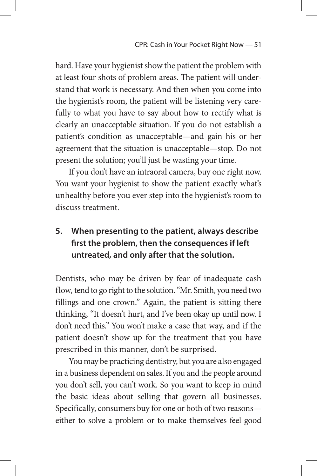hard. Have your hygienist show the patient the problem with at least four shots of problem areas. The patient will understand that work is necessary. And then when you come into the hygienist's room, the patient will be listening very carefully to what you have to say about how to rectify what is clearly an unacceptable situation. If you do not establish a patient's condition as unacceptable—and gain his or her agreement that the situation is unacceptable—stop. Do not present the solution; you'll just be wasting your time.

If you don't have an intraoral camera, buy one right now. You want your hygienist to show the patient exactly what's unhealthy before you ever step into the hygienist's room to discuss treatment.

## **5. When presenting to the patient, always describe first the problem, then the consequences if left untreated, and only after that the solution.**

Dentists, who may be driven by fear of inadequate cash flow, tend to go right to the solution. "Mr. Smith, you need two fillings and one crown." Again, the patient is sitting there thinking, "It doesn't hurt, and I've been okay up until now. I don't need this." You won't make a case that way, and if the patient doesn't show up for the treatment that you have prescribed in this manner, don't be surprised.

You may be practicing dentistry, but you are also engaged in a business dependent on sales. If you and the people around you don't sell, you can't work. So you want to keep in mind the basic ideas about selling that govern all businesses. Specifically, consumers buy for one or both of two reasons either to solve a problem or to make themselves feel good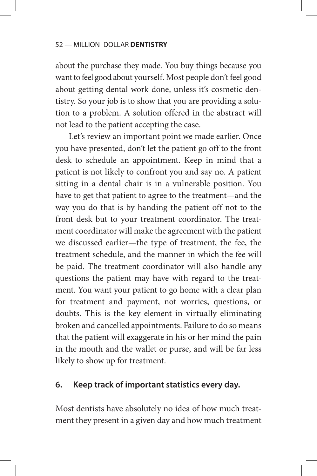about the purchase they made. You buy things because you want to feel good about yourself. Most people don't feel good about getting dental work done, unless it's cosmetic dentistry. So your job is to show that you are providing a solution to a problem. A solution offered in the abstract will not lead to the patient accepting the case.

Let's review an important point we made earlier. Once you have presented, don't let the patient go off to the front desk to schedule an appointment. Keep in mind that a patient is not likely to confront you and say no. A patient sitting in a dental chair is in a vulnerable position. You have to get that patient to agree to the treatment—and the way you do that is by handing the patient off not to the front desk but to your treatment coordinator. The treatment coordinator will make the agreement with the patient we discussed earlier—the type of treatment, the fee, the treatment schedule, and the manner in which the fee will be paid. The treatment coordinator will also handle any questions the patient may have with regard to the treatment. You want your patient to go home with a clear plan for treatment and payment, not worries, questions, or doubts. This is the key element in virtually eliminating broken and cancelled appointments. Failure to do so means that the patient will exaggerate in his or her mind the pain in the mouth and the wallet or purse, and will be far less likely to show up for treatment.

#### **6. Keep track of important statistics every day.**

Most dentists have absolutely no idea of how much treatment they present in a given day and how much treatment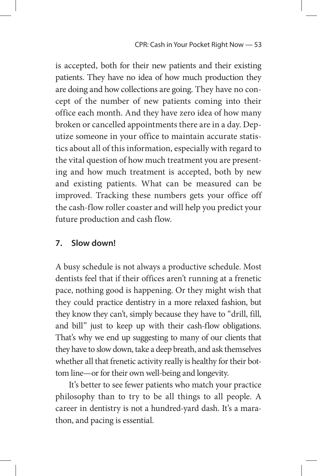is accepted, both for their new patients and their existing patients. They have no idea of how much production they are doing and how collections are going. They have no concept of the number of new patients coming into their office each month. And they have zero idea of how many broken or cancelled appointments there are in a day. Deputize someone in your office to maintain accurate statistics about all of this information, especially with regard to the vital question of how much treatment you are presenting and how much treatment is accepted, both by new and existing patients. What can be measured can be improved. Tracking these numbers gets your office off the cash-flow roller coaster and will help you predict your future production and cash flow.

#### **7. Slow down!**

A busy schedule is not always a productive schedule. Most dentists feel that if their offices aren't running at a frenetic pace, nothing good is happening. Or they might wish that they could practice dentistry in a more relaxed fashion, but they know they can't, simply because they have to "drill, fill, and bill" just to keep up with their cash-flow obligations. That's why we end up suggesting to many of our clients that they have to slow down, take a deep breath, and ask themselves whether all that frenetic activity really is healthy for their bottom line—or for their own well-being and longevity.

It's better to see fewer patients who match your practice philosophy than to try to be all things to all people. A career in dentistry is not a hundred-yard dash. It's a marathon, and pacing is essential.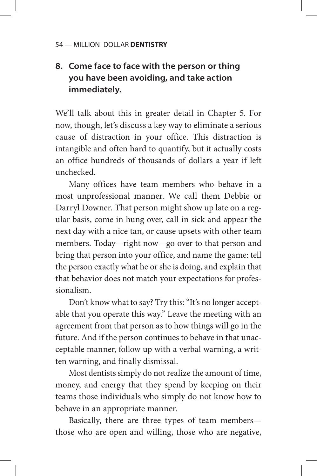## **8. Come face to face with the person or thing you have been avoiding, and take action immediately.**

We'll talk about this in greater detail in Chapter 5. For now, though, let's discuss a key way to eliminate a serious cause of distraction in your office. This distraction is intangible and often hard to quantify, but it actually costs an office hundreds of thousands of dollars a year if left unchecked.

Many offices have team members who behave in a most unprofessional manner. We call them Debbie or Darryl Downer. That person might show up late on a regular basis, come in hung over, call in sick and appear the next day with a nice tan, or cause upsets with other team members. Today—right now—go over to that person and bring that person into your office, and name the game: tell the person exactly what he or she is doing, and explain that that behavior does not match your expectations for professionalism.

Don't know what to say? Try this: "It's no longer acceptable that you operate this way." Leave the meeting with an agreement from that person as to how things will go in the future. And if the person continues to behave in that unacceptable manner, follow up with a verbal warning, a written warning, and finally dismissal.

Most dentists simply do not realize the amount of time, money, and energy that they spend by keeping on their teams those individuals who simply do not know how to behave in an appropriate manner.

Basically, there are three types of team members those who are open and willing, those who are negative,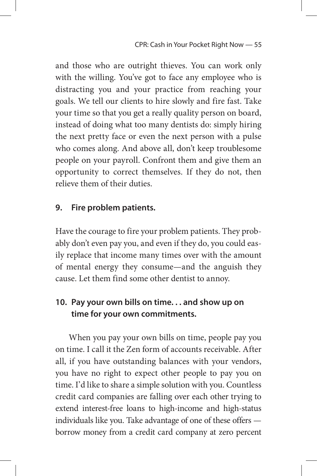and those who are outright thieves. You can work only with the willing. You've got to face any employee who is distracting you and your practice from reaching your goals. We tell our clients to hire slowly and fire fast. Take your time so that you get a really quality person on board, instead of doing what too many dentists do: simply hiring the next pretty face or even the next person with a pulse who comes along. And above all, don't keep troublesome people on your payroll. Confront them and give them an opportunity to correct themselves. If they do not, then relieve them of their duties.

#### **9. Fire problem patients.**

Have the courage to fire your problem patients. They probably don't even pay you, and even if they do, you could easily replace that income many times over with the amount of mental energy they consume—and the anguish they cause. Let them find some other dentist to annoy.

### **10. Pay your own bills on time. . . and show up on time for your own commitments.**

When you pay your own bills on time, people pay you on time. I call it the Zen form of accounts receivable. After all, if you have outstanding balances with your vendors, you have no right to expect other people to pay you on time. I'd like to share a simple solution with you. Countless credit card companies are falling over each other trying to extend interest-free loans to high-income and high-status individuals like you. Take advantage of one of these offers borrow money from a credit card company at zero percent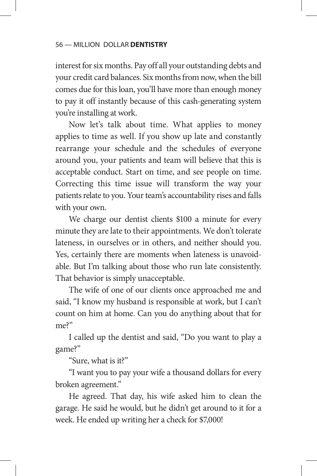interest for six months. Pay off all your outstanding debts and your credit card balances. Six months from now, when the bill comes due for this loan, you'll have more than enough money to pay it off instantly because of this cash-generating system you're installing at work.

Now let's talk about time. What applies to money applies to time as well. If you show up late and constantly rearrange your schedule and the schedules of everyone around you, your patients and team will believe that this is acceptable conduct. Start on time, and see people on time. Correcting this time issue will transform the way your patients relate to you. Your team's accountability rises and falls with your own.

We charge our dentist clients \$100 a minute for every minute they are late to their appointments. We don't tolerate lateness, in ourselves or in others, and neither should you. Yes, certainly there are moments when lateness is unavoidable. But I'm talking about those who run late consistently. That behavior is simply unacceptable.

The wife of one of our clients once approached me and said, "I know my husband is responsible at work, but I can't count on him at home. Can you do anything about that for me?"

I called up the dentist and said, "Do you want to play a game?"

"Sure, what is it?"

"I want you to pay your wife a thousand dollars for every broken agreement."

He agreed. That day, his wife asked him to clean the garage. He said he would, but he didn't get around to it for a week. He ended up writing her a check for \$7,000!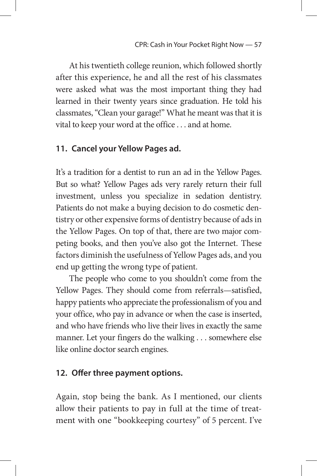At his twentieth college reunion, which followed shortly after this experience, he and all the rest of his classmates were asked what was the most important thing they had learned in their twenty years since graduation. He told his classmates, "Clean your garage!" What he meant was that it is vital to keep your word at the office . . . and at home.

#### **11. Cancel your Yellow Pages ad.**

It's a tradition for a dentist to run an ad in the Yellow Pages. But so what? Yellow Pages ads very rarely return their full investment, unless you specialize in sedation dentistry. Patients do not make a buying decision to do cosmetic dentistry or other expensive forms of dentistry because of ads in the Yellow Pages. On top of that, there are two major competing books, and then you've also got the Internet. These factors diminish the usefulness of Yellow Pages ads, and you end up getting the wrong type of patient.

The people who come to you shouldn't come from the Yellow Pages. They should come from referrals—satisfied, happy patients who appreciate the professionalism of you and your office, who pay in advance or when the case is inserted, and who have friends who live their lives in exactly the same manner. Let your fingers do the walking . . . somewhere else like online doctor search engines.

#### **12. Offer three payment options.**

Again, stop being the bank. As I mentioned, our clients allow their patients to pay in full at the time of treatment with one "bookkeeping courtesy" of 5 percent. I've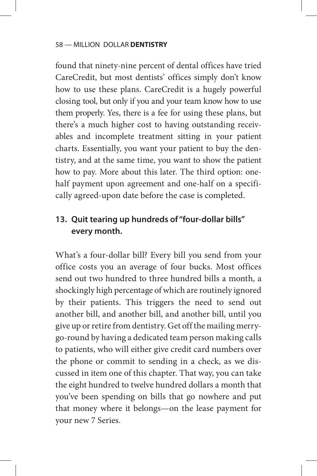found that ninety-nine percent of dental offices have tried CareCredit, but most dentists' offices simply don't know how to use these plans. CareCredit is a hugely powerful closing tool, but only if you and your team know how to use them properly. Yes, there is a fee for using these plans, but there's a much higher cost to having outstanding receivables and incomplete treatment sitting in your patient charts. Essentially, you want your patient to buy the dentistry, and at the same time, you want to show the patient how to pay. More about this later. The third option: onehalf payment upon agreement and one-half on a specifically agreed-upon date before the case is completed.

## **13. Quit tearing up hundreds of "four-dollar bills" every month.**

What's a four-dollar bill? Every bill you send from your office costs you an average of four bucks. Most offices send out two hundred to three hundred bills a month, a shockingly high percentage of which are routinely ignored by their patients. This triggers the need to send out another bill, and another bill, and another bill, until you give up or retire from dentistry. Get off the mailing merrygo-round by having a dedicated team person making calls to patients, who will either give credit card numbers over the phone or commit to sending in a check, as we discussed in item one of this chapter. That way, you can take the eight hundred to twelve hundred dollars a month that you've been spending on bills that go nowhere and put that money where it belongs—on the lease payment for your new 7 Series.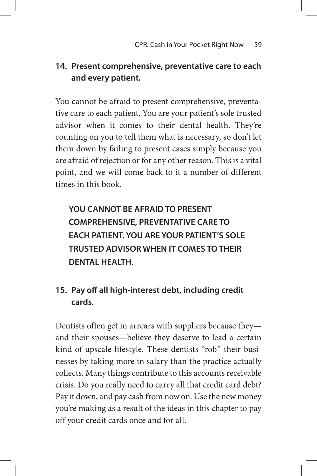## **14. Present comprehensive, preventative care to each and every patient.**

You cannot be afraid to present comprehensive, preventative care to each patient. You are your patient's sole trusted advisor when it comes to their dental health. They're counting on you to tell them what is necessary, so don't let them down by failing to present cases simply because you are afraid of rejection or for any other reason. This is a vital point, and we will come back to it a number of different times in this book.

# **YOU CANNOT BE AFRAID TO PRESENT COMPREHENSIVE, PREVENTATIVE CARE TO EACH PATIENT. YOU ARE YOUR PATIENT'S SOLE TRUSTED ADVISOR WHEN IT COMES TO THEIR DENTAL HEALTH.**

## **15. Pay off all high-interest debt, including credit cards.**

Dentists often get in arrears with suppliers because they and their spouses—believe they deserve to lead a certain kind of upscale lifestyle. These dentists "rob" their businesses by taking more in salary than the practice actually collects. Many things contribute to this accounts receivable crisis. Do you really need to carry all that credit card debt? Pay it down, and pay cash from now on. Use the new money you're making as a result of the ideas in this chapter to pay off your credit cards once and for all.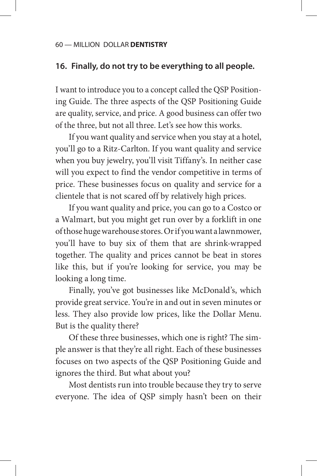#### **16. Finally, do not try to be everything to all people.**

I want to introduce you to a concept called the QSP Positioning Guide. The three aspects of the QSP Positioning Guide are quality, service, and price. A good business can offer two of the three, but not all three. Let's see how this works.

If you want quality and service when you stay at a hotel, you'll go to a Ritz-Carlton. If you want quality and service when you buy jewelry, you'll visit Tiffany's. In neither case will you expect to find the vendor competitive in terms of price. These businesses focus on quality and service for a clientele that is not scared off by relatively high prices.

If you want quality and price, you can go to a Costco or a Walmart, but you might get run over by a forklift in one of those huge warehouse stores. Or if you want a lawnmower, you'll have to buy six of them that are shrink-wrapped together. The quality and prices cannot be beat in stores like this, but if you're looking for service, you may be looking a long time.

Finally, you've got businesses like McDonald's, which provide great service. You're in and out in seven minutes or less. They also provide low prices, like the Dollar Menu. But is the quality there?

Of these three businesses, which one is right? The simple answer is that they're all right. Each of these businesses focuses on two aspects of the QSP Positioning Guide and ignores the third. But what about you?

Most dentists run into trouble because they try to serve everyone. The idea of QSP simply hasn't been on their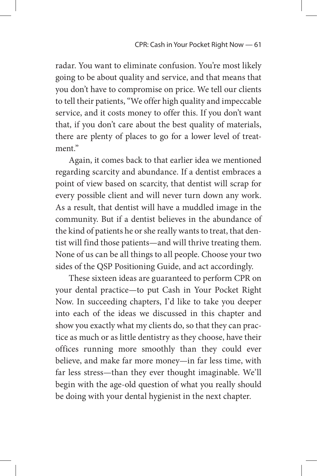radar. You want to eliminate confusion. You're most likely going to be about quality and service, and that means that you don't have to compromise on price. We tell our clients to tell their patients, "We offer high quality and impeccable service, and it costs money to offer this. If you don't want that, if you don't care about the best quality of materials, there are plenty of places to go for a lower level of treatment"

Again, it comes back to that earlier idea we mentioned regarding scarcity and abundance. If a dentist embraces a point of view based on scarcity, that dentist will scrap for every possible client and will never turn down any work. As a result, that dentist will have a muddled image in the community. But if a dentist believes in the abundance of the kind of patients he or she really wants to treat, that dentist will find those patients—and will thrive treating them. None of us can be all things to all people. Choose your two sides of the QSP Positioning Guide, and act accordingly.

These sixteen ideas are guaranteed to perform CPR on your dental practice—to put Cash in Your Pocket Right Now. In succeeding chapters, I'd like to take you deeper into each of the ideas we discussed in this chapter and show you exactly what my clients do, so that they can practice as much or as little dentistry as they choose, have their offices running more smoothly than they could ever believe, and make far more money—in far less time, with far less stress—than they ever thought imaginable. We'll begin with the age-old question of what you really should be doing with your dental hygienist in the next chapter.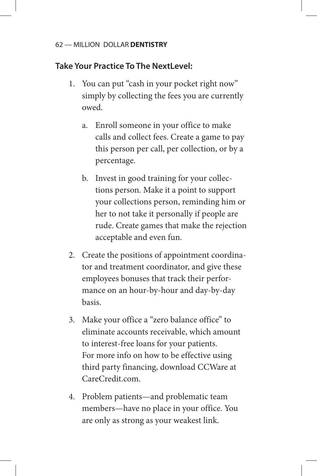#### **Take Your Practice To The NextLevel:**

- 1. You can put "cash in your pocket right now" simply by collecting the fees you are currently owed.
	- a. Enroll someone in your office to make calls and collect fees. Create a game to pay this person per call, per collection, or by a percentage.
	- b. Invest in good training for your collections person. Make it a point to support your collections person, reminding him or her to not take it personally if people are rude. Create games that make the rejection acceptable and even fun.
- 2. Create the positions of appointment coordinator and treatment coordinator, and give these employees bonuses that track their performance on an hour-by-hour and day-by-day basis.
- 3. Make your office a "zero balance office" to eliminate accounts receivable, which amount to interest-free loans for your patients. For more info on how to be effective using third party financing, download CCWare at CareCredit.com.
- 4. Problem patients—and problematic team members—have no place in your office. You are only as strong as your weakest link.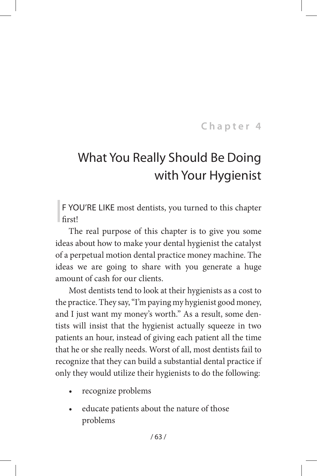## **Chapter 4**

# What You Really Should Be Doing with Your Hygienist

F YOU'RE LIKE most dentists, you turned to this chapter first! first!

The real purpose of this chapter is to give you some ideas about how to make your dental hygienist the catalyst of a perpetual motion dental practice money machine. The ideas we are going to share with you generate a huge amount of cash for our clients.

Most dentists tend to look at their hygienists as a cost to the practice. They say, "I'm paying my hygienist good money, and I just want my money's worth." As a result, some dentists will insist that the hygienist actually squeeze in two patients an hour, instead of giving each patient all the time that he or she really needs. Worst of all, most dentists fail to recognize that they can build a substantial dental practice if only they would utilize their hygienists to do the following:

- • recognize problems
- • educate patients about the nature of those problems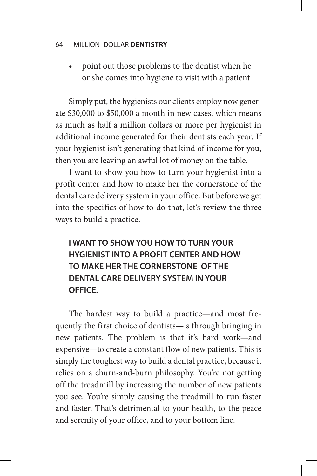point out those problems to the dentist when he or she comes into hygiene to visit with a patient

Simply put, the hygienists our clients employ now generate \$30,000 to \$50,000 a month in new cases, which means as much as half a million dollars or more per hygienist in additional income generated for their dentists each year. If your hygienist isn't generating that kind of income for you, then you are leaving an awful lot of money on the table.

I want to show you how to turn your hygienist into a profit center and how to make her the cornerstone of the dental care delivery system in your office. But before we get into the specifics of how to do that, let's review the three ways to build a practice.

# **I WANT TO SHOW YOU HOW TO TURN YOUR HYGIENIST INTO A PROFIT CENTER AND HOW TO MAKE HER THE CORNERSTONE OF THE DENTAL CARE DELIVERY SYSTEM IN YOUR OFFICE.**

The hardest way to build a practice—and most frequently the first choice of dentists—is through bringing in new patients. The problem is that it's hard work—and expensive—to create a constant flow of new patients. This is simply the toughest way to build a dental practice, because it relies on a churn-and-burn philosophy. You're not getting off the treadmill by increasing the number of new patients you see. You're simply causing the treadmill to run faster and faster. That's detrimental to your health, to the peace and serenity of your office, and to your bottom line.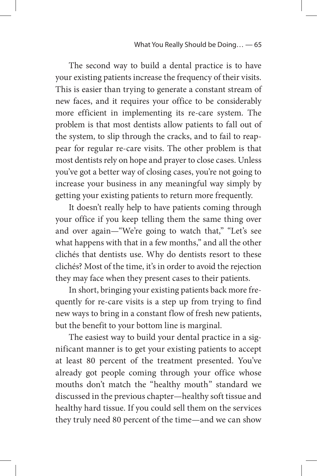The second way to build a dental practice is to have your existing patients increase the frequency of their visits. This is easier than trying to generate a constant stream of new faces, and it requires your office to be considerably more efficient in implementing its re-care system. The problem is that most dentists allow patients to fall out of the system, to slip through the cracks, and to fail to reappear for regular re-care visits. The other problem is that most dentists rely on hope and prayer to close cases. Unless you've got a better way of closing cases, you're not going to increase your business in any meaningful way simply by getting your existing patients to return more frequently.

It doesn't really help to have patients coming through your office if you keep telling them the same thing over and over again—"We're going to watch that," "Let's see what happens with that in a few months," and all the other clichés that dentists use. Why do dentists resort to these clichés? Most of the time, it's in order to avoid the rejection they may face when they present cases to their patients.

In short, bringing your existing patients back more frequently for re-care visits is a step up from trying to find new ways to bring in a constant flow of fresh new patients, but the benefit to your bottom line is marginal.

The easiest way to build your dental practice in a significant manner is to get your existing patients to accept at least 80 percent of the treatment presented. You've already got people coming through your office whose mouths don't match the "healthy mouth" standard we discussed in the previous chapter—healthy soft tissue and healthy hard tissue. If you could sell them on the services they truly need 80 percent of the time—and we can show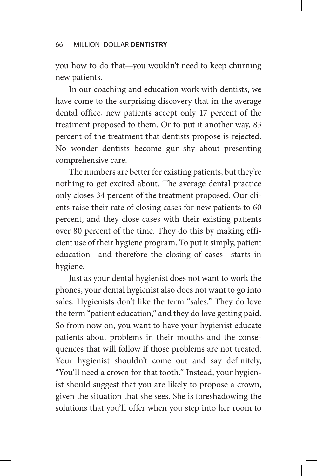you how to do that—you wouldn't need to keep churning new patients.

In our coaching and education work with dentists, we have come to the surprising discovery that in the average dental office, new patients accept only 17 percent of the treatment proposed to them. Or to put it another way, 83 percent of the treatment that dentists propose is rejected. No wonder dentists become gun-shy about presenting comprehensive care.

The numbers are better for existing patients, but they're nothing to get excited about. The average dental practice only closes 34 percent of the treatment proposed. Our clients raise their rate of closing cases for new patients to 60 percent, and they close cases with their existing patients over 80 percent of the time. They do this by making efficient use of their hygiene program. To put it simply, patient education—and therefore the closing of cases—starts in hygiene.

Just as your dental hygienist does not want to work the phones, your dental hygienist also does not want to go into sales. Hygienists don't like the term "sales." They do love the term "patient education," and they do love getting paid. So from now on, you want to have your hygienist educate patients about problems in their mouths and the consequences that will follow if those problems are not treated. Your hygienist shouldn't come out and say definitely, "You'll need a crown for that tooth." Instead, your hygienist should suggest that you are likely to propose a crown, given the situation that she sees. She is foreshadowing the solutions that you'll offer when you step into her room to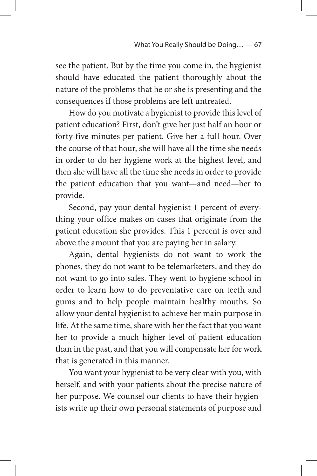see the patient. But by the time you come in, the hygienist should have educated the patient thoroughly about the nature of the problems that he or she is presenting and the consequences if those problems are left untreated.

How do you motivate a hygienist to provide this level of patient education? First, don't give her just half an hour or forty-five minutes per patient. Give her a full hour. Over the course of that hour, she will have all the time she needs in order to do her hygiene work at the highest level, and then she will have all the time she needs in order to provide the patient education that you want—and need—her to provide.

Second, pay your dental hygienist 1 percent of everything your office makes on cases that originate from the patient education she provides. This 1 percent is over and above the amount that you are paying her in salary.

Again, dental hygienists do not want to work the phones, they do not want to be telemarketers, and they do not want to go into sales. They went to hygiene school in order to learn how to do preventative care on teeth and gums and to help people maintain healthy mouths. So allow your dental hygienist to achieve her main purpose in life. At the same time, share with her the fact that you want her to provide a much higher level of patient education than in the past, and that you will compensate her for work that is generated in this manner.

You want your hygienist to be very clear with you, with herself, and with your patients about the precise nature of her purpose. We counsel our clients to have their hygienists write up their own personal statements of purpose and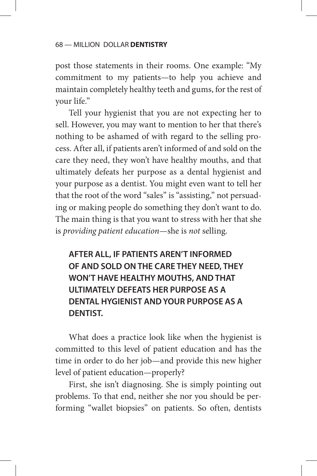post those statements in their rooms. One example: "My commitment to my patients—to help you achieve and maintain completely healthy teeth and gums, for the rest of your life."

Tell your hygienist that you are not expecting her to sell. However, you may want to mention to her that there's nothing to be ashamed of with regard to the selling process. After all, if patients aren't informed of and sold on the care they need, they won't have healthy mouths, and that ultimately defeats her purpose as a dental hygienist and your purpose as a dentist. You might even want to tell her that the root of the word "sales" is "assisting," not persuading or making people do something they don't want to do. The main thing is that you want to stress with her that she is *providing patient education*—she is *not* selling.

**AFTER ALL, IF PATIENTS AREN'T INFORMED OF AND SOLD ON THE CARE THEY NEED, THEY WON'T HAVE HEALTHY MOUTHS, AND THAT ULTIMATELY DEFEATS HER PURPOSE AS A DENTAL HYGIENIST AND YOUR PURPOSE AS A DENTIST.** 

What does a practice look like when the hygienist is committed to this level of patient education and has the time in order to do her job—and provide this new higher level of patient education—properly?

First, she isn't diagnosing. She is simply pointing out problems. To that end, neither she nor you should be performing "wallet biopsies" on patients. So often, dentists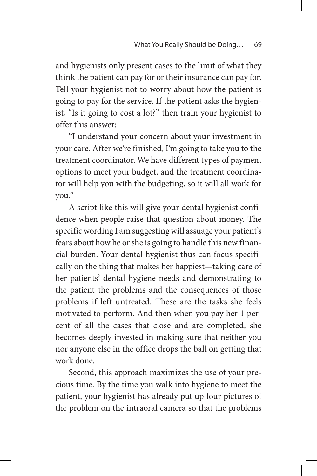and hygienists only present cases to the limit of what they think the patient can pay for or their insurance can pay for. Tell your hygienist not to worry about how the patient is going to pay for the service. If the patient asks the hygienist, "Is it going to cost a lot?" then train your hygienist to offer this answer:

"I understand your concern about your investment in your care. After we're finished, I'm going to take you to the treatment coordinator. We have different types of payment options to meet your budget, and the treatment coordinator will help you with the budgeting, so it will all work for you."

A script like this will give your dental hygienist confidence when people raise that question about money. The specific wording I am suggesting will assuage your patient's fears about how he or she is going to handle this new financial burden. Your dental hygienist thus can focus specifically on the thing that makes her happiest—taking care of her patients' dental hygiene needs and demonstrating to the patient the problems and the consequences of those problems if left untreated. These are the tasks she feels motivated to perform. And then when you pay her 1 percent of all the cases that close and are completed, she becomes deeply invested in making sure that neither you nor anyone else in the office drops the ball on getting that work done.

Second, this approach maximizes the use of your precious time. By the time you walk into hygiene to meet the patient, your hygienist has already put up four pictures of the problem on the intraoral camera so that the problems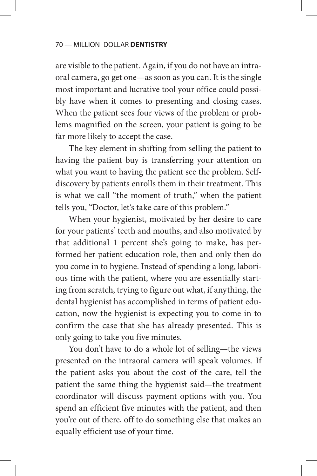are visible to the patient. Again, if you do not have an intraoral camera, go get one—as soon as you can. It is the single most important and lucrative tool your office could possibly have when it comes to presenting and closing cases. When the patient sees four views of the problem or problems magnified on the screen, your patient is going to be far more likely to accept the case.

The key element in shifting from selling the patient to having the patient buy is transferring your attention on what you want to having the patient see the problem. Selfdiscovery by patients enrolls them in their treatment. This is what we call "the moment of truth," when the patient tells you, "Doctor, let's take care of this problem."

When your hygienist, motivated by her desire to care for your patients' teeth and mouths, and also motivated by that additional 1 percent she's going to make, has performed her patient education role, then and only then do you come in to hygiene. Instead of spending a long, laborious time with the patient, where you are essentially starting from scratch, trying to figure out what, if anything, the dental hygienist has accomplished in terms of patient education, now the hygienist is expecting you to come in to confirm the case that she has already presented. This is only going to take you five minutes.

You don't have to do a whole lot of selling—the views presented on the intraoral camera will speak volumes. If the patient asks you about the cost of the care, tell the patient the same thing the hygienist said—the treatment coordinator will discuss payment options with you. You spend an efficient five minutes with the patient, and then you're out of there, off to do something else that makes an equally efficient use of your time.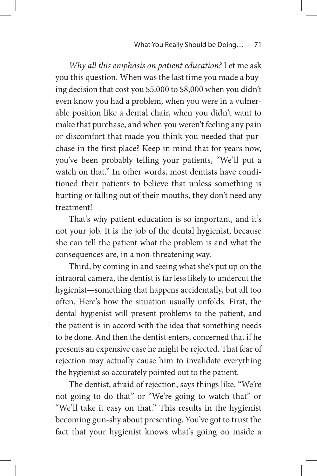*Why all this emphasis on patient education?* Let me ask you this question. When was the last time you made a buying decision that cost you \$5,000 to \$8,000 when you didn't even know you had a problem, when you were in a vulnerable position like a dental chair, when you didn't want to make that purchase, and when you weren't feeling any pain or discomfort that made you think you needed that purchase in the first place? Keep in mind that for years now, you've been probably telling your patients, "We'll put a watch on that." In other words, most dentists have conditioned their patients to believe that unless something is hurting or falling out of their mouths, they don't need any treatment!

That's why patient education is so important, and it's not your job. It is the job of the dental hygienist, because she can tell the patient what the problem is and what the consequences are, in a non-threatening way.

Third, by coming in and seeing what she's put up on the intraoral camera, the dentist is far less likely to undercut the hygienist—something that happens accidentally, but all too often. Here's how the situation usually unfolds. First, the dental hygienist will present problems to the patient, and the patient is in accord with the idea that something needs to be done. And then the dentist enters, concerned that if he presents an expensive case he might be rejected. That fear of rejection may actually cause him to invalidate everything the hygienist so accurately pointed out to the patient.

The dentist, afraid of rejection, says things like, "We're not going to do that" or "We're going to watch that" or "We'll take it easy on that." This results in the hygienist becoming gun-shy about presenting. You've got to trust the fact that your hygienist knows what's going on inside a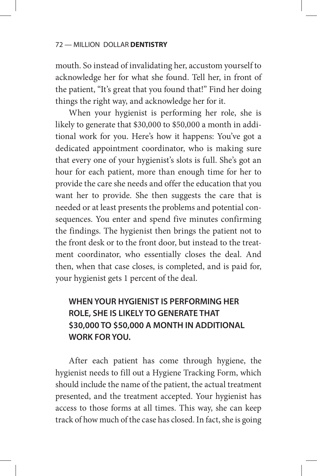mouth. So instead of invalidating her, accustom yourself to acknowledge her for what she found. Tell her, in front of the patient, "It's great that you found that!" Find her doing things the right way, and acknowledge her for it.

When your hygienist is performing her role, she is likely to generate that \$30,000 to \$50,000 a month in additional work for you. Here's how it happens: You've got a dedicated appointment coordinator, who is making sure that every one of your hygienist's slots is full. She's got an hour for each patient, more than enough time for her to provide the care she needs and offer the education that you want her to provide. She then suggests the care that is needed or at least presents the problems and potential consequences. You enter and spend five minutes confirming the findings. The hygienist then brings the patient not to the front desk or to the front door, but instead to the treatment coordinator, who essentially closes the deal. And then, when that case closes, is completed, and is paid for, your hygienist gets 1 percent of the deal.

# **WHEN YOUR HYGIENIST IS PERFORMING HER ROLE, SHE IS LIKELY TO GENERATE THAT \$30,000 TO \$50,000 A MONTH IN ADDITIONAL WORK FOR YOU.**

After each patient has come through hygiene, the hygienist needs to fill out a Hygiene Tracking Form, which should include the name of the patient, the actual treatment presented, and the treatment accepted. Your hygienist has access to those forms at all times. This way, she can keep track of how much of the case has closed. In fact, she is going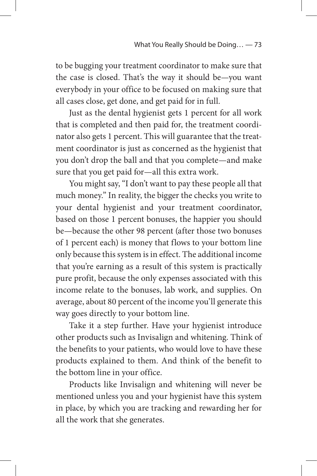to be bugging your treatment coordinator to make sure that the case is closed. That's the way it should be—you want everybody in your office to be focused on making sure that all cases close, get done, and get paid for in full.

Just as the dental hygienist gets 1 percent for all work that is completed and then paid for, the treatment coordinator also gets 1 percent. This will guarantee that the treatment coordinator is just as concerned as the hygienist that you don't drop the ball and that you complete—and make sure that you get paid for—all this extra work.

You might say, "I don't want to pay these people all that much money." In reality, the bigger the checks you write to your dental hygienist and your treatment coordinator, based on those 1 percent bonuses, the happier you should be—because the other 98 percent (after those two bonuses of 1 percent each) is money that flows to your bottom line only because this system is in effect. The additional income that you're earning as a result of this system is practically pure profit, because the only expenses associated with this income relate to the bonuses, lab work, and supplies. On average, about 80 percent of the income you'll generate this way goes directly to your bottom line.

Take it a step further. Have your hygienist introduce other products such as Invisalign and whitening. Think of the benefits to your patients, who would love to have these products explained to them. And think of the benefit to the bottom line in your office.

Products like Invisalign and whitening will never be mentioned unless you and your hygienist have this system in place, by which you are tracking and rewarding her for all the work that she generates.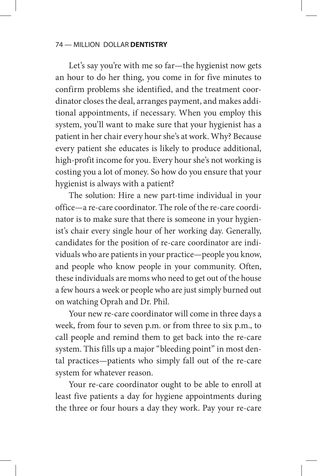Let's say you're with me so far—the hygienist now gets an hour to do her thing, you come in for five minutes to confirm problems she identified, and the treatment coordinator closes the deal, arranges payment, and makes additional appointments, if necessary. When you employ this system, you'll want to make sure that your hygienist has a patient in her chair every hour she's at work. Why? Because every patient she educates is likely to produce additional, high-profit income for you. Every hour she's not working is costing you a lot of money. So how do you ensure that your hygienist is always with a patient?

The solution: Hire a new part-time individual in your office—a re-care coordinator. The role of the re-care coordinator is to make sure that there is someone in your hygienist's chair every single hour of her working day. Generally, candidates for the position of re-care coordinator are individuals who are patients in your practice—people you know, and people who know people in your community. Often, these individuals are moms who need to get out of the house a few hours a week or people who are just simply burned out on watching Oprah and Dr. Phil.

Your new re-care coordinator will come in three days a week, from four to seven p.m. or from three to six p.m., to call people and remind them to get back into the re-care system. This fills up a major "bleeding point" in most dental practices—patients who simply fall out of the re-care system for whatever reason.

Your re-care coordinator ought to be able to enroll at least five patients a day for hygiene appointments during the three or four hours a day they work. Pay your re-care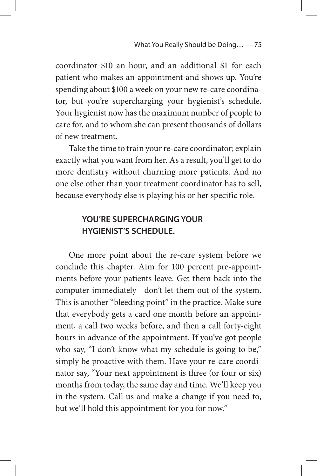coordinator \$10 an hour, and an additional \$1 for each patient who makes an appointment and shows up. You're spending about \$100 a week on your new re-care coordinator, but you're supercharging your hygienist's schedule. Your hygienist now has the maximum number of people to care for, and to whom she can present thousands of dollars of new treatment.

Take the time to train your re-care coordinator; explain exactly what you want from her. As a result, you'll get to do more dentistry without churning more patients. And no one else other than your treatment coordinator has to sell, because everybody else is playing his or her specific role.

## **YOU'RE SUPERCHARGING YOUR HYGIENIST'S SCHEDULE.**

One more point about the re-care system before we conclude this chapter. Aim for 100 percent pre-appointments before your patients leave. Get them back into the computer immediately—don't let them out of the system. This is another "bleeding point" in the practice. Make sure that everybody gets a card one month before an appointment, a call two weeks before, and then a call forty-eight hours in advance of the appointment. If you've got people who say, "I don't know what my schedule is going to be," simply be proactive with them. Have your re-care coordinator say, "Your next appointment is three (or four or six) months from today, the same day and time. We'll keep you in the system. Call us and make a change if you need to, but we'll hold this appointment for you for now."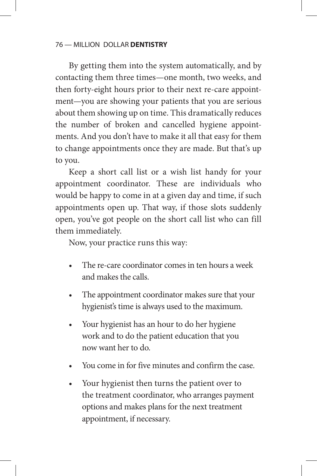By getting them into the system automatically, and by contacting them three times—one month, two weeks, and then forty-eight hours prior to their next re-care appointment—you are showing your patients that you are serious about them showing up on time. This dramatically reduces the number of broken and cancelled hygiene appointments. And you don't have to make it all that easy for them to change appointments once they are made. But that's up to you.

Keep a short call list or a wish list handy for your appointment coordinator. These are individuals who would be happy to come in at a given day and time, if such appointments open up. That way, if those slots suddenly open, you've got people on the short call list who can fill them immediately.

Now, your practice runs this way:

- The re-care coordinator comes in ten hours a week and makes the calls.
- The appointment coordinator makes sure that your hygienist's time is always used to the maximum.
- • Your hygienist has an hour to do her hygiene work and to do the patient education that you now want her to do.
- You come in for five minutes and confirm the case.
- Your hygienist then turns the patient over to the treatment coordinator, who arranges payment options and makes plans for the next treatment appointment, if necessary.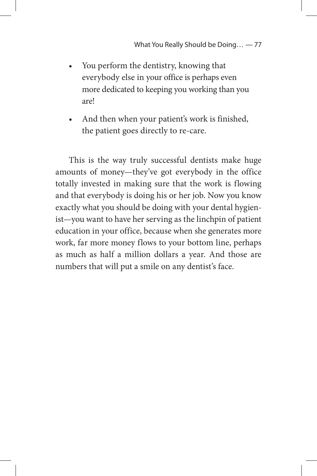- You perform the dentistry, knowing that everybody else in your office is perhaps even more dedicated to keeping you working than you are!
- And then when your patient's work is finished, the patient goes directly to re-care.

This is the way truly successful dentists make huge amounts of money—they've got everybody in the office totally invested in making sure that the work is flowing and that everybody is doing his or her job. Now you know exactly what you should be doing with your dental hygienist—you want to have her serving as the linchpin of patient education in your office, because when she generates more work, far more money flows to your bottom line, perhaps as much as half a million dollars a year. And those are numbers that will put a smile on any dentist's face.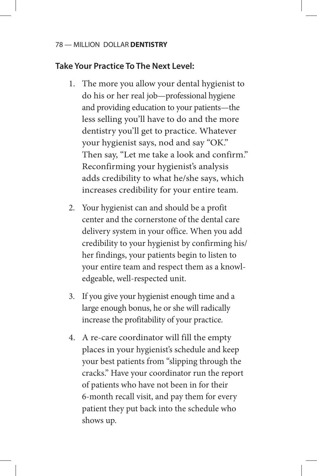## **Take Your Practice To The Next Level:**

- 1. The more you allow your dental hygienist to do his or her real job—professional hygiene and providing education to your patients—the less selling you'll have to do and the more dentistry you'll get to practice. Whatever your hygienist says, nod and say "OK." Then say, "Let me take a look and confirm." Reconfirming your hygienist's analysis adds credibility to what he/she says, which increases credibility for your entire team.
- 2. Your hygienist can and should be a profit center and the cornerstone of the dental care delivery system in your office. When you add credibility to your hygienist by confirming his/ her findings, your patients begin to listen to your entire team and respect them as a knowledgeable, well-respected unit.
- 3. If you give your hygienist enough time and a large enough bonus, he or she will radically increase the profitability of your practice.
- 4. A re-care coordinator will fill the empty places in your hygienist's schedule and keep your best patients from "slipping through the cracks." Have your coordinator run the report of patients who have not been in for their 6-month recall visit, and pay them for every patient they put back into the schedule who shows up.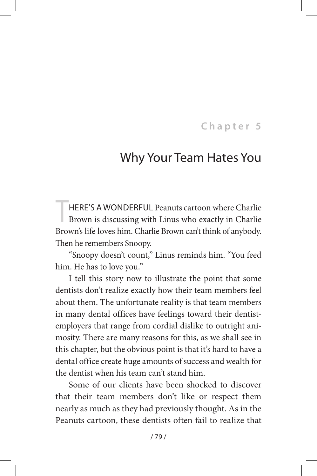# **Chapter 5**

# Why Your Team Hates You

HERE'S A WONDERFUL Peanuts cartoon where Charlie Brown is discussing with Linus who exactly in Charlie Brown's life loves him. Charlie Brown can't think of anybody. Then he remembers Snoopy.

"Snoopy doesn't count," Linus reminds him. "You feed him. He has to love you."

I tell this story now to illustrate the point that some dentists don't realize exactly how their team members feel about them. The unfortunate reality is that team members in many dental offices have feelings toward their dentistemployers that range from cordial dislike to outright animosity. There are many reasons for this, as we shall see in this chapter, but the obvious point is that it's hard to have a dental office create huge amounts of success and wealth for the dentist when his team can't stand him.

Some of our clients have been shocked to discover that their team members don't like or respect them nearly as much as they had previously thought. As in the Peanuts cartoon, these dentists often fail to realize that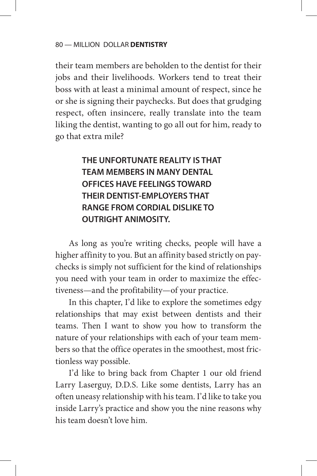their team members are beholden to the dentist for their jobs and their livelihoods. Workers tend to treat their boss with at least a minimal amount of respect, since he or she is signing their paychecks. But does that grudging respect, often insincere, really translate into the team liking the dentist, wanting to go all out for him, ready to go that extra mile?

# **THE UNFORTUNATE REALITY IS THAT TEAM MEMBERS IN MANY DENTAL OFFICES HAVE FEELINGS TOWARD THEIR DENTIST-EMPLOYERS THAT RANGE FROM CORDIAL DISLIKE TO OUTRIGHT ANIMOSITY.**

As long as you're writing checks, people will have a higher affinity to you. But an affinity based strictly on paychecks is simply not sufficient for the kind of relationships you need with your team in order to maximize the effectiveness—and the profitability—of your practice.

In this chapter, I'd like to explore the sometimes edgy relationships that may exist between dentists and their teams. Then I want to show you how to transform the nature of your relationships with each of your team members so that the office operates in the smoothest, most frictionless way possible.

I'd like to bring back from Chapter 1 our old friend Larry Laserguy, D.D.S. Like some dentists, Larry has an often uneasy relationship with his team. I'd like to take you inside Larry's practice and show you the nine reasons why his team doesn't love him.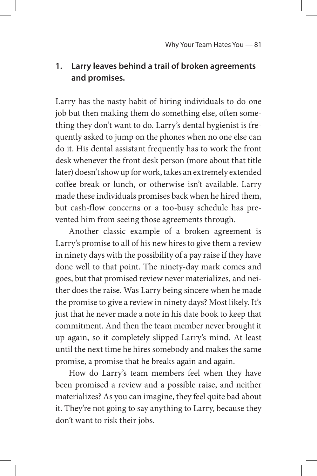# **1. Larry leaves behind a trail of broken agreements and promises.**

Larry has the nasty habit of hiring individuals to do one job but then making them do something else, often something they don't want to do. Larry's dental hygienist is frequently asked to jump on the phones when no one else can do it. His dental assistant frequently has to work the front desk whenever the front desk person (more about that title later) doesn't show up for work, takes an extremely extended coffee break or lunch, or otherwise isn't available. Larry made these individuals promises back when he hired them, but cash-flow concerns or a too-busy schedule has prevented him from seeing those agreements through.

Another classic example of a broken agreement is Larry's promise to all of his new hires to give them a review in ninety days with the possibility of a pay raise if they have done well to that point. The ninety-day mark comes and goes, but that promised review never materializes, and neither does the raise. Was Larry being sincere when he made the promise to give a review in ninety days? Most likely. It's just that he never made a note in his date book to keep that commitment. And then the team member never brought it up again, so it completely slipped Larry's mind. At least until the next time he hires somebody and makes the same promise, a promise that he breaks again and again.

How do Larry's team members feel when they have been promised a review and a possible raise, and neither materializes? As you can imagine, they feel quite bad about it. They're not going to say anything to Larry, because they don't want to risk their jobs.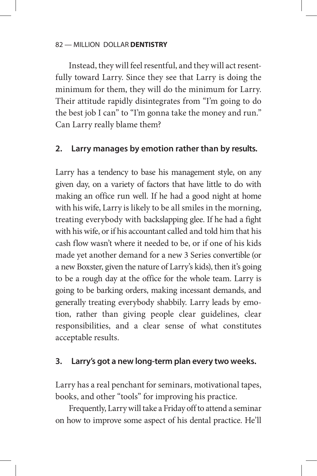Instead, they will feel resentful, and they will act resentfully toward Larry. Since they see that Larry is doing the minimum for them, they will do the minimum for Larry. Their attitude rapidly disintegrates from "I'm going to do the best job I can" to "I'm gonna take the money and run." Can Larry really blame them?

### **2. Larry manages by emotion rather than by results.**

Larry has a tendency to base his management style, on any given day, on a variety of factors that have little to do with making an office run well. If he had a good night at home with his wife, Larry is likely to be all smiles in the morning, treating everybody with backslapping glee. If he had a fight with his wife, or if his accountant called and told him that his cash flow wasn't where it needed to be, or if one of his kids made yet another demand for a new 3 Series convertible (or a new Boxster, given the nature of Larry's kids), then it's going to be a rough day at the office for the whole team. Larry is going to be barking orders, making incessant demands, and generally treating everybody shabbily. Larry leads by emotion, rather than giving people clear guidelines, clear responsibilities, and a clear sense of what constitutes acceptable results.

### **3. Larry's got a new long-term plan every two weeks.**

Larry has a real penchant for seminars, motivational tapes, books, and other "tools" for improving his practice.

Frequently, Larry will take a Friday off to attend a seminar on how to improve some aspect of his dental practice. He'll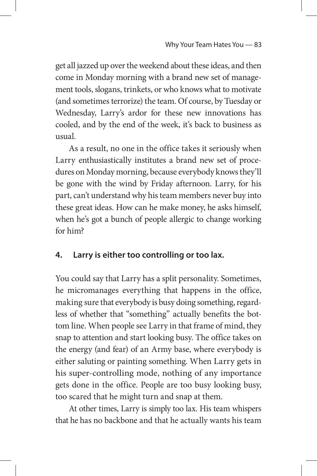get all jazzed up over the weekend about these ideas, and then come in Monday morning with a brand new set of management tools, slogans, trinkets, or who knows what to motivate (and sometimes terrorize) the team. Of course, by Tuesday or Wednesday, Larry's ardor for these new innovations has cooled, and by the end of the week, it's back to business as usual.

As a result, no one in the office takes it seriously when Larry enthusiastically institutes a brand new set of procedures on Monday morning, because everybody knows they'll be gone with the wind by Friday afternoon. Larry, for his part, can't understand why his team members never buy into these great ideas. How can he make money, he asks himself, when he's got a bunch of people allergic to change working for him?

## **4. Larry is either too controlling or too lax.**

You could say that Larry has a split personality. Sometimes, he micromanages everything that happens in the office, making sure that everybody is busy doing something, regardless of whether that "something" actually benefits the bottom line. When people see Larry in that frame of mind, they snap to attention and start looking busy. The office takes on the energy (and fear) of an Army base, where everybody is either saluting or painting something. When Larry gets in his super-controlling mode, nothing of any importance gets done in the office. People are too busy looking busy, too scared that he might turn and snap at them.

At other times, Larry is simply too lax. His team whispers that he has no backbone and that he actually wants his team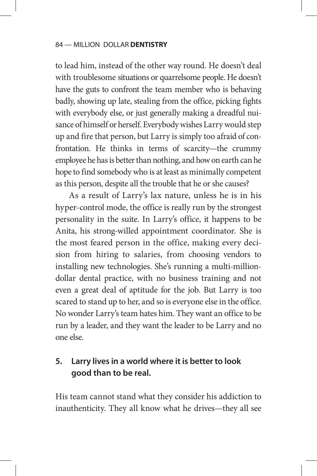to lead him, instead of the other way round. He doesn't deal with troublesome situations or quarrelsome people. He doesn't have the guts to confront the team member who is behaving badly, showing up late, stealing from the office, picking fights with everybody else, or just generally making a dreadful nuisance of himself or herself. Everybody wishes Larry would step up and fire that person, but Larry is simply too afraid of confrontation. He thinks in terms of scarcity—the crummy employee he has is better than nothing, and how on earth can he hope to find somebody who is at least as minimally competent as this person, despite all the trouble that he or she causes?

As a result of Larry's lax nature, unless he is in his hyper-control mode, the office is really run by the strongest personality in the suite. In Larry's office, it happens to be Anita, his strong-willed appointment coordinator. She is the most feared person in the office, making every decision from hiring to salaries, from choosing vendors to installing new technologies. She's running a multi-milliondollar dental practice, with no business training and not even a great deal of aptitude for the job. But Larry is too scared to stand up to her, and so is everyone else in the office. No wonder Larry's team hates him. They want an office to be run by a leader, and they want the leader to be Larry and no one else.

## **5. Larry lives in a world where it is better to look good than to be real.**

His team cannot stand what they consider his addiction to inauthenticity. They all know what he drives—they all see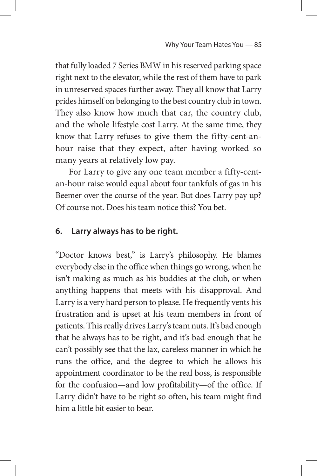that fully loaded 7 Series BMW in his reserved parking space right next to the elevator, while the rest of them have to park in unreserved spaces further away. They all know that Larry prides himself on belonging to the best country club in town. They also know how much that car, the country club, and the whole lifestyle cost Larry. At the same time, they know that Larry refuses to give them the fifty-cent-anhour raise that they expect, after having worked so many years at relatively low pay.

For Larry to give any one team member a fifty-centan-hour raise would equal about four tankfuls of gas in his Beemer over the course of the year. But does Larry pay up? Of course not. Does his team notice this? You bet.

## **6. Larry always has to be right.**

"Doctor knows best," is Larry's philosophy. He blames everybody else in the office when things go wrong, when he isn't making as much as his buddies at the club, or when anything happens that meets with his disapproval. And Larry is a very hard person to please. He frequently vents his frustration and is upset at his team members in front of patients. This really drives Larry's team nuts. It's bad enough that he always has to be right, and it's bad enough that he can't possibly see that the lax, careless manner in which he runs the office, and the degree to which he allows his appointment coordinator to be the real boss, is responsible for the confusion—and low profitability—of the office. If Larry didn't have to be right so often, his team might find him a little bit easier to bear.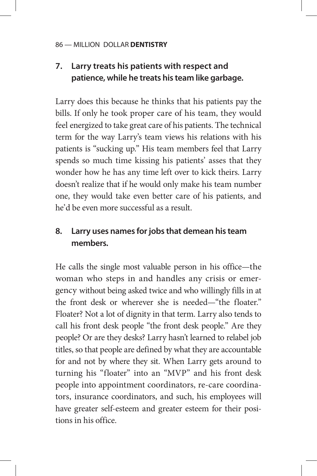# **7. Larry treats his patients with respect and patience, while he treats his team like garbage.**

Larry does this because he thinks that his patients pay the bills. If only he took proper care of his team, they would feel energized to take great care of his patients. The technical term for the way Larry's team views his relations with his patients is "sucking up." His team members feel that Larry spends so much time kissing his patients' asses that they wonder how he has any time left over to kick theirs. Larry doesn't realize that if he would only make his team number one, they would take even better care of his patients, and he'd be even more successful as a result.

## **8. Larry uses names for jobs that demean his team members.**

He calls the single most valuable person in his office—the woman who steps in and handles any crisis or emergency without being asked twice and who willingly fills in at the front desk or wherever she is needed—"the floater." Floater? Not a lot of dignity in that term. Larry also tends to call his front desk people "the front desk people." Are they people? Or are they desks? Larry hasn't learned to relabel job titles, so that people are defined by what they are accountable for and not by where they sit. When Larry gets around to turning his "floater" into an "MVP" and his front desk people into appointment coordinators, re-care coordinators, insurance coordinators, and such, his employees will have greater self-esteem and greater esteem for their positions in his office.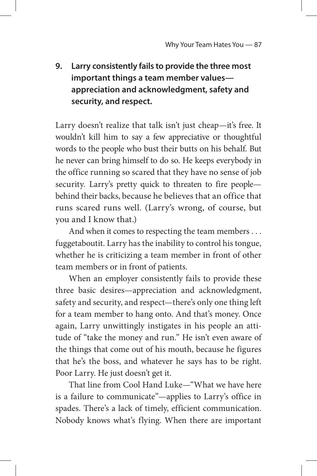# **9. Larry consistently fails to provide the three most important things a team member values appreciation and acknowledgment, safety and security, and respect.**

Larry doesn't realize that talk isn't just cheap—it's free. It wouldn't kill him to say a few appreciative or thoughtful words to the people who bust their butts on his behalf. But he never can bring himself to do so. He keeps everybody in the office running so scared that they have no sense of job security. Larry's pretty quick to threaten to fire people behind their backs, because he believes that an office that runs scared runs well. (Larry's wrong, of course, but you and I know that.)

And when it comes to respecting the team members . . . fuggetaboutit. Larry has the inability to control his tongue, whether he is criticizing a team member in front of other team members or in front of patients.

When an employer consistently fails to provide these three basic desires—appreciation and acknowledgment, safety and security, and respect—there's only one thing left for a team member to hang onto. And that's money. Once again, Larry unwittingly instigates in his people an attitude of "take the money and run." He isn't even aware of the things that come out of his mouth, because he figures that he's the boss, and whatever he says has to be right. Poor Larry. He just doesn't get it.

That line from Cool Hand Luke—"What we have here is a failure to communicate"—applies to Larry's office in spades. There's a lack of timely, efficient communication. Nobody knows what's flying. When there are important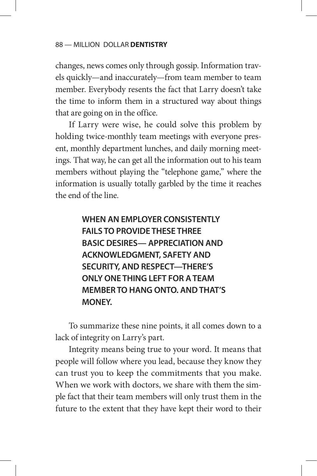changes, news comes only through gossip. Information travels quickly—and inaccurately—from team member to team member. Everybody resents the fact that Larry doesn't take the time to inform them in a structured way about things that are going on in the office.

If Larry were wise, he could solve this problem by holding twice-monthly team meetings with everyone present, monthly department lunches, and daily morning meetings. That way, he can get all the information out to his team members without playing the "telephone game," where the information is usually totally garbled by the time it reaches the end of the line.

> **WHEN AN EMPLOYER CONSISTENTLY FAILS TO PROVIDE THESE THREE BASIC DESIRES— APPRECIATION AND ACKNOWLEDGMENT, SAFETY AND SECURITY, AND RESPECT—THERE'S ONLY ONE THING LEFT FOR A TEAM MEMBER TO HANG ONTO. AND THAT'S MONEY.**

To summarize these nine points, it all comes down to a lack of integrity on Larry's part.

Integrity means being true to your word. It means that people will follow where you lead, because they know they can trust you to keep the commitments that you make. When we work with doctors, we share with them the simple fact that their team members will only trust them in the future to the extent that they have kept their word to their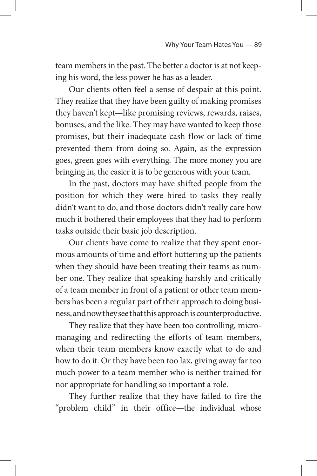team members in the past. The better a doctor is at not keeping his word, the less power he has as a leader.

Our clients often feel a sense of despair at this point. They realize that they have been guilty of making promises they haven't kept—like promising reviews, rewards, raises, bonuses, and the like. They may have wanted to keep those promises, but their inadequate cash flow or lack of time prevented them from doing so. Again, as the expression goes, green goes with everything. The more money you are bringing in, the easier it is to be generous with your team.

In the past, doctors may have shifted people from the position for which they were hired to tasks they really didn't want to do, and those doctors didn't really care how much it bothered their employees that they had to perform tasks outside their basic job description.

Our clients have come to realize that they spent enormous amounts of time and effort buttering up the patients when they should have been treating their teams as number one. They realize that speaking harshly and critically of a team member in front of a patient or other team members has been a regular part of their approach to doing business, and now they see that this approach is counterproductive.

They realize that they have been too controlling, micromanaging and redirecting the efforts of team members, when their team members know exactly what to do and how to do it. Or they have been too lax, giving away far too much power to a team member who is neither trained for nor appropriate for handling so important a role.

They further realize that they have failed to fire the "problem child" in their office—the individual whose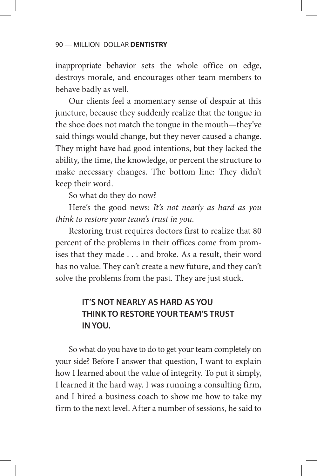inappropriate behavior sets the whole office on edge, destroys morale, and encourages other team members to behave badly as well.

Our clients feel a momentary sense of despair at this juncture, because they suddenly realize that the tongue in the shoe does not match the tongue in the mouth—they've said things would change, but they never caused a change. They might have had good intentions, but they lacked the ability, the time, the knowledge, or percent the structure to make necessary changes. The bottom line: They didn't keep their word.

So what do they do now?

Here's the good news: *It's not nearly as hard as you think to restore your team's trust in you.* 

Restoring trust requires doctors first to realize that 80 percent of the problems in their offices come from promises that they made . . . and broke. As a result, their word has no value. They can't create a new future, and they can't solve the problems from the past. They are just stuck.

## **IT'S NOT NEARLY AS HARD AS YOU THINK TO RESTORE YOUR TEAM'S TRUST IN YOU.**

So what do you have to do to get your team completely on your side? Before I answer that question, I want to explain how I learned about the value of integrity. To put it simply, I learned it the hard way. I was running a consulting firm, and I hired a business coach to show me how to take my firm to the next level. After a number of sessions, he said to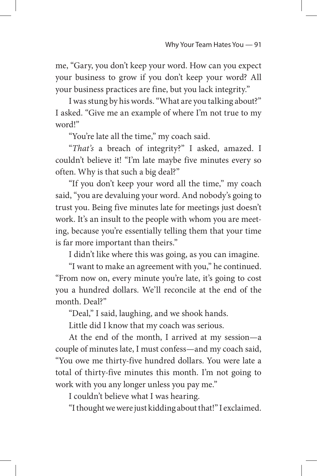me, "Gary, you don't keep your word. How can you expect your business to grow if you don't keep your word? All your business practices are fine, but you lack integrity."

I was stung by his words. "What are you talking about?" I asked. "Give me an example of where I'm not true to my word!"

"You're late all the time," my coach said.

"*That's* a breach of integrity?" I asked, amazed. I couldn't believe it! "I'm late maybe five minutes every so often. Why is that such a big deal?"

"If you don't keep your word all the time," my coach said, "you are devaluing your word. And nobody's going to trust you. Being five minutes late for meetings just doesn't work. It's an insult to the people with whom you are meeting, because you're essentially telling them that your time is far more important than theirs."

I didn't like where this was going, as you can imagine.

"I want to make an agreement with you," he continued. "From now on, every minute you're late, it's going to cost you a hundred dollars. We'll reconcile at the end of the month. Deal?"

"Deal," I said, laughing, and we shook hands.

Little did I know that my coach was serious.

At the end of the month, I arrived at my session—a couple of minutes late, I must confess—and my coach said, "You owe me thirty-five hundred dollars. You were late a total of thirty-five minutes this month. I'm not going to work with you any longer unless you pay me."

I couldn't believe what I was hearing.

"I thought we were just kidding about that!" I exclaimed.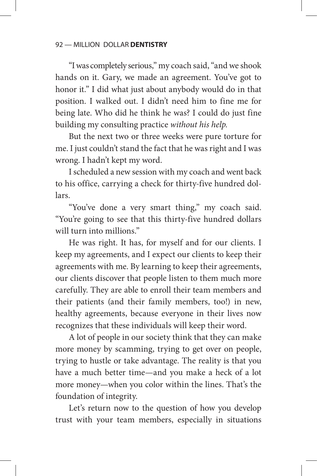"I was completely serious," my coach said, "and we shook hands on it. Gary, we made an agreement. You've got to honor it." I did what just about anybody would do in that position. I walked out. I didn't need him to fine me for being late. Who did he think he was? I could do just fine building my consulting practice *without his help.*

But the next two or three weeks were pure torture for me. I just couldn't stand the fact that he was right and I was wrong. I hadn't kept my word.

I scheduled a new session with my coach and went back to his office, carrying a check for thirty-five hundred dollars.

"You've done a very smart thing," my coach said. "You're going to see that this thirty-five hundred dollars will turn into millions."

He was right. It has, for myself and for our clients. I keep my agreements, and I expect our clients to keep their agreements with me. By learning to keep their agreements, our clients discover that people listen to them much more carefully. They are able to enroll their team members and their patients (and their family members, too!) in new, healthy agreements, because everyone in their lives now recognizes that these individuals will keep their word.

A lot of people in our society think that they can make more money by scamming, trying to get over on people, trying to hustle or take advantage. The reality is that you have a much better time—and you make a heck of a lot more money—when you color within the lines. That's the foundation of integrity.

Let's return now to the question of how you develop trust with your team members, especially in situations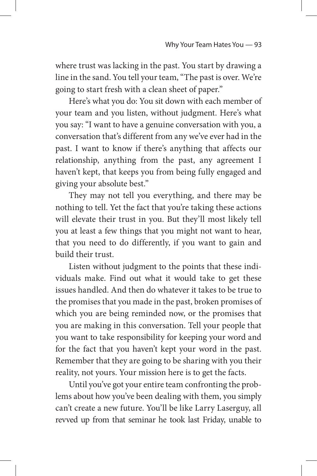where trust was lacking in the past. You start by drawing a line in the sand. You tell your team, "The past is over. We're going to start fresh with a clean sheet of paper."

Here's what you do: You sit down with each member of your team and you listen, without judgment. Here's what you say: "I want to have a genuine conversation with you, a conversation that's different from any we've ever had in the past. I want to know if there's anything that affects our relationship, anything from the past, any agreement I haven't kept, that keeps you from being fully engaged and giving your absolute best."

They may not tell you everything, and there may be nothing to tell. Yet the fact that you're taking these actions will elevate their trust in you. But they'll most likely tell you at least a few things that you might not want to hear, that you need to do differently, if you want to gain and build their trust.

Listen without judgment to the points that these individuals make. Find out what it would take to get these issues handled. And then do whatever it takes to be true to the promises that you made in the past, broken promises of which you are being reminded now, or the promises that you are making in this conversation. Tell your people that you want to take responsibility for keeping your word and for the fact that you haven't kept your word in the past. Remember that they are going to be sharing with you their reality, not yours. Your mission here is to get the facts.

Until you've got your entire team confronting the problems about how you've been dealing with them, you simply can't create a new future. You'll be like Larry Laserguy, all revved up from that seminar he took last Friday, unable to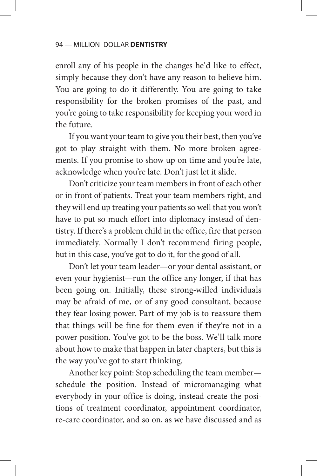enroll any of his people in the changes he'd like to effect, simply because they don't have any reason to believe him. You are going to do it differently. You are going to take responsibility for the broken promises of the past, and you're going to take responsibility for keeping your word in the future.

If you want your team to give you their best, then you've got to play straight with them. No more broken agreements. If you promise to show up on time and you're late, acknowledge when you're late. Don't just let it slide.

Don't criticize your team members in front of each other or in front of patients. Treat your team members right, and they will end up treating your patients so well that you won't have to put so much effort into diplomacy instead of dentistry. If there's a problem child in the office, fire that person immediately. Normally I don't recommend firing people, but in this case, you've got to do it, for the good of all.

Don't let your team leader—or your dental assistant, or even your hygienist—run the office any longer, if that has been going on. Initially, these strong-willed individuals may be afraid of me, or of any good consultant, because they fear losing power. Part of my job is to reassure them that things will be fine for them even if they're not in a power position. You've got to be the boss. We'll talk more about how to make that happen in later chapters, but this is the way you've got to start thinking.

Another key point: Stop scheduling the team member schedule the position. Instead of micromanaging what everybody in your office is doing, instead create the positions of treatment coordinator, appointment coordinator, re-care coordinator, and so on, as we have discussed and as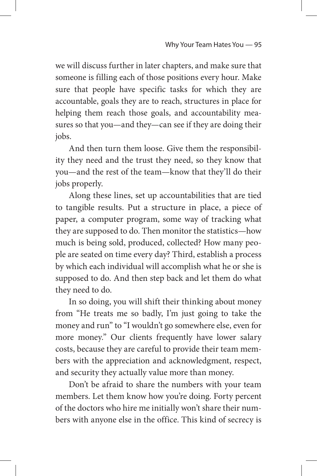we will discuss further in later chapters, and make sure that someone is filling each of those positions every hour. Make sure that people have specific tasks for which they are accountable, goals they are to reach, structures in place for helping them reach those goals, and accountability measures so that you—and they—can see if they are doing their jobs.

And then turn them loose. Give them the responsibility they need and the trust they need, so they know that you—and the rest of the team—know that they'll do their jobs properly.

Along these lines, set up accountabilities that are tied to tangible results. Put a structure in place, a piece of paper, a computer program, some way of tracking what they are supposed to do. Then monitor the statistics—how much is being sold, produced, collected? How many people are seated on time every day? Third, establish a process by which each individual will accomplish what he or she is supposed to do. And then step back and let them do what they need to do.

In so doing, you will shift their thinking about money from "He treats me so badly, I'm just going to take the money and run" to "I wouldn't go somewhere else, even for more money." Our clients frequently have lower salary costs, because they are careful to provide their team members with the appreciation and acknowledgment, respect, and security they actually value more than money.

Don't be afraid to share the numbers with your team members. Let them know how you're doing. Forty percent of the doctors who hire me initially won't share their numbers with anyone else in the office. This kind of secrecy is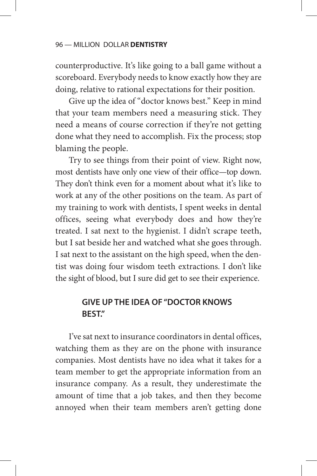counterproductive. It's like going to a ball game without a scoreboard. Everybody needs to know exactly how they are doing, relative to rational expectations for their position.

Give up the idea of "doctor knows best." Keep in mind that your team members need a measuring stick. They need a means of course correction if they're not getting done what they need to accomplish. Fix the process; stop blaming the people.

Try to see things from their point of view. Right now, most dentists have only one view of their office—top down. They don't think even for a moment about what it's like to work at any of the other positions on the team. As part of my training to work with dentists, I spent weeks in dental offices, seeing what everybody does and how they're treated. I sat next to the hygienist. I didn't scrape teeth, but I sat beside her and watched what she goes through. I sat next to the assistant on the high speed, when the dentist was doing four wisdom teeth extractions. I don't like the sight of blood, but I sure did get to see their experience.

## **GIVE UP THE IDEA OF "DOCTOR KNOWS BEST."**

I've sat next to insurance coordinators in dental offices, watching them as they are on the phone with insurance companies. Most dentists have no idea what it takes for a team member to get the appropriate information from an insurance company. As a result, they underestimate the amount of time that a job takes, and then they become annoyed when their team members aren't getting done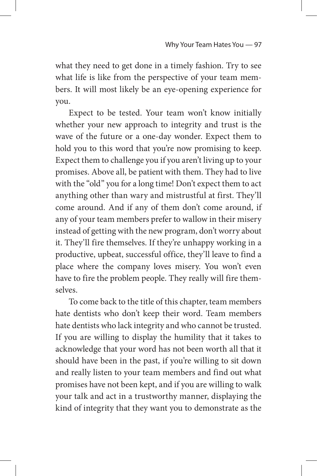what they need to get done in a timely fashion. Try to see what life is like from the perspective of your team members. It will most likely be an eye-opening experience for you.

Expect to be tested. Your team won't know initially whether your new approach to integrity and trust is the wave of the future or a one-day wonder. Expect them to hold you to this word that you're now promising to keep. Expect them to challenge you if you aren't living up to your promises. Above all, be patient with them. They had to live with the "old" you for a long time! Don't expect them to act anything other than wary and mistrustful at first. They'll come around. And if any of them don't come around, if any of your team members prefer to wallow in their misery instead of getting with the new program, don't worry about it. They'll fire themselves. If they're unhappy working in a productive, upbeat, successful office, they'll leave to find a place where the company loves misery. You won't even have to fire the problem people. They really will fire themselves.

To come back to the title of this chapter, team members hate dentists who don't keep their word. Team members hate dentists who lack integrity and who cannot be trusted. If you are willing to display the humility that it takes to acknowledge that your word has not been worth all that it should have been in the past, if you're willing to sit down and really listen to your team members and find out what promises have not been kept, and if you are willing to walk your talk and act in a trustworthy manner, displaying the kind of integrity that they want you to demonstrate as the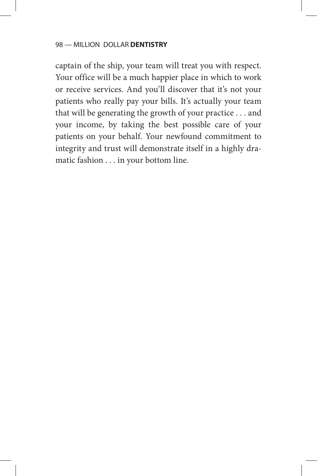captain of the ship, your team will treat you with respect. Your office will be a much happier place in which to work or receive services. And you'll discover that it's not your patients who really pay your bills. It's actually your team that will be generating the growth of your practice . . . and your income, by taking the best possible care of your patients on your behalf. Your newfound commitment to integrity and trust will demonstrate itself in a highly dramatic fashion . . . in your bottom line.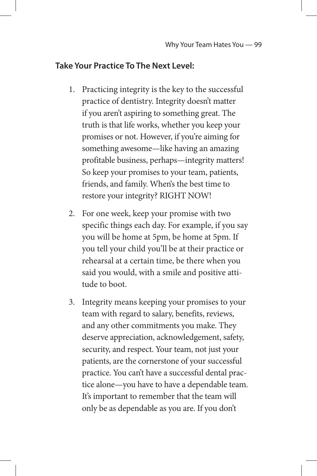#### **Take Your Practice To The Next Level:**

- 1. Practicing integrity is the key to the successful practice of dentistry. Integrity doesn't matter if you aren't aspiring to something great. The truth is that life works, whether you keep your promises or not. However, if you're aiming for something awesome—like having an amazing profitable business, perhaps—integrity matters! So keep your promises to your team, patients, friends, and family. When's the best time to restore your integrity? RIGHT NOW!
- 2. For one week, keep your promise with two specific things each day. For example, if you say you will be home at 5pm, be home at 5pm. If you tell your child you'll be at their practice or rehearsal at a certain time, be there when you said you would, with a smile and positive attitude to boot.
- 3. Integrity means keeping your promises to your team with regard to salary, benefits, reviews, and any other commitments you make. They deserve appreciation, acknowledgement, safety, security, and respect. Your team, not just your patients, are the cornerstone of your successful practice. You can't have a successful dental practice alone—you have to have a dependable team. It's important to remember that the team will only be as dependable as you are. If you don't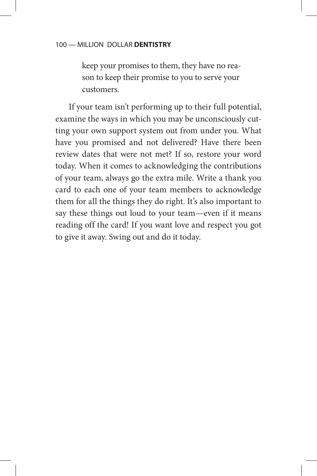keep your promises to them, they have no reason to keep their promise to you to serve your customers.

If your team isn't performing up to their full potential, examine the ways in which you may be unconsciously cutting your own support system out from under you. What have you promised and not delivered? Have there been review dates that were not met? If so, restore your word today. When it comes to acknowledging the contributions of your team, always go the extra mile. Write a thank you card to each one of your team members to acknowledge them for all the things they do right. It's also important to say these things out loud to your team—even if it means reading off the card! If you want love and respect you got to give it away. Swing out and do it today.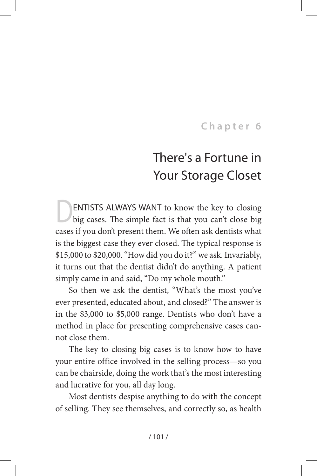# **Chapter 6**

# There's a Fortune in Your Storage Closet

**ENTISTS ALWAYS WANT** to know the key to closing big cases. The simple fact is that you can't close big cases if you don't present them. We often ask dentists what is the biggest case they ever closed. The typical response is \$15,000 to \$20,000. "How did you do it?" we ask. Invariably, it turns out that the dentist didn't do anything. A patient simply came in and said, "Do my whole mouth."

So then we ask the dentist, "What's the most you've ever presented, educated about, and closed?" The answer is in the \$3,000 to \$5,000 range. Dentists who don't have a method in place for presenting comprehensive cases cannot close them.

The key to closing big cases is to know how to have your entire office involved in the selling process—so you can be chairside, doing the work that's the most interesting and lucrative for you, all day long.

Most dentists despise anything to do with the concept of selling. They see themselves, and correctly so, as health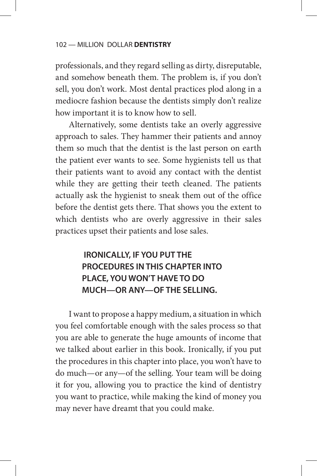professionals, and they regard selling as dirty, disreputable, and somehow beneath them. The problem is, if you don't sell, you don't work. Most dental practices plod along in a mediocre fashion because the dentists simply don't realize how important it is to know how to sell.

Alternatively, some dentists take an overly aggressive approach to sales. They hammer their patients and annoy them so much that the dentist is the last person on earth the patient ever wants to see. Some hygienists tell us that their patients want to avoid any contact with the dentist while they are getting their teeth cleaned. The patients actually ask the hygienist to sneak them out of the office before the dentist gets there. That shows you the extent to which dentists who are overly aggressive in their sales practices upset their patients and lose sales.

### **IRONICALLY, IF YOU PUT THE PROCEDURES IN THIS CHAPTER INTO PLACE, YOU WON'T HAVE TO DO MUCH—OR ANY—OF THE SELLING.**

I want to propose a happy medium, a situation in which you feel comfortable enough with the sales process so that you are able to generate the huge amounts of income that we talked about earlier in this book. Ironically, if you put the procedures in this chapter into place, you won't have to do much—or any—of the selling. Your team will be doing it for you, allowing you to practice the kind of dentistry you want to practice, while making the kind of money you may never have dreamt that you could make.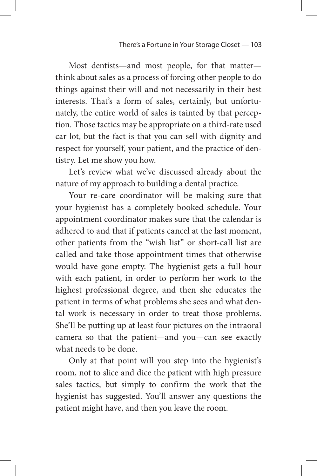Most dentists—and most people, for that matter think about sales as a process of forcing other people to do things against their will and not necessarily in their best interests. That's a form of sales, certainly, but unfortunately, the entire world of sales is tainted by that perception. Those tactics may be appropriate on a third-rate used car lot, but the fact is that you can sell with dignity and respect for yourself, your patient, and the practice of dentistry. Let me show you how.

Let's review what we've discussed already about the nature of my approach to building a dental practice.

Your re-care coordinator will be making sure that your hygienist has a completely booked schedule. Your appointment coordinator makes sure that the calendar is adhered to and that if patients cancel at the last moment, other patients from the "wish list" or short-call list are called and take those appointment times that otherwise would have gone empty. The hygienist gets a full hour with each patient, in order to perform her work to the highest professional degree, and then she educates the patient in terms of what problems she sees and what dental work is necessary in order to treat those problems. She'll be putting up at least four pictures on the intraoral camera so that the patient—and you—can see exactly what needs to be done.

Only at that point will you step into the hygienist's room, not to slice and dice the patient with high pressure sales tactics, but simply to confirm the work that the hygienist has suggested. You'll answer any questions the patient might have, and then you leave the room.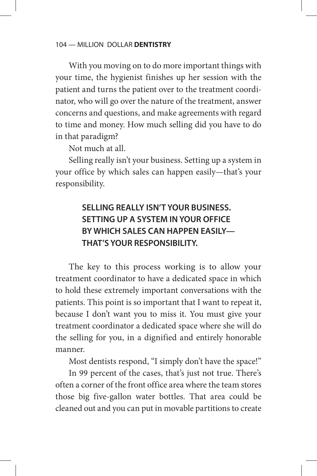#### 104 — MILLION DOLLAR **DENTISTRY**

With you moving on to do more important things with your time, the hygienist finishes up her session with the patient and turns the patient over to the treatment coordinator, who will go over the nature of the treatment, answer concerns and questions, and make agreements with regard to time and money. How much selling did you have to do in that paradigm?

Not much at all.

Selling really isn't your business. Setting up a system in your office by which sales can happen easily—that's your responsibility.

## **SELLING REALLY ISN'T YOUR BUSINESS. SETTING UP A SYSTEM IN YOUR OFFICE BY WHICH SALES CAN HAPPEN EASILY— THAT'S YOUR RESPONSIBILITY.**

The key to this process working is to allow your treatment coordinator to have a dedicated space in which to hold these extremely important conversations with the patients. This point is so important that I want to repeat it, because I don't want you to miss it. You must give your treatment coordinator a dedicated space where she will do the selling for you, in a dignified and entirely honorable manner.

Most dentists respond, "I simply don't have the space!"

In 99 percent of the cases, that's just not true. There's often a corner of the front office area where the team stores those big five-gallon water bottles. That area could be cleaned out and you can put in movable partitions to create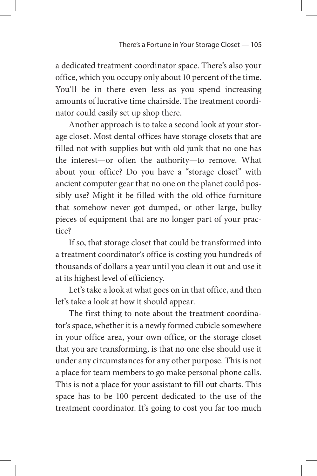a dedicated treatment coordinator space. There's also your office, which you occupy only about 10 percent of the time. You'll be in there even less as you spend increasing amounts of lucrative time chairside. The treatment coordinator could easily set up shop there.

Another approach is to take a second look at your storage closet. Most dental offices have storage closets that are filled not with supplies but with old junk that no one has the interest—or often the authority—to remove. What about your office? Do you have a "storage closet" with ancient computer gear that no one on the planet could possibly use? Might it be filled with the old office furniture that somehow never got dumped, or other large, bulky pieces of equipment that are no longer part of your practice?

If so, that storage closet that could be transformed into a treatment coordinator's office is costing you hundreds of thousands of dollars a year until you clean it out and use it at its highest level of efficiency.

Let's take a look at what goes on in that office, and then let's take a look at how it should appear.

The first thing to note about the treatment coordinator's space, whether it is a newly formed cubicle somewhere in your office area, your own office, or the storage closet that you are transforming, is that no one else should use it under any circumstances for any other purpose. This is not a place for team members to go make personal phone calls. This is not a place for your assistant to fill out charts. This space has to be 100 percent dedicated to the use of the treatment coordinator. It's going to cost you far too much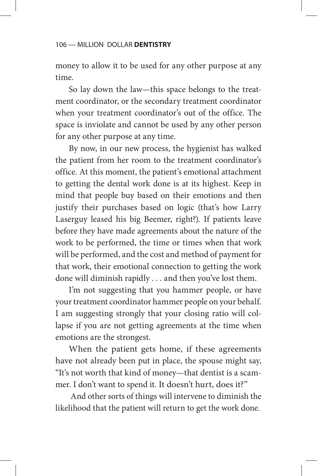money to allow it to be used for any other purpose at any time.

So lay down the law—this space belongs to the treatment coordinator, or the secondary treatment coordinator when your treatment coordinator's out of the office. The space is inviolate and cannot be used by any other person for any other purpose at any time.

By now, in our new process, the hygienist has walked the patient from her room to the treatment coordinator's office. At this moment, the patient's emotional attachment to getting the dental work done is at its highest. Keep in mind that people buy based on their emotions and then justify their purchases based on logic (that's how Larry Laserguy leased his big Beemer, right?). If patients leave before they have made agreements about the nature of the work to be performed, the time or times when that work will be performed, and the cost and method of payment for that work, their emotional connection to getting the work done will diminish rapidly . . . and then you've lost them.

I'm not suggesting that you hammer people, or have your treatment coordinator hammer people on your behalf. I am suggesting strongly that your closing ratio will collapse if you are not getting agreements at the time when emotions are the strongest.

When the patient gets home, if these agreements have not already been put in place, the spouse might say, "It's not worth that kind of money—that dentist is a scammer. I don't want to spend it. It doesn't hurt, does it?"

And other sorts of things will intervene to diminish the likelihood that the patient will return to get the work done.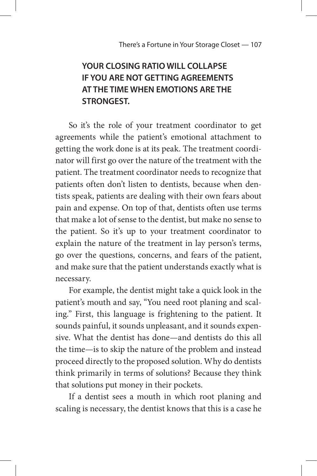## **YOUR CLOSING RATIO WILL COLLAPSE IF YOU ARE NOT GETTING AGREEMENTS AT THE TIME WHEN EMOTIONS ARE THE STRONGEST.**

So it's the role of your treatment coordinator to get agreements while the patient's emotional attachment to getting the work done is at its peak. The treatment coordinator will first go over the nature of the treatment with the patient. The treatment coordinator needs to recognize that patients often don't listen to dentists, because when dentists speak, patients are dealing with their own fears about pain and expense. On top of that, dentists often use terms that make a lot of sense to the dentist, but make no sense to the patient. So it's up to your treatment coordinator to explain the nature of the treatment in lay person's terms, go over the questions, concerns, and fears of the patient, and make sure that the patient understands exactly what is necessary.

For example, the dentist might take a quick look in the patient's mouth and say, "You need root planing and scaling." First, this language is frightening to the patient. It sounds painful, it sounds unpleasant, and it sounds expensive. What the dentist has done—and dentists do this all the time—is to skip the nature of the problem and instead proceed directly to the proposed solution. Why do dentists think primarily in terms of solutions? Because they think that solutions put money in their pockets.

If a dentist sees a mouth in which root planing and scaling is necessary, the dentist knows that this is a case he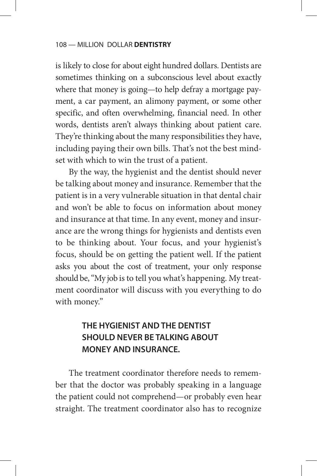is likely to close for about eight hundred dollars. Dentists are sometimes thinking on a subconscious level about exactly where that money is going—to help defray a mortgage payment, a car payment, an alimony payment, or some other specific, and often overwhelming, financial need. In other words, dentists aren't always thinking about patient care. They're thinking about the many responsibilities they have, including paying their own bills. That's not the best mindset with which to win the trust of a patient.

By the way, the hygienist and the dentist should never be talking about money and insurance. Remember that the patient is in a very vulnerable situation in that dental chair and won't be able to focus on information about money and insurance at that time. In any event, money and insurance are the wrong things for hygienists and dentists even to be thinking about. Your focus, and your hygienist's focus, should be on getting the patient well. If the patient asks you about the cost of treatment, your only response should be, "My job is to tell you what's happening. My treatment coordinator will discuss with you everything to do with money."

### **THE HYGIENIST AND THE DENTIST SHOULD NEVER BE TALKING ABOUT MONEY AND INSURANCE.**

The treatment coordinator therefore needs to remember that the doctor was probably speaking in a language the patient could not comprehend—or probably even hear straight. The treatment coordinator also has to recognize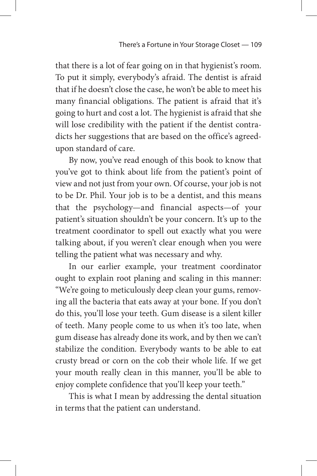that there is a lot of fear going on in that hygienist's room. To put it simply, everybody's afraid. The dentist is afraid that if he doesn't close the case, he won't be able to meet his many financial obligations. The patient is afraid that it's going to hurt and cost a lot. The hygienist is afraid that she will lose credibility with the patient if the dentist contradicts her suggestions that are based on the office's agreedupon standard of care.

By now, you've read enough of this book to know that you've got to think about life from the patient's point of view and not just from your own. Of course, your job is not to be Dr. Phil. Your job is to be a dentist, and this means that the psychology—and financial aspects—of your patient's situation shouldn't be your concern. It's up to the treatment coordinator to spell out exactly what you were talking about, if you weren't clear enough when you were telling the patient what was necessary and why.

In our earlier example, your treatment coordinator ought to explain root planing and scaling in this manner: "We're going to meticulously deep clean your gums, removing all the bacteria that eats away at your bone. If you don't do this, you'll lose your teeth. Gum disease is a silent killer of teeth. Many people come to us when it's too late, when gum disease has already done its work, and by then we can't stabilize the condition. Everybody wants to be able to eat crusty bread or corn on the cob their whole life. If we get your mouth really clean in this manner, you'll be able to enjoy complete confidence that you'll keep your teeth."

This is what I mean by addressing the dental situation in terms that the patient can understand.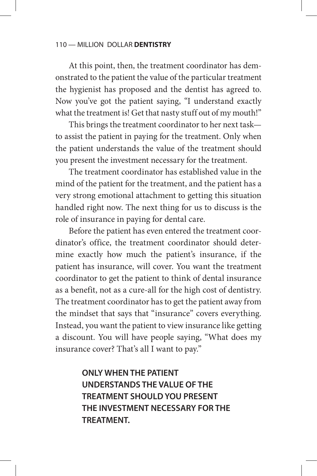At this point, then, the treatment coordinator has demonstrated to the patient the value of the particular treatment the hygienist has proposed and the dentist has agreed to. Now you've got the patient saying, "I understand exactly what the treatment is! Get that nasty stuff out of my mouth!"

This brings the treatment coordinator to her next task to assist the patient in paying for the treatment. Only when the patient understands the value of the treatment should you present the investment necessary for the treatment.

The treatment coordinator has established value in the mind of the patient for the treatment, and the patient has a very strong emotional attachment to getting this situation handled right now. The next thing for us to discuss is the role of insurance in paying for dental care.

Before the patient has even entered the treatment coordinator's office, the treatment coordinator should determine exactly how much the patient's insurance, if the patient has insurance, will cover. You want the treatment coordinator to get the patient to think of dental insurance as a benefit, not as a cure-all for the high cost of dentistry. The treatment coordinator has to get the patient away from the mindset that says that "insurance" covers everything. Instead, you want the patient to view insurance like getting a discount. You will have people saying, "What does my insurance cover? That's all I want to pay."

> **ONLY WHEN THE PATIENT UNDERSTANDS THE VALUE OF THE TREATMENT SHOULD YOU PRESENT THE INVESTMENT NECESSARY FOR THE TREATMENT.**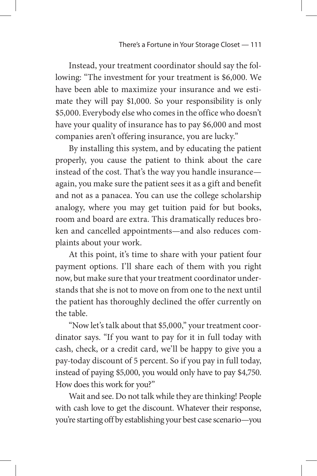Instead, your treatment coordinator should say the following: "The investment for your treatment is \$6,000. We have been able to maximize your insurance and we estimate they will pay \$1,000. So your responsibility is only \$5,000. Everybody else who comes in the office who doesn't have your quality of insurance has to pay \$6,000 and most companies aren't offering insurance, you are lucky."

By installing this system, and by educating the patient properly, you cause the patient to think about the care instead of the cost. That's the way you handle insurance again, you make sure the patient sees it as a gift and benefit and not as a panacea. You can use the college scholarship analogy, where you may get tuition paid for but books, room and board are extra. This dramatically reduces broken and cancelled appointments—and also reduces complaints about your work.

At this point, it's time to share with your patient four payment options. I'll share each of them with you right now, but make sure that your treatment coordinator understands that she is not to move on from one to the next until the patient has thoroughly declined the offer currently on the table.

"Now let's talk about that \$5,000," your treatment coordinator says. "If you want to pay for it in full today with cash, check, or a credit card, we'll be happy to give you a pay-today discount of 5 percent. So if you pay in full today, instead of paying \$5,000, you would only have to pay \$4,750. How does this work for you?"

Wait and see. Do not talk while they are thinking! People with cash love to get the discount. Whatever their response, you're starting off by establishing your best case scenario—you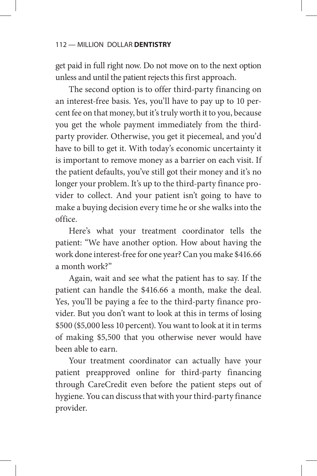get paid in full right now. Do not move on to the next option unless and until the patient rejects this first approach.

The second option is to offer third-party financing on an interest-free basis. Yes, you'll have to pay up to 10 percent fee on that money, but it's truly worth it to you, because you get the whole payment immediately from the thirdparty provider. Otherwise, you get it piecemeal, and you'd have to bill to get it. With today's economic uncertainty it is important to remove money as a barrier on each visit. If the patient defaults, you've still got their money and it's no longer your problem. It's up to the third-party finance provider to collect. And your patient isn't going to have to make a buying decision every time he or she walks into the office.

Here's what your treatment coordinator tells the patient: "We have another option. How about having the work done interest-free for one year? Can you make \$416.66 a month work?"

Again, wait and see what the patient has to say. If the patient can handle the \$416.66 a month, make the deal. Yes, you'll be paying a fee to the third-party finance provider. But you don't want to look at this in terms of losing \$500 (\$5,000 less 10 percent). You want to look at it in terms of making \$5,500 that you otherwise never would have been able to earn.

Your treatment coordinator can actually have your patient preapproved online for third-party financing through CareCredit even before the patient steps out of hygiene. You can discuss that with your third-party finance provider.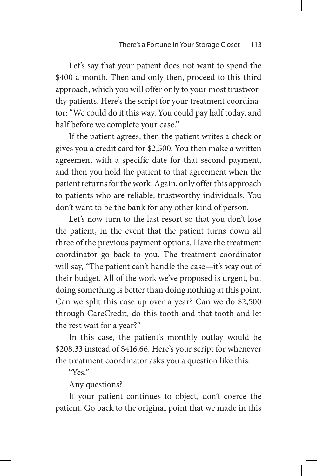Let's say that your patient does not want to spend the \$400 a month. Then and only then, proceed to this third approach, which you will offer only to your most trustworthy patients. Here's the script for your treatment coordinator: "We could do it this way. You could pay half today, and half before we complete your case."

If the patient agrees, then the patient writes a check or gives you a credit card for \$2,500. You then make a written agreement with a specific date for that second payment, and then you hold the patient to that agreement when the patient returns for the work. Again, only offer this approach to patients who are reliable, trustworthy individuals. You don't want to be the bank for any other kind of person.

Let's now turn to the last resort so that you don't lose the patient, in the event that the patient turns down all three of the previous payment options. Have the treatment coordinator go back to you. The treatment coordinator will say, "The patient can't handle the case—it's way out of their budget. All of the work we've proposed is urgent, but doing something is better than doing nothing at this point. Can we split this case up over a year? Can we do \$2,500 through CareCredit, do this tooth and that tooth and let the rest wait for a year?"

In this case, the patient's monthly outlay would be \$208.33 instead of \$416.66. Here's your script for whenever the treatment coordinator asks you a question like this:

"Yes."

Any questions?

If your patient continues to object, don't coerce the patient. Go back to the original point that we made in this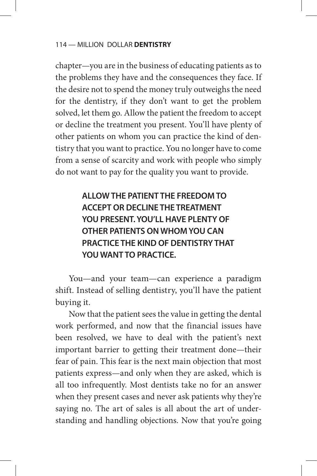#### 114 — MILLION DOLLAR **DENTISTRY**

chapter—you are in the business of educating patients as to the problems they have and the consequences they face. If the desire not to spend the money truly outweighs the need for the dentistry, if they don't want to get the problem solved, let them go. Allow the patient the freedom to accept or decline the treatment you present. You'll have plenty of other patients on whom you can practice the kind of dentistry that you want to practice. You no longer have to come from a sense of scarcity and work with people who simply do not want to pay for the quality you want to provide.

> **ALLOW THE PATIENT THE FREEDOM TO ACCEPT OR DECLINE THE TREATMENT YOU PRESENT. YOU'LL HAVE PLENTY OF OTHER PATIENTS ON WHOM YOU CAN PRACTICE THE KIND OF DENTISTRY THAT YOU WANT TO PRACTICE.**

You—and your team—can experience a paradigm shift. Instead of selling dentistry, you'll have the patient buying it.

Now that the patient sees the value in getting the dental work performed, and now that the financial issues have been resolved, we have to deal with the patient's next important barrier to getting their treatment done—their fear of pain. This fear is the next main objection that most patients express—and only when they are asked, which is all too infrequently. Most dentists take no for an answer when they present cases and never ask patients why they're saying no. The art of sales is all about the art of understanding and handling objections. Now that you're going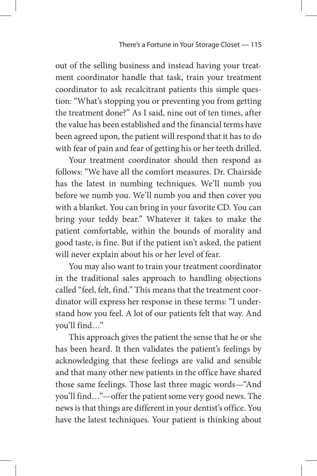out of the selling business and instead having your treatment coordinator handle that task, train your treatment coordinator to ask recalcitrant patients this simple question: "What's stopping you or preventing you from getting the treatment done?" As I said, nine out of ten times, after the value has been established and the financial terms have been agreed upon, the patient will respond that it has to do with fear of pain and fear of getting his or her teeth drilled.

Your treatment coordinator should then respond as follows: "We have all the comfort measures. Dr. Chairside has the latest in numbing techniques. We'll numb you before we numb you. We'll numb you and then cover you with a blanket. You can bring in your favorite CD. You can bring your teddy bear." Whatever it takes to make the patient comfortable, within the bounds of morality and good taste, is fine. But if the patient isn't asked, the patient will never explain about his or her level of fear.

You may also want to train your treatment coordinator in the traditional sales approach to handling objections called "feel, felt, find." This means that the treatment coordinator will express her response in these terms: "I understand how you feel. A lot of our patients felt that way. And you'll find…"

This approach gives the patient the sense that he or she has been heard. It then validates the patient's feelings by acknowledging that these feelings are valid and sensible and that many other new patients in the office have shared those same feelings. Those last three magic words—"And you'll find…"—offer the patient some very good news. The news is that things are different in your dentist's office. You have the latest techniques. Your patient is thinking about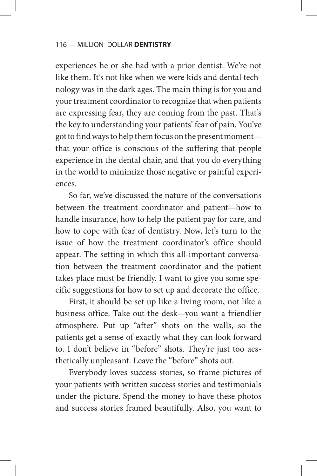experiences he or she had with a prior dentist. We're not like them. It's not like when we were kids and dental technology was in the dark ages. The main thing is for you and your treatment coordinator to recognize that when patients are expressing fear, they are coming from the past. That's the key to understanding your patients' fear of pain. You've got to find ways to help them focus on the present moment that your office is conscious of the suffering that people experience in the dental chair, and that you do everything in the world to minimize those negative or painful experiences.

So far, we've discussed the nature of the conversations between the treatment coordinator and patient—how to handle insurance, how to help the patient pay for care, and how to cope with fear of dentistry. Now, let's turn to the issue of how the treatment coordinator's office should appear. The setting in which this all-important conversation between the treatment coordinator and the patient takes place must be friendly. I want to give you some specific suggestions for how to set up and decorate the office.

First, it should be set up like a living room, not like a business office. Take out the desk—you want a friendlier atmosphere. Put up "after" shots on the walls, so the patients get a sense of exactly what they can look forward to. I don't believe in "before" shots. They're just too aesthetically unpleasant. Leave the "before" shots out.

Everybody loves success stories, so frame pictures of your patients with written success stories and testimonials under the picture. Spend the money to have these photos and success stories framed beautifully. Also, you want to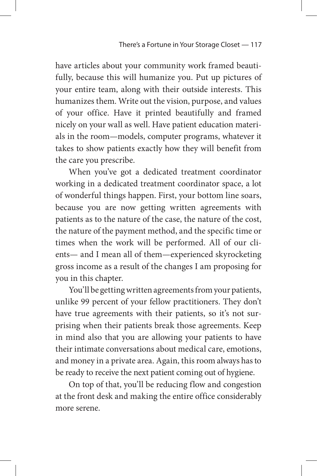have articles about your community work framed beautifully, because this will humanize you. Put up pictures of your entire team, along with their outside interests. This humanizes them. Write out the vision, purpose, and values of your office. Have it printed beautifully and framed nicely on your wall as well. Have patient education materials in the room—models, computer programs, whatever it takes to show patients exactly how they will benefit from the care you prescribe.

When you've got a dedicated treatment coordinator working in a dedicated treatment coordinator space, a lot of wonderful things happen. First, your bottom line soars, because you are now getting written agreements with patients as to the nature of the case, the nature of the cost, the nature of the payment method, and the specific time or times when the work will be performed. All of our clients— and I mean all of them—experienced skyrocketing gross income as a result of the changes I am proposing for you in this chapter.

You'll be getting written agreements from your patients, unlike 99 percent of your fellow practitioners. They don't have true agreements with their patients, so it's not surprising when their patients break those agreements. Keep in mind also that you are allowing your patients to have their intimate conversations about medical care, emotions, and money in a private area. Again, this room always has to be ready to receive the next patient coming out of hygiene.

On top of that, you'll be reducing flow and congestion at the front desk and making the entire office considerably more serene.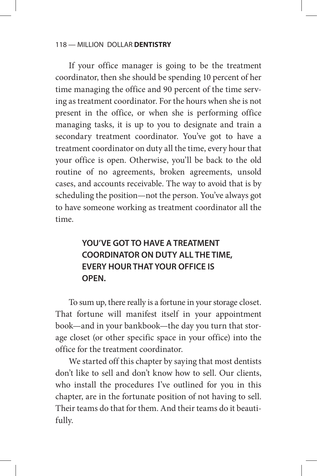#### 118 — MILLION DOLLAR **DENTISTRY**

If your office manager is going to be the treatment coordinator, then she should be spending 10 percent of her time managing the office and 90 percent of the time serving as treatment coordinator. For the hours when she is not present in the office, or when she is performing office managing tasks, it is up to you to designate and train a secondary treatment coordinator. You've got to have a treatment coordinator on duty all the time, every hour that your office is open. Otherwise, you'll be back to the old routine of no agreements, broken agreements, unsold cases, and accounts receivable. The way to avoid that is by scheduling the position—not the person. You've always got to have someone working as treatment coordinator all the time.

### **YOU'VE GOT TO HAVE A TREATMENT COORDINATOR ON DUTY ALL THE TIME, EVERY HOUR THAT YOUR OFFICE IS OPEN.**

To sum up, there really is a fortune in your storage closet. That fortune will manifest itself in your appointment book—and in your bankbook—the day you turn that storage closet (or other specific space in your office) into the office for the treatment coordinator.

We started off this chapter by saying that most dentists don't like to sell and don't know how to sell. Our clients, who install the procedures I've outlined for you in this chapter, are in the fortunate position of not having to sell. Their teams do that for them. And their teams do it beautifully.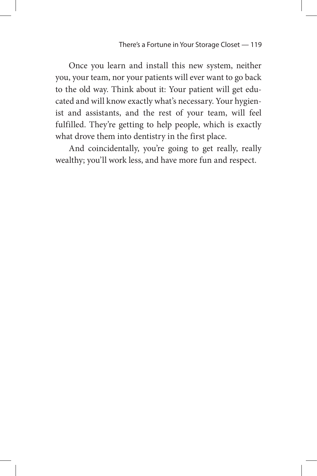Once you learn and install this new system, neither you, your team, nor your patients will ever want to go back to the old way. Think about it: Your patient will get educated and will know exactly what's necessary. Your hygienist and assistants, and the rest of your team, will feel fulfilled. They're getting to help people, which is exactly what drove them into dentistry in the first place.

And coincidentally, you're going to get really, really wealthy; you'll work less, and have more fun and respect.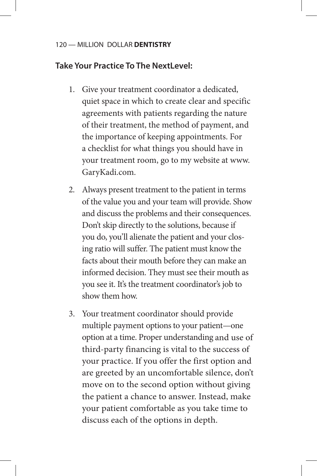#### 120 — MILLION DOLLAR **DENTISTRY**

#### **Take Your Practice To The NextLevel:**

- 1. Give your treatment coordinator a dedicated, quiet space in which to create clear and specific agreements with patients regarding the nature of their treatment, the method of payment, and the importance of keeping appointments. For a checklist for what things you should have in your treatment room, go to my website at www. GaryKadi.com.
- 2. Always present treatment to the patient in terms of the value you and your team will provide. Show and discuss the problems and their consequences. Don't skip directly to the solutions, because if you do, you'll alienate the patient and your closing ratio will suffer. The patient must know the facts about their mouth before they can make an informed decision. They must see their mouth as you see it. It's the treatment coordinator's job to show them how.
- 3. Your treatment coordinator should provide multiple payment options to your patient—one option at a time. Proper understanding and use of third-party financing is vital to the success of your practice. If you offer the first option and are greeted by an uncomfortable silence, don't move on to the second option without giving the patient a chance to answer. Instead, make your patient comfortable as you take time to discuss each of the options in depth.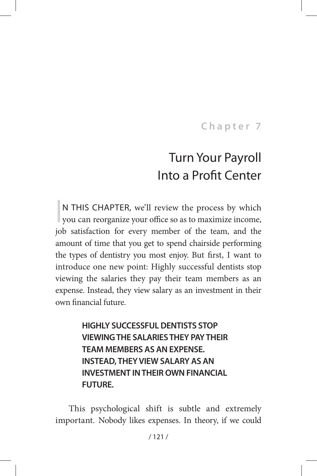# **Chapter 7**

# Turn Your Payroll Into a Profit Center

N THIS CHAPTER, we'll review the process by which you can reorganize your office so as to maximize income, N THIS CHAPTER, we'll review the process by which job satisfaction for every member of the team, and the amount of time that you get to spend chairside performing the types of dentistry you most enjoy. But first, I want to introduce one new point: Highly successful dentists stop viewing the salaries they pay their team members as an expense. Instead, they view salary as an investment in their own financial future.

> **HIGHLY SUCCESSFUL DENTISTS STOP VIEWING THE SALARIES THEY PAY THEIR TEAM MEMBERS AS AN EXPENSE. INSTEAD, THEY VIEW SALARY AS AN INVESTMENT IN THEIR OWN FINANCIAL FUTURE.**

This psychological shift is subtle and extremely important. Nobody likes expenses. In theory, if we could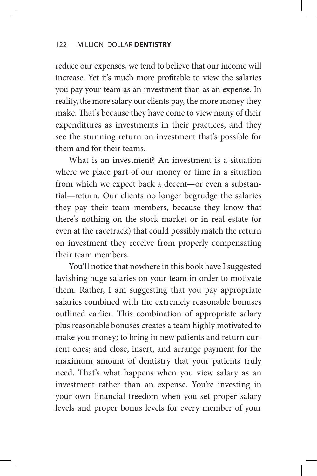reduce our expenses, we tend to believe that our income will increase. Yet it's much more profitable to view the salaries you pay your team as an investment than as an expense. In reality, the more salary our clients pay, the more money they make. That's because they have come to view many of their expenditures as investments in their practices, and they see the stunning return on investment that's possible for them and for their teams.

What is an investment? An investment is a situation where we place part of our money or time in a situation from which we expect back a decent—or even a substantial—return. Our clients no longer begrudge the salaries they pay their team members, because they know that there's nothing on the stock market or in real estate (or even at the racetrack) that could possibly match the return on investment they receive from properly compensating their team members.

You'll notice that nowhere in this book have I suggested lavishing huge salaries on your team in order to motivate them. Rather, I am suggesting that you pay appropriate salaries combined with the extremely reasonable bonuses outlined earlier. This combination of appropriate salary plus reasonable bonuses creates a team highly motivated to make you money; to bring in new patients and return current ones; and close, insert, and arrange payment for the maximum amount of dentistry that your patients truly need. That's what happens when you view salary as an investment rather than an expense. You're investing in your own financial freedom when you set proper salary levels and proper bonus levels for every member of your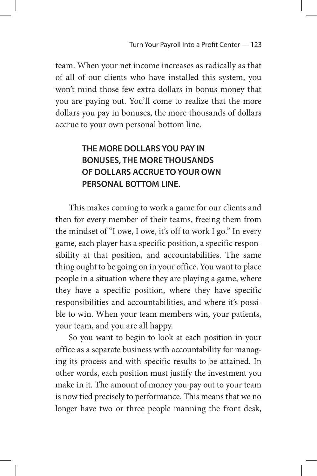team. When your net income increases as radically as that of all of our clients who have installed this system, you won't mind those few extra dollars in bonus money that you are paying out. You'll come to realize that the more dollars you pay in bonuses, the more thousands of dollars accrue to your own personal bottom line.

### **THE MORE DOLLARS YOU PAY IN BONUSES, THE MORE THOUSANDS OF DOLLARS ACCRUE TO YOUR OWN PERSONAL BOTTOM LINE.**

This makes coming to work a game for our clients and then for every member of their teams, freeing them from the mindset of "I owe, I owe, it's off to work I go." In every game, each player has a specific position, a specific responsibility at that position, and accountabilities. The same thing ought to be going on in your office. You want to place people in a situation where they are playing a game, where they have a specific position, where they have specific responsibilities and accountabilities, and where it's possible to win. When your team members win, your patients, your team, and you are all happy.

So you want to begin to look at each position in your office as a separate business with accountability for managing its process and with specific results to be attained. In other words, each position must justify the investment you make in it. The amount of money you pay out to your team is now tied precisely to performance. This means that we no longer have two or three people manning the front desk,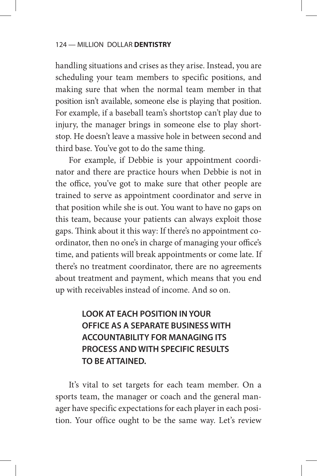#### 124 — MILLION DOLLAR **DENTISTRY**

handling situations and crises as they arise. Instead, you are scheduling your team members to specific positions, and making sure that when the normal team member in that position isn't available, someone else is playing that position. For example, if a baseball team's shortstop can't play due to injury, the manager brings in someone else to play shortstop. He doesn't leave a massive hole in between second and third base. You've got to do the same thing.

For example, if Debbie is your appointment coordinator and there are practice hours when Debbie is not in the office, you've got to make sure that other people are trained to serve as appointment coordinator and serve in that position while she is out. You want to have no gaps on this team, because your patients can always exploit those gaps. Think about it this way: If there's no appointment coordinator, then no one's in charge of managing your office's time, and patients will break appointments or come late. If there's no treatment coordinator, there are no agreements about treatment and payment, which means that you end up with receivables instead of income. And so on.

### **LOOK AT EACH POSITION IN YOUR OFFICE AS A SEPARATE BUSINESS WITH ACCOUNTABILITY FOR MANAGING ITS PROCESS AND WITH SPECIFIC RESULTS TO BE ATTAINED.**

It's vital to set targets for each team member. On a sports team, the manager or coach and the general manager have specific expectations for each player in each position. Your office ought to be the same way. Let's review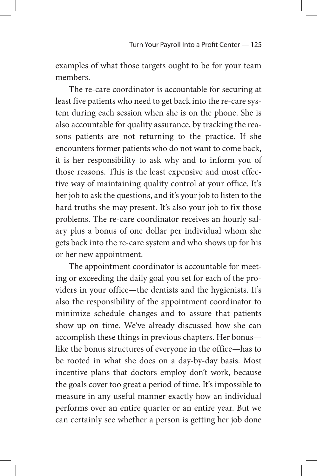examples of what those targets ought to be for your team members.

The re-care coordinator is accountable for securing at least five patients who need to get back into the re-care system during each session when she is on the phone. She is also accountable for quality assurance, by tracking the reasons patients are not returning to the practice. If she encounters former patients who do not want to come back, it is her responsibility to ask why and to inform you of those reasons. This is the least expensive and most effective way of maintaining quality control at your office. It's her job to ask the questions, and it's your job to listen to the hard truths she may present. It's also your job to fix those problems. The re-care coordinator receives an hourly salary plus a bonus of one dollar per individual whom she gets back into the re-care system and who shows up for his or her new appointment.

The appointment coordinator is accountable for meeting or exceeding the daily goal you set for each of the providers in your office—the dentists and the hygienists. It's also the responsibility of the appointment coordinator to minimize schedule changes and to assure that patients show up on time. We've already discussed how she can accomplish these things in previous chapters. Her bonus like the bonus structures of everyone in the office—has to be rooted in what she does on a day-by-day basis. Most incentive plans that doctors employ don't work, because the goals cover too great a period of time. It's impossible to measure in any useful manner exactly how an individual performs over an entire quarter or an entire year. But we can certainly see whether a person is getting her job done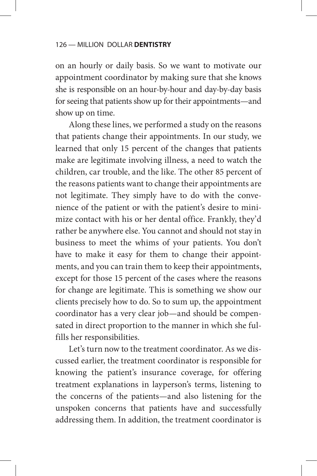on an hourly or daily basis. So we want to motivate our appointment coordinator by making sure that she knows she is responsible on an hour-by-hour and day-by-day basis for seeing that patients show up for their appointments—and show up on time.

Along these lines, we performed a study on the reasons that patients change their appointments. In our study, we learned that only 15 percent of the changes that patients make are legitimate involving illness, a need to watch the children, car trouble, and the like. The other 85 percent of the reasons patients want to change their appointments are not legitimate. They simply have to do with the convenience of the patient or with the patient's desire to minimize contact with his or her dental office. Frankly, they'd rather be anywhere else. You cannot and should not stay in business to meet the whims of your patients. You don't have to make it easy for them to change their appointments, and you can train them to keep their appointments, except for those 15 percent of the cases where the reasons for change are legitimate. This is something we show our clients precisely how to do. So to sum up, the appointment coordinator has a very clear job—and should be compensated in direct proportion to the manner in which she fulfills her responsibilities.

Let's turn now to the treatment coordinator. As we discussed earlier, the treatment coordinator is responsible for knowing the patient's insurance coverage, for offering treatment explanations in layperson's terms, listening to the concerns of the patients—and also listening for the unspoken concerns that patients have and successfully addressing them. In addition, the treatment coordinator is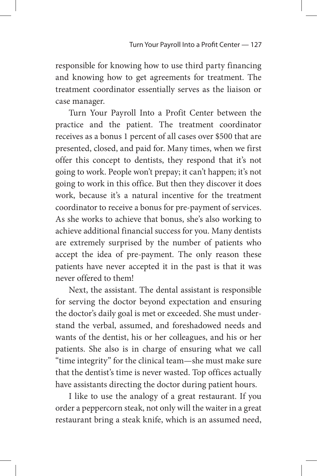responsible for knowing how to use third party financing and knowing how to get agreements for treatment. The treatment coordinator essentially serves as the liaison or case manager.

Turn Your Payroll Into a Profit Center between the practice and the patient. The treatment coordinator receives as a bonus 1 percent of all cases over \$500 that are presented, closed, and paid for. Many times, when we first offer this concept to dentists, they respond that it's not going to work. People won't prepay; it can't happen; it's not going to work in this office. But then they discover it does work, because it's a natural incentive for the treatment coordinator to receive a bonus for pre-payment of services. As she works to achieve that bonus, she's also working to achieve additional financial success for you. Many dentists are extremely surprised by the number of patients who accept the idea of pre-payment. The only reason these patients have never accepted it in the past is that it was never offered to them!

Next, the assistant. The dental assistant is responsible for serving the doctor beyond expectation and ensuring the doctor's daily goal is met or exceeded. She must understand the verbal, assumed, and foreshadowed needs and wants of the dentist, his or her colleagues, and his or her patients. She also is in charge of ensuring what we call "time integrity" for the clinical team—she must make sure that the dentist's time is never wasted. Top offices actually have assistants directing the doctor during patient hours.

I like to use the analogy of a great restaurant. If you order a peppercorn steak, not only will the waiter in a great restaurant bring a steak knife, which is an assumed need,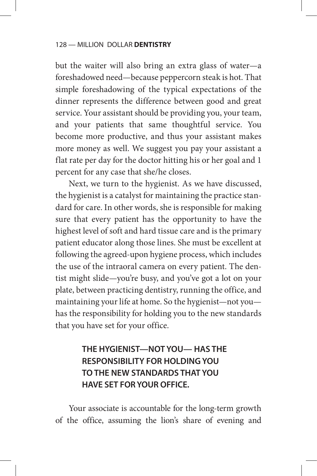but the waiter will also bring an extra glass of water—a foreshadowed need—because peppercorn steak is hot. That simple foreshadowing of the typical expectations of the dinner represents the difference between good and great service. Your assistant should be providing you, your team, and your patients that same thoughtful service. You become more productive, and thus your assistant makes more money as well. We suggest you pay your assistant a flat rate per day for the doctor hitting his or her goal and 1 percent for any case that she/he closes.

Next, we turn to the hygienist. As we have discussed, the hygienist is a catalyst for maintaining the practice standard for care. In other words, she is responsible for making sure that every patient has the opportunity to have the highest level of soft and hard tissue care and is the primary patient educator along those lines. She must be excellent at following the agreed-upon hygiene process, which includes the use of the intraoral camera on every patient. The dentist might slide—you're busy, and you've got a lot on your plate, between practicing dentistry, running the office, and maintaining your life at home. So the hygienist—not you has the responsibility for holding you to the new standards that you have set for your office.

#### **THE HYGIENIST—NOT YOU— HAS THE RESPONSIBILITY FOR HOLDING YOU TO THE NEW STANDARDS THAT YOU HAVE SET FOR YOUR OFFICE.**

Your associate is accountable for the long-term growth of the office, assuming the lion's share of evening and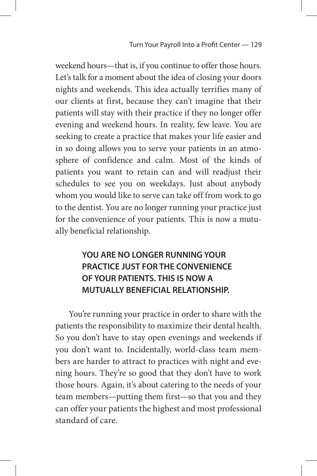weekend hours—that is, if you continue to offer those hours. Let's talk for a moment about the idea of closing your doors nights and weekends. This idea actually terrifies many of our clients at first, because they can't imagine that their patients will stay with their practice if they no longer offer evening and weekend hours. In reality, few leave. You are seeking to create a practice that makes your life easier and in so doing allows you to serve your patients in an atmosphere of confidence and calm. Most of the kinds of patients you want to retain can and will readjust their schedules to see you on weekdays. Just about anybody whom you would like to serve can take off from work to go to the dentist. You are no longer running your practice just for the convenience of your patients. This is now a mutually beneficial relationship.

### **YOU ARE NO LONGER RUNNING YOUR PRACTICE JUST FOR THE CONVENIENCE OF YOUR PATIENTS. THIS IS NOW A MUTUALLY BENEFICIAL RELATIONSHIP.**

You're running your practice in order to share with the patients the responsibility to maximize their dental health. So you don't have to stay open evenings and weekends if you don't want to. Incidentally, world-class team members are harder to attract to practices with night and evening hours. They're so good that they don't have to work those hours. Again, it's about catering to the needs of your team members—putting them first—so that you and they can offer your patients the highest and most professional standard of care.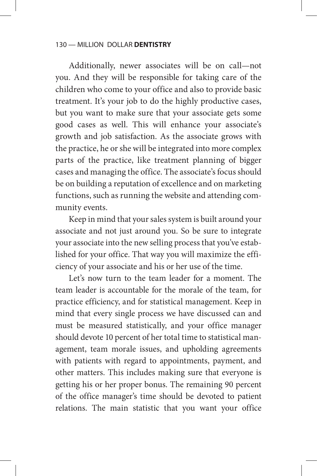#### 130 — MILLION DOLLAR **DENTISTRY**

Additionally, newer associates will be on call—not you. And they will be responsible for taking care of the children who come to your office and also to provide basic treatment. It's your job to do the highly productive cases, but you want to make sure that your associate gets some good cases as well. This will enhance your associate's growth and job satisfaction. As the associate grows with the practice, he or she will be integrated into more complex parts of the practice, like treatment planning of bigger cases and managing the office. The associate's focus should be on building a reputation of excellence and on marketing functions, such as running the website and attending community events.

Keep in mind that your sales system is built around your associate and not just around you. So be sure to integrate your associate into the new selling process that you've established for your office. That way you will maximize the efficiency of your associate and his or her use of the time.

Let's now turn to the team leader for a moment. The team leader is accountable for the morale of the team, for practice efficiency, and for statistical management. Keep in mind that every single process we have discussed can and must be measured statistically, and your office manager should devote 10 percent of her total time to statistical management, team morale issues, and upholding agreements with patients with regard to appointments, payment, and other matters. This includes making sure that everyone is getting his or her proper bonus. The remaining 90 percent of the office manager's time should be devoted to patient relations. The main statistic that you want your office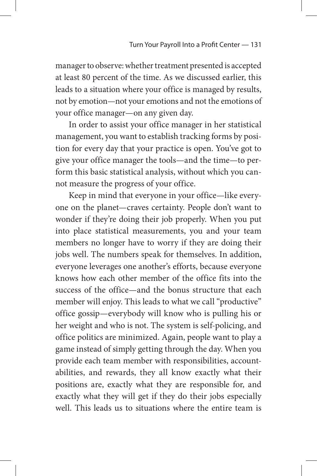manager to observe: whether treatment presented is accepted at least 80 percent of the time. As we discussed earlier, this leads to a situation where your office is managed by results, not by emotion—not your emotions and not the emotions of your office manager—on any given day.

In order to assist your office manager in her statistical management, you want to establish tracking forms by position for every day that your practice is open. You've got to give your office manager the tools—and the time—to perform this basic statistical analysis, without which you cannot measure the progress of your office.

Keep in mind that everyone in your office—like everyone on the planet—craves certainty. People don't want to wonder if they're doing their job properly. When you put into place statistical measurements, you and your team members no longer have to worry if they are doing their jobs well. The numbers speak for themselves. In addition, everyone leverages one another's efforts, because everyone knows how each other member of the office fits into the success of the office—and the bonus structure that each member will enjoy. This leads to what we call "productive" office gossip—everybody will know who is pulling his or her weight and who is not. The system is self-policing, and office politics are minimized. Again, people want to play a game instead of simply getting through the day. When you provide each team member with responsibilities, accountabilities, and rewards, they all know exactly what their positions are, exactly what they are responsible for, and exactly what they will get if they do their jobs especially well. This leads us to situations where the entire team is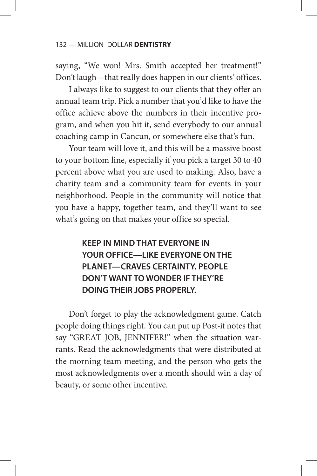saying, "We won! Mrs. Smith accepted her treatment!" Don't laugh—that really does happen in our clients' offices.

I always like to suggest to our clients that they offer an annual team trip. Pick a number that you'd like to have the office achieve above the numbers in their incentive program, and when you hit it, send everybody to our annual coaching camp in Cancun, or somewhere else that's fun.

Your team will love it, and this will be a massive boost to your bottom line, especially if you pick a target 30 to 40 percent above what you are used to making. Also, have a charity team and a community team for events in your neighborhood. People in the community will notice that you have a happy, together team, and they'll want to see what's going on that makes your office so special.

### **KEEP IN MIND THAT EVERYONE IN YOUR OFFICE—LIKE EVERYONE ON THE PLANET—CRAVES CERTAINTY. PEOPLE DON'T WANT TO WONDER IF THEY'RE DOING THEIR JOBS PROPERLY.**

Don't forget to play the acknowledgment game. Catch people doing things right. You can put up Post-it notes that say "GREAT JOB, JENNIFER!" when the situation warrants. Read the acknowledgments that were distributed at the morning team meeting, and the person who gets the most acknowledgments over a month should win a day of beauty, or some other incentive.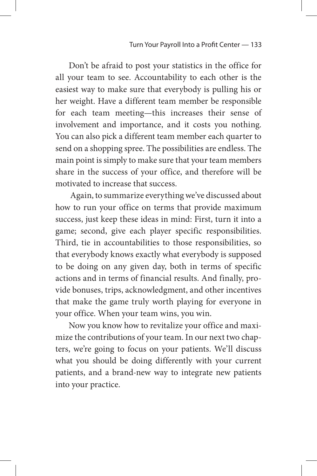Don't be afraid to post your statistics in the office for all your team to see. Accountability to each other is the easiest way to make sure that everybody is pulling his or her weight. Have a different team member be responsible for each team meeting—this increases their sense of involvement and importance, and it costs you nothing. You can also pick a different team member each quarter to send on a shopping spree. The possibilities are endless. The main point is simply to make sure that your team members share in the success of your office, and therefore will be motivated to increase that success.

 Again, to summarize everything we've discussed about how to run your office on terms that provide maximum success, just keep these ideas in mind: First, turn it into a game; second, give each player specific responsibilities. Third, tie in accountabilities to those responsibilities, so that everybody knows exactly what everybody is supposed to be doing on any given day, both in terms of specific actions and in terms of financial results. And finally, provide bonuses, trips, acknowledgment, and other incentives that make the game truly worth playing for everyone in your office. When your team wins, you win.

Now you know how to revitalize your office and maximize the contributions of your team. In our next two chapters, we're going to focus on your patients. We'll discuss what you should be doing differently with your current patients, and a brand-new way to integrate new patients into your practice.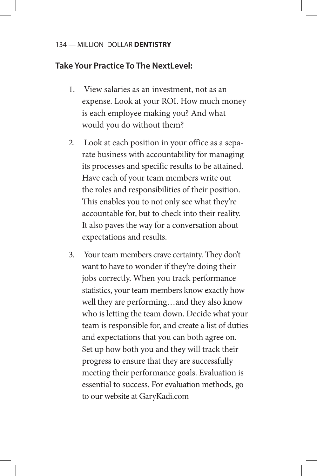#### 134 — MILLION DOLLAR **DENTISTRY**

#### **Take Your Practice To The NextLevel:**

- 1. View salaries as an investment, not as an expense. Look at your ROI. How much money is each employee making you? And what would you do without them?
- 2. Look at each position in your office as a separate business with accountability for managing its processes and specific results to be attained. Have each of your team members write out the roles and responsibilities of their position. This enables you to not only see what they're accountable for, but to check into their reality. It also paves the way for a conversation about expectations and results.
- 3. Your team members crave certainty. They don't want to have to wonder if they're doing their jobs correctly. When you track performance statistics, your team members know exactly how well they are performing…and they also know who is letting the team down. Decide what your team is responsible for, and create a list of duties and expectations that you can both agree on. Set up how both you and they will track their progress to ensure that they are successfully meeting their performance goals. Evaluation is essential to success. For evaluation methods, go to our website at GaryKadi.com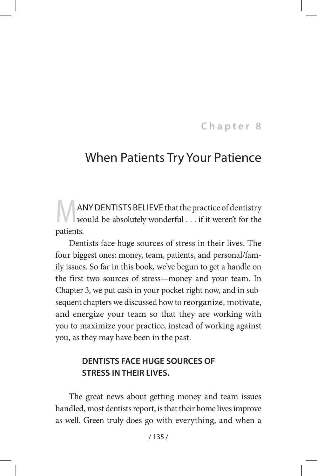## **Chapter 8**

# When Patients Try Your Patience

**MANY DENTISTS BELIEVE** that the practice of dentistry would be absolutely wonderful . . . if it weren't for the patients.

Dentists face huge sources of stress in their lives. The four biggest ones: money, team, patients, and personal/family issues. So far in this book, we've begun to get a handle on the first two sources of stress—money and your team. In Chapter 3, we put cash in your pocket right now, and in subsequent chapters we discussed how to reorganize, motivate, and energize your team so that they are working with you to maximize your practice, instead of working against you, as they may have been in the past.

## **DENTISTS FACE HUGE SOURCES OF STRESS IN THEIR LIVES.**

The great news about getting money and team issues handled, most dentists report, is that their home lives improve as well. Green truly does go with everything, and when a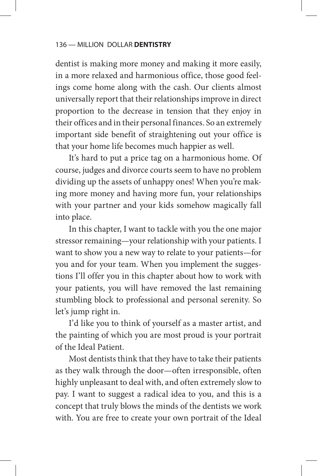dentist is making more money and making it more easily, in a more relaxed and harmonious office, those good feelings come home along with the cash. Our clients almost universally report that their relationships improve in direct proportion to the decrease in tension that they enjoy in their offices and in their personal finances. So an extremely important side benefit of straightening out your office is that your home life becomes much happier as well.

It's hard to put a price tag on a harmonious home. Of course, judges and divorce courts seem to have no problem dividing up the assets of unhappy ones! When you're making more money and having more fun, your relationships with your partner and your kids somehow magically fall into place.

In this chapter, I want to tackle with you the one major stressor remaining—your relationship with your patients. I want to show you a new way to relate to your patients—for you and for your team. When you implement the suggestions I'll offer you in this chapter about how to work with your patients, you will have removed the last remaining stumbling block to professional and personal serenity. So let's jump right in.

I'd like you to think of yourself as a master artist, and the painting of which you are most proud is your portrait of the Ideal Patient.

Most dentists think that they have to take their patients as they walk through the door—often irresponsible, often highly unpleasant to deal with, and often extremely slow to pay. I want to suggest a radical idea to you, and this is a concept that truly blows the minds of the dentists we work with. You are free to create your own portrait of the Ideal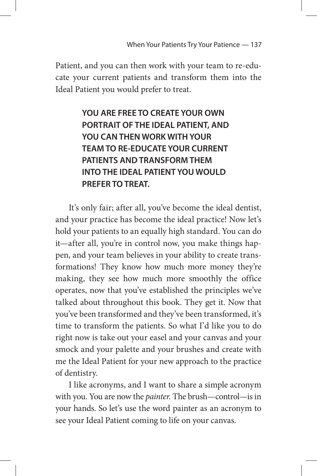Patient, and you can then work with your team to re-educate your current patients and transform them into the Ideal Patient you would prefer to treat.

# **YOU ARE FREE TO CREATE YOUR OWN PORTRAIT OF THE IDEAL PATIENT, AND YOU CAN THEN WORK WITH YOUR TEAM TO RE-EDUCATE YOUR CURRENT PATIENTS AND TRANSFORM THEM INTO THE IDEAL PATIENT YOU WOULD PREFER TO TREAT.**

It's only fair; after all, you've become the ideal dentist, and your practice has become the ideal practice! Now let's hold your patients to an equally high standard. You can do it—after all, you're in control now, you make things happen, and your team believes in your ability to create transformations! They know how much more money they're making, they see how much more smoothly the office operates, now that you've established the principles we've talked about throughout this book. They get it. Now that you've been transformed and they've been transformed, it's time to transform the patients. So what I'd like you to do right now is take out your easel and your canvas and your smock and your palette and your brushes and create with me the Ideal Patient for your new approach to the practice of dentistry.

I like acronyms, and I want to share a simple acronym with you. You are now the *painter.* The brush—control—is in your hands. So let's use the word painter as an acronym to see your Ideal Patient coming to life on your canvas.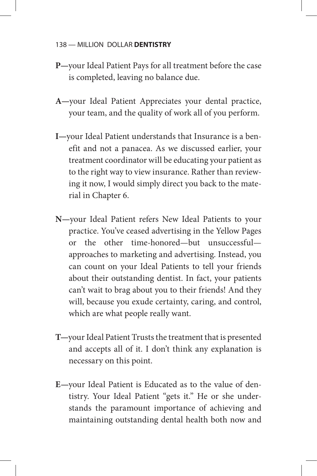- **P—**your Ideal Patient Pays for all treatment before the case is completed, leaving no balance due.
- **A—**your Ideal Patient Appreciates your dental practice, your team, and the quality of work all of you perform.
- **I—**your Ideal Patient understands that Insurance is a benefit and not a panacea. As we discussed earlier, your treatment coordinator will be educating your patient as to the right way to view insurance. Rather than reviewing it now, I would simply direct you back to the material in Chapter 6.
- **N—**your Ideal Patient refers New Ideal Patients to your practice. You've ceased advertising in the Yellow Pages or the other time-honored—but unsuccessful approaches to marketing and advertising. Instead, you can count on your Ideal Patients to tell your friends about their outstanding dentist. In fact, your patients can't wait to brag about you to their friends! And they will, because you exude certainty, caring, and control, which are what people really want.
- **T—**your Ideal Patient Trusts the treatment that is presented and accepts all of it. I don't think any explanation is necessary on this point.
- **E—**your Ideal Patient is Educated as to the value of dentistry. Your Ideal Patient "gets it." He or she understands the paramount importance of achieving and maintaining outstanding dental health both now and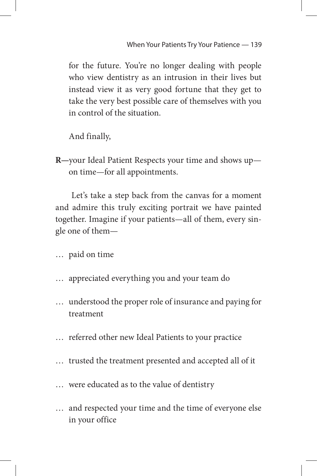for the future. You're no longer dealing with people who view dentistry as an intrusion in their lives but instead view it as very good fortune that they get to take the very best possible care of themselves with you in control of the situation.

And finally,

**R—**your Ideal Patient Respects your time and shows up on time—for all appointments.

 Let's take a step back from the canvas for a moment and admire this truly exciting portrait we have painted together. Imagine if your patients—all of them, every single one of them—

- … paid on time
- … appreciated everything you and your team do
- … understood the proper role of insurance and paying for treatment
- … referred other new Ideal Patients to your practice
- … trusted the treatment presented and accepted all of it
- … were educated as to the value of dentistry
- … and respected your time and the time of everyone else in your office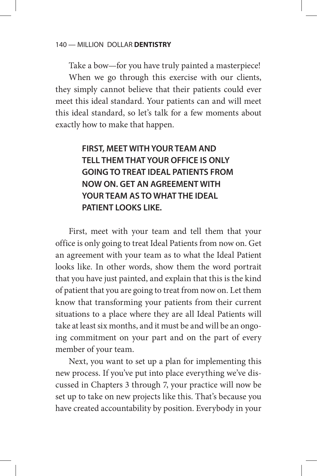Take a bow—for you have truly painted a masterpiece! When we go through this exercise with our clients, they simply cannot believe that their patients could ever meet this ideal standard. Your patients can and will meet this ideal standard, so let's talk for a few moments about exactly how to make that happen.

# **FIRST, MEET WITH YOUR TEAM AND TELL THEM THAT YOUR OFFICE IS ONLY GOING TO TREAT IDEAL PATIENTS FROM NOW ON. GET AN AGREEMENT WITH YOUR TEAM AS TO WHAT THE IDEAL PATIENT LOOKS LIKE.**

First, meet with your team and tell them that your office is only going to treat Ideal Patients from now on. Get an agreement with your team as to what the Ideal Patient looks like. In other words, show them the word portrait that you have just painted, and explain that this is the kind of patient that you are going to treat from now on. Let them know that transforming your patients from their current situations to a place where they are all Ideal Patients will take at least six months, and it must be and will be an ongoing commitment on your part and on the part of every member of your team.

Next, you want to set up a plan for implementing this new process. If you've put into place everything we've discussed in Chapters 3 through 7, your practice will now be set up to take on new projects like this. That's because you have created accountability by position. Everybody in your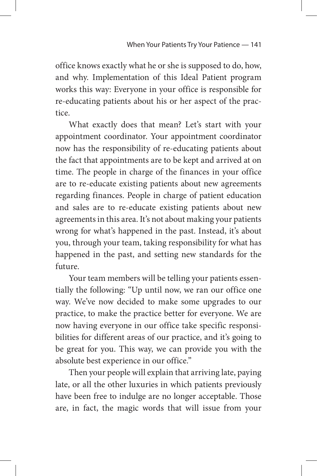office knows exactly what he or she is supposed to do, how, and why. Implementation of this Ideal Patient program works this way: Everyone in your office is responsible for re-educating patients about his or her aspect of the practice.

What exactly does that mean? Let's start with your appointment coordinator. Your appointment coordinator now has the responsibility of re-educating patients about the fact that appointments are to be kept and arrived at on time. The people in charge of the finances in your office are to re-educate existing patients about new agreements regarding finances. People in charge of patient education and sales are to re-educate existing patients about new agreements in this area. It's not about making your patients wrong for what's happened in the past. Instead, it's about you, through your team, taking responsibility for what has happened in the past, and setting new standards for the future.

Your team members will be telling your patients essentially the following: "Up until now, we ran our office one way. We've now decided to make some upgrades to our practice, to make the practice better for everyone. We are now having everyone in our office take specific responsibilities for different areas of our practice, and it's going to be great for you. This way, we can provide you with the absolute best experience in our office."

Then your people will explain that arriving late, paying late, or all the other luxuries in which patients previously have been free to indulge are no longer acceptable. Those are, in fact, the magic words that will issue from your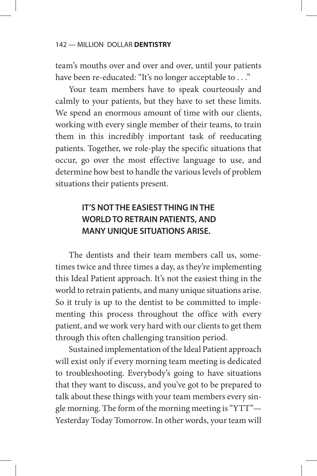team's mouths over and over and over, until your patients have been re-educated: "It's no longer acceptable to . . ."

Your team members have to speak courteously and calmly to your patients, but they have to set these limits. We spend an enormous amount of time with our clients, working with every single member of their teams, to train them in this incredibly important task of reeducating patients. Together, we role-play the specific situations that occur, go over the most effective language to use, and determine how best to handle the various levels of problem situations their patients present.

# **IT'S NOT THE EASIEST THING IN THE WORLD TO RETRAIN PATIENTS, AND MANY UNIQUE SITUATIONS ARISE.**

The dentists and their team members call us, sometimes twice and three times a day, as they're implementing this Ideal Patient approach. It's not the easiest thing in the world to retrain patients, and many unique situations arise. So it truly is up to the dentist to be committed to implementing this process throughout the office with every patient, and we work very hard with our clients to get them through this often challenging transition period.

Sustained implementation of the Ideal Patient approach will exist only if every morning team meeting is dedicated to troubleshooting. Everybody's going to have situations that they want to discuss, and you've got to be prepared to talk about these things with your team members every single morning. The form of the morning meeting is "YTT"— Yesterday Today Tomorrow. In other words, your team will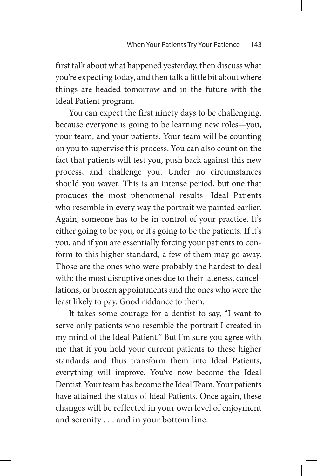first talk about what happened yesterday, then discuss what you're expecting today, and then talk a little bit about where things are headed tomorrow and in the future with the Ideal Patient program.

You can expect the first ninety days to be challenging, because everyone is going to be learning new roles—you, your team, and your patients. Your team will be counting on you to supervise this process. You can also count on the fact that patients will test you, push back against this new process, and challenge you. Under no circumstances should you waver. This is an intense period, but one that produces the most phenomenal results—Ideal Patients who resemble in every way the portrait we painted earlier. Again, someone has to be in control of your practice. It's either going to be you, or it's going to be the patients. If it's you, and if you are essentially forcing your patients to conform to this higher standard, a few of them may go away. Those are the ones who were probably the hardest to deal with: the most disruptive ones due to their lateness, cancellations, or broken appointments and the ones who were the least likely to pay. Good riddance to them.

It takes some courage for a dentist to say, "I want to serve only patients who resemble the portrait I created in my mind of the Ideal Patient." But I'm sure you agree with me that if you hold your current patients to these higher standards and thus transform them into Ideal Patients, everything will improve. You've now become the Ideal Dentist. Your team has become the Ideal Team. Your patients have attained the status of Ideal Patients. Once again, these changes will be reflected in your own level of enjoyment and serenity . . . and in your bottom line.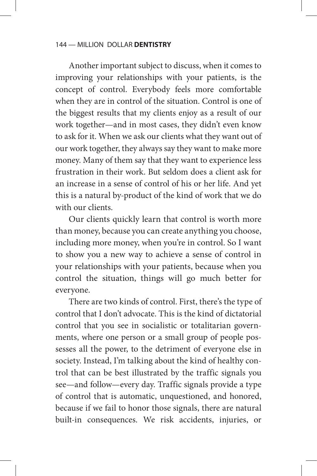Another important subject to discuss, when it comes to improving your relationships with your patients, is the concept of control. Everybody feels more comfortable when they are in control of the situation. Control is one of the biggest results that my clients enjoy as a result of our work together—and in most cases, they didn't even know to ask for it. When we ask our clients what they want out of our work together, they always say they want to make more money. Many of them say that they want to experience less frustration in their work. But seldom does a client ask for an increase in a sense of control of his or her life. And yet this is a natural by-product of the kind of work that we do with our clients.

Our clients quickly learn that control is worth more than money, because you can create anything you choose, including more money, when you're in control. So I want to show you a new way to achieve a sense of control in your relationships with your patients, because when you control the situation, things will go much better for everyone.

There are two kinds of control. First, there's the type of control that I don't advocate. This is the kind of dictatorial control that you see in socialistic or totalitarian governments, where one person or a small group of people possesses all the power, to the detriment of everyone else in society. Instead, I'm talking about the kind of healthy control that can be best illustrated by the traffic signals you see—and follow—every day. Traffic signals provide a type of control that is automatic, unquestioned, and honored, because if we fail to honor those signals, there are natural built-in consequences. We risk accidents, injuries, or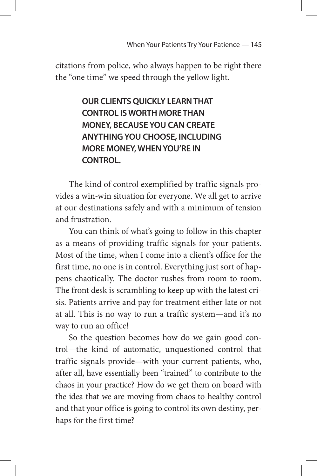citations from police, who always happen to be right there the "one time" we speed through the yellow light.

# **OUR CLIENTS QUICKLY LEARN THAT CONTROL IS WORTH MORE THAN MONEY, BECAUSE YOU CAN CREATE ANYTHING YOU CHOOSE, INCLUDING MORE MONEY, WHEN YOU'RE IN CONTROL.**

The kind of control exemplified by traffic signals provides a win-win situation for everyone. We all get to arrive at our destinations safely and with a minimum of tension and frustration.

You can think of what's going to follow in this chapter as a means of providing traffic signals for your patients. Most of the time, when I come into a client's office for the first time, no one is in control. Everything just sort of happens chaotically. The doctor rushes from room to room. The front desk is scrambling to keep up with the latest crisis. Patients arrive and pay for treatment either late or not at all. This is no way to run a traffic system—and it's no way to run an office!

So the question becomes how do we gain good control—the kind of automatic, unquestioned control that traffic signals provide—with your current patients, who, after all, have essentially been "trained" to contribute to the chaos in your practice? How do we get them on board with the idea that we are moving from chaos to healthy control and that your office is going to control its own destiny, perhaps for the first time?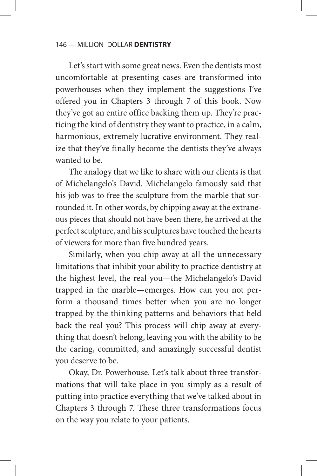Let's start with some great news. Even the dentists most uncomfortable at presenting cases are transformed into powerhouses when they implement the suggestions I've offered you in Chapters 3 through 7 of this book. Now they've got an entire office backing them up. They're practicing the kind of dentistry they want to practice, in a calm, harmonious, extremely lucrative environment. They realize that they've finally become the dentists they've always wanted to be.

The analogy that we like to share with our clients is that of Michelangelo's David. Michelangelo famously said that his job was to free the sculpture from the marble that surrounded it. In other words, by chipping away at the extraneous pieces that should not have been there, he arrived at the perfect sculpture, and his sculptures have touched the hearts of viewers for more than five hundred years.

Similarly, when you chip away at all the unnecessary limitations that inhibit your ability to practice dentistry at the highest level, the real you—the Michelangelo's David trapped in the marble—emerges. How can you not perform a thousand times better when you are no longer trapped by the thinking patterns and behaviors that held back the real you? This process will chip away at everything that doesn't belong, leaving you with the ability to be the caring, committed, and amazingly successful dentist you deserve to be.

Okay, Dr. Powerhouse. Let's talk about three transformations that will take place in you simply as a result of putting into practice everything that we've talked about in Chapters 3 through 7. These three transformations focus on the way you relate to your patients.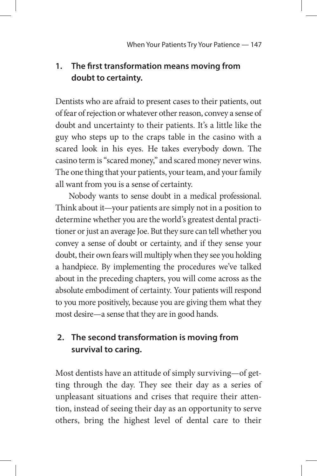# **1. The first transformation means moving from doubt to certainty.**

Dentists who are afraid to present cases to their patients, out of fear of rejection or whatever other reason, convey a sense of doubt and uncertainty to their patients. It's a little like the guy who steps up to the craps table in the casino with a scared look in his eyes. He takes everybody down. The casino term is "scared money," and scared money never wins. The one thing that your patients, your team, and your family all want from you is a sense of certainty.

Nobody wants to sense doubt in a medical professional. Think about it—your patients are simply not in a position to determine whether you are the world's greatest dental practitioner or just an average Joe. But they sure can tell whether you convey a sense of doubt or certainty, and if they sense your doubt, their own fears will multiply when they see you holding a handpiece. By implementing the procedures we've talked about in the preceding chapters, you will come across as the absolute embodiment of certainty. Your patients will respond to you more positively, because you are giving them what they most desire—a sense that they are in good hands.

## **2. The second transformation is moving from survival to caring.**

Most dentists have an attitude of simply surviving—of getting through the day. They see their day as a series of unpleasant situations and crises that require their attention, instead of seeing their day as an opportunity to serve others, bring the highest level of dental care to their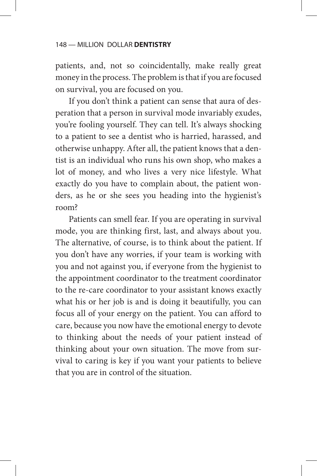patients, and, not so coincidentally, make really great money in the process. The problem is that if you are focused on survival, you are focused on you.

If you don't think a patient can sense that aura of desperation that a person in survival mode invariably exudes, you're fooling yourself. They can tell. It's always shocking to a patient to see a dentist who is harried, harassed, and otherwise unhappy. After all, the patient knows that a dentist is an individual who runs his own shop, who makes a lot of money, and who lives a very nice lifestyle. What exactly do you have to complain about, the patient wonders, as he or she sees you heading into the hygienist's room?

Patients can smell fear. If you are operating in survival mode, you are thinking first, last, and always about you. The alternative, of course, is to think about the patient. If you don't have any worries, if your team is working with you and not against you, if everyone from the hygienist to the appointment coordinator to the treatment coordinator to the re-care coordinator to your assistant knows exactly what his or her job is and is doing it beautifully, you can focus all of your energy on the patient. You can afford to care, because you now have the emotional energy to devote to thinking about the needs of your patient instead of thinking about your own situation. The move from survival to caring is key if you want your patients to believe that you are in control of the situation.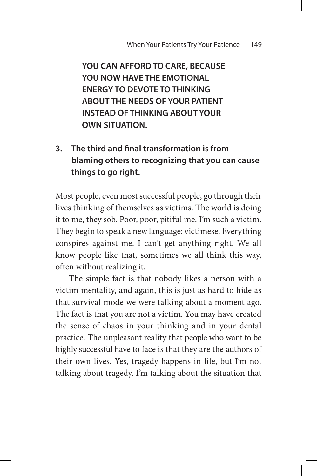**YOU CAN AFFORD TO CARE, BECAUSE YOU NOW HAVE THE EMOTIONAL ENERGY TO DEVOTE TO THINKING ABOUT THE NEEDS OF YOUR PATIENT INSTEAD OF THINKING ABOUT YOUR OWN SITUATION.** 

**3. The third and final transformation is from blaming others to recognizing that you can cause things to go right.** 

Most people, even most successful people, go through their lives thinking of themselves as victims. The world is doing it to me, they sob. Poor, poor, pitiful me. I'm such a victim. They begin to speak a new language: victimese. Everything conspires against me. I can't get anything right. We all know people like that, sometimes we all think this way, often without realizing it.

The simple fact is that nobody likes a person with a victim mentality, and again, this is just as hard to hide as that survival mode we were talking about a moment ago. The fact is that you are not a victim. You may have created the sense of chaos in your thinking and in your dental practice. The unpleasant reality that people who want to be highly successful have to face is that they are the authors of their own lives. Yes, tragedy happens in life, but I'm not talking about tragedy. I'm talking about the situation that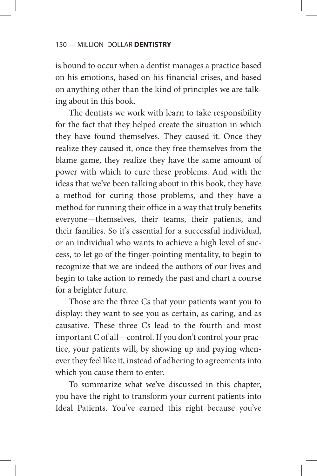is bound to occur when a dentist manages a practice based on his emotions, based on his financial crises, and based on anything other than the kind of principles we are talking about in this book.

The dentists we work with learn to take responsibility for the fact that they helped create the situation in which they have found themselves. They caused it. Once they realize they caused it, once they free themselves from the blame game, they realize they have the same amount of power with which to cure these problems. And with the ideas that we've been talking about in this book, they have a method for curing those problems, and they have a method for running their office in a way that truly benefits everyone—themselves, their teams, their patients, and their families. So it's essential for a successful individual, or an individual who wants to achieve a high level of success, to let go of the finger-pointing mentality, to begin to recognize that we are indeed the authors of our lives and begin to take action to remedy the past and chart a course for a brighter future.

Those are the three Cs that your patients want you to display: they want to see you as certain, as caring, and as causative. These three Cs lead to the fourth and most important C of all—control. If you don't control your practice, your patients will, by showing up and paying whenever they feel like it, instead of adhering to agreements into which you cause them to enter.

To summarize what we've discussed in this chapter, you have the right to transform your current patients into Ideal Patients. You've earned this right because you've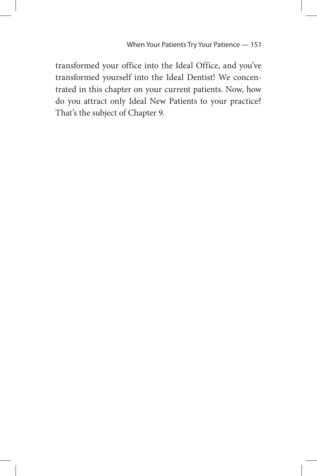transformed your office into the Ideal Office, and you've transformed yourself into the Ideal Dentist! We concentrated in this chapter on your current patients. Now, how do you attract only Ideal New Patients to your practice? That's the subject of Chapter 9.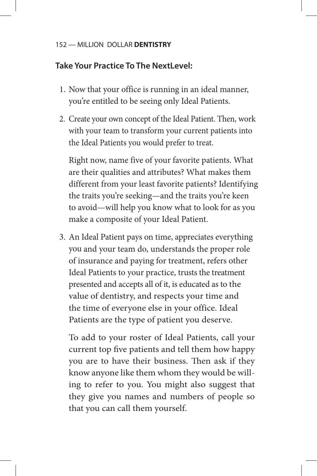## **Take Your Practice To The NextLevel:**

- 1. Now that your office is running in an ideal manner, you're entitled to be seeing only Ideal Patients.
- 2. Create your own concept of the Ideal Patient. Then, work with your team to transform your current patients into the Ideal Patients you would prefer to treat.

Right now, name five of your favorite patients. What are their qualities and attributes? What makes them different from your least favorite patients? Identifying the traits you're seeking—and the traits you're keen to avoid—will help you know what to look for as you make a composite of your Ideal Patient.

3. An Ideal Patient pays on time, appreciates everything you and your team do, understands the proper role of insurance and paying for treatment, refers other Ideal Patients to your practice, trusts the treatment presented and accepts all of it, is educated as to the value of dentistry, and respects your time and the time of everyone else in your office. Ideal Patients are the type of patient you deserve.

To add to your roster of Ideal Patients, call your current top five patients and tell them how happy you are to have their business. Then ask if they know anyone like them whom they would be willing to refer to you. You might also suggest that they give you names and numbers of people so that you can call them yourself.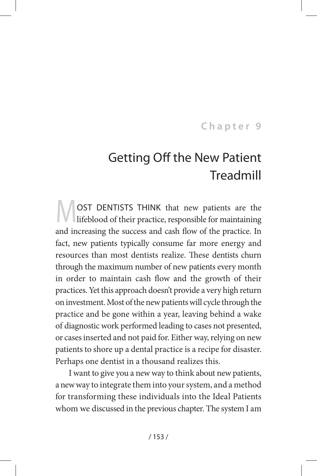# **Chapter 9**

# Getting Off the New Patient Treadmill

OST DENTISTS THINK that new patients are the lifeblood of their practice, responsible for maintaining and increasing the success and cash flow of the practice. In fact, new patients typically consume far more energy and resources than most dentists realize. These dentists churn through the maximum number of new patients every month in order to maintain cash flow and the growth of their practices. Yet this approach doesn't provide a very high return on investment. Most of the new patients will cycle through the practice and be gone within a year, leaving behind a wake of diagnostic work performed leading to cases not presented, or cases inserted and not paid for. Either way, relying on new patients to shore up a dental practice is a recipe for disaster. Perhaps one dentist in a thousand realizes this.

I want to give you a new way to think about new patients, a new way to integrate them into your system, and a method for transforming these individuals into the Ideal Patients whom we discussed in the previous chapter. The system I am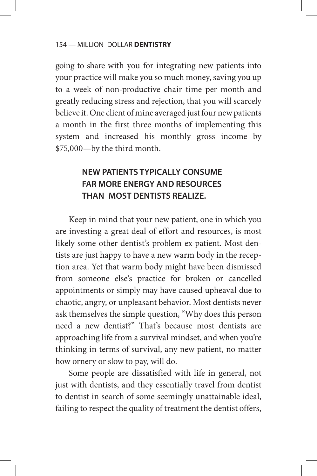going to share with you for integrating new patients into your practice will make you so much money, saving you up to a week of non-productive chair time per month and greatly reducing stress and rejection, that you will scarcely believe it. One client of mine averaged just four new patients a month in the first three months of implementing this system and increased his monthly gross income by \$75,000—by the third month.

# **NEW PATIENTS TYPICALLY CONSUME FAR MORE ENERGY AND RESOURCES THAN MOST DENTISTS REALIZE.**

Keep in mind that your new patient, one in which you are investing a great deal of effort and resources, is most likely some other dentist's problem ex-patient. Most dentists are just happy to have a new warm body in the reception area. Yet that warm body might have been dismissed from someone else's practice for broken or cancelled appointments or simply may have caused upheaval due to chaotic, angry, or unpleasant behavior. Most dentists never ask themselves the simple question, "Why does this person need a new dentist?" That's because most dentists are approaching life from a survival mindset, and when you're thinking in terms of survival, any new patient, no matter how ornery or slow to pay, will do.

Some people are dissatisfied with life in general, not just with dentists, and they essentially travel from dentist to dentist in search of some seemingly unattainable ideal, failing to respect the quality of treatment the dentist offers,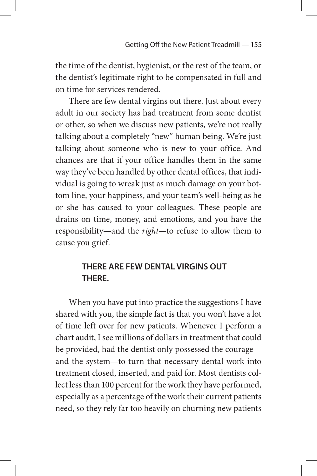the time of the dentist, hygienist, or the rest of the team, or the dentist's legitimate right to be compensated in full and on time for services rendered.

There are few dental virgins out there. Just about every adult in our society has had treatment from some dentist or other, so when we discuss new patients, we're not really talking about a completely "new" human being. We're just talking about someone who is new to your office. And chances are that if your office handles them in the same way they've been handled by other dental offices, that individual is going to wreak just as much damage on your bottom line, your happiness, and your team's well-being as he or she has caused to your colleagues. These people are drains on time, money, and emotions, and you have the responsibility—and the *right*—to refuse to allow them to cause you grief.

## **THERE ARE FEW DENTAL VIRGINS OUT THERE.**

When you have put into practice the suggestions I have shared with you, the simple fact is that you won't have a lot of time left over for new patients. Whenever I perform a chart audit, I see millions of dollars in treatment that could be provided, had the dentist only possessed the courage and the system—to turn that necessary dental work into treatment closed, inserted, and paid for. Most dentists collect less than 100 percent for the work they have performed, especially as a percentage of the work their current patients need, so they rely far too heavily on churning new patients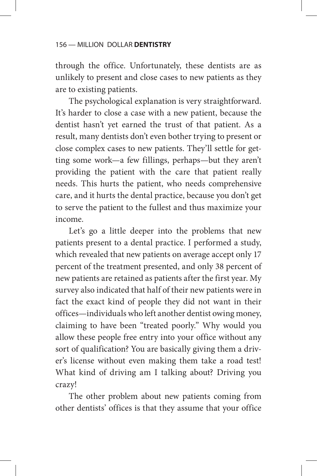through the office. Unfortunately, these dentists are as unlikely to present and close cases to new patients as they are to existing patients.

The psychological explanation is very straightforward. It's harder to close a case with a new patient, because the dentist hasn't yet earned the trust of that patient. As a result, many dentists don't even bother trying to present or close complex cases to new patients. They'll settle for getting some work—a few fillings, perhaps—but they aren't providing the patient with the care that patient really needs. This hurts the patient, who needs comprehensive care, and it hurts the dental practice, because you don't get to serve the patient to the fullest and thus maximize your income.

Let's go a little deeper into the problems that new patients present to a dental practice. I performed a study, which revealed that new patients on average accept only 17 percent of the treatment presented, and only 38 percent of new patients are retained as patients after the first year. My survey also indicated that half of their new patients were in fact the exact kind of people they did not want in their offices—individuals who left another dentist owing money, claiming to have been "treated poorly." Why would you allow these people free entry into your office without any sort of qualification? You are basically giving them a driver's license without even making them take a road test! What kind of driving am I talking about? Driving you crazy!

The other problem about new patients coming from other dentists' offices is that they assume that your office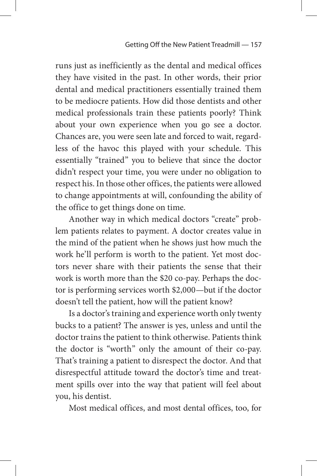runs just as inefficiently as the dental and medical offices they have visited in the past. In other words, their prior dental and medical practitioners essentially trained them to be mediocre patients. How did those dentists and other medical professionals train these patients poorly? Think about your own experience when you go see a doctor. Chances are, you were seen late and forced to wait, regardless of the havoc this played with your schedule. This essentially "trained" you to believe that since the doctor didn't respect your time, you were under no obligation to respect his. In those other offices, the patients were allowed to change appointments at will, confounding the ability of the office to get things done on time.

Another way in which medical doctors "create" problem patients relates to payment. A doctor creates value in the mind of the patient when he shows just how much the work he'll perform is worth to the patient. Yet most doctors never share with their patients the sense that their work is worth more than the \$20 co-pay. Perhaps the doctor is performing services worth \$2,000—but if the doctor doesn't tell the patient, how will the patient know?

Is a doctor's training and experience worth only twenty bucks to a patient? The answer is yes, unless and until the doctor trains the patient to think otherwise. Patients think the doctor is "worth" only the amount of their co-pay. That's training a patient to disrespect the doctor. And that disrespectful attitude toward the doctor's time and treatment spills over into the way that patient will feel about you, his dentist.

Most medical offices, and most dental offices, too, for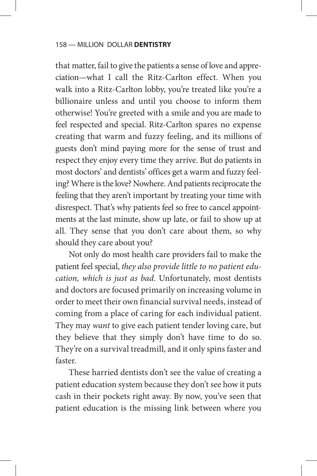that matter, fail to give the patients a sense of love and appreciation—what I call the Ritz-Carlton effect. When you walk into a Ritz-Carlton lobby, you're treated like you're a billionaire unless and until you choose to inform them otherwise! You're greeted with a smile and you are made to feel respected and special. Ritz-Carlton spares no expense creating that warm and fuzzy feeling, and its millions of guests don't mind paying more for the sense of trust and respect they enjoy every time they arrive. But do patients in most doctors' and dentists' offices get a warm and fuzzy feeling? Where is the love? Nowhere. And patients reciprocate the feeling that they aren't important by treating your time with disrespect. That's why patients feel so free to cancel appointments at the last minute, show up late, or fail to show up at all. They sense that you don't care about them, so why should they care about you?

Not only do most health care providers fail to make the patient feel special, *they also provide little to no patient education, which is just as bad*. Unfortunately, most dentists and doctors are focused primarily on increasing volume in order to meet their own financial survival needs, instead of coming from a place of caring for each individual patient. They may *want* to give each patient tender loving care, but they believe that they simply don't have time to do so. They're on a survival treadmill, and it only spins faster and faster.

These harried dentists don't see the value of creating a patient education system because they don't see how it puts cash in their pockets right away. By now, you've seen that patient education is the missing link between where you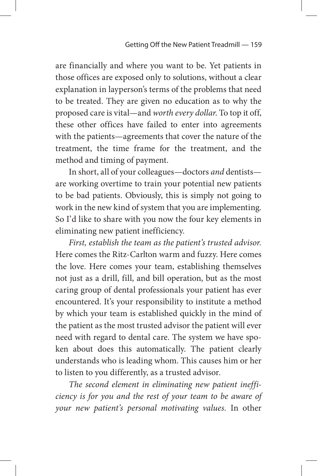are financially and where you want to be. Yet patients in those offices are exposed only to solutions, without a clear explanation in layperson's terms of the problems that need to be treated. They are given no education as to why the proposed care is vital—and *worth every dollar*. To top it off, these other offices have failed to enter into agreements with the patients—agreements that cover the nature of the treatment, the time frame for the treatment, and the method and timing of payment.

In short, all of your colleagues—doctors *and* dentists are working overtime to train your potential new patients to be bad patients. Obviously, this is simply not going to work in the new kind of system that you are implementing. So I'd like to share with you now the four key elements in eliminating new patient inefficiency.

*First, establish the team as the patient's trusted advisor.*  Here comes the Ritz-Carlton warm and fuzzy. Here comes the love. Here comes your team, establishing themselves not just as a drill, fill, and bill operation, but as the most caring group of dental professionals your patient has ever encountered. It's your responsibility to institute a method by which your team is established quickly in the mind of the patient as the most trusted advisor the patient will ever need with regard to dental care. The system we have spoken about does this automatically. The patient clearly understands who is leading whom. This causes him or her to listen to you differently, as a trusted advisor.

*The second element in eliminating new patient inefficiency is for you and the rest of your team to be aware of your new patient's personal motivating values.* In other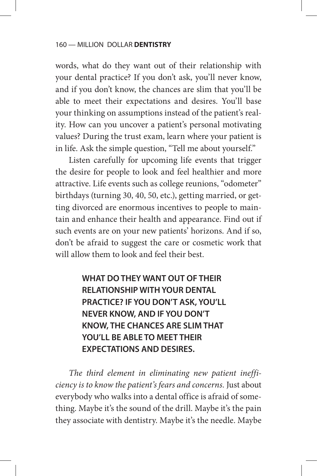words, what do they want out of their relationship with your dental practice? If you don't ask, you'll never know, and if you don't know, the chances are slim that you'll be able to meet their expectations and desires. You'll base your thinking on assumptions instead of the patient's reality. How can you uncover a patient's personal motivating values? During the trust exam, learn where your patient is in life. Ask the simple question, "Tell me about yourself."

Listen carefully for upcoming life events that trigger the desire for people to look and feel healthier and more attractive. Life events such as college reunions, "odometer" birthdays (turning 30, 40, 50, etc.), getting married, or getting divorced are enormous incentives to people to maintain and enhance their health and appearance. Find out if such events are on your new patients' horizons. And if so, don't be afraid to suggest the care or cosmetic work that will allow them to look and feel their best.

> **WHAT DO THEY WANT OUT OF THEIR RELATIONSHIP WITH YOUR DENTAL PRACTICE? IF YOU DON'T ASK, YOU'LL NEVER KNOW, AND IF YOU DON'T KNOW, THE CHANCES ARE SLIM THAT YOU'LL BE ABLE TO MEET THEIR EXPECTATIONS AND DESIRES.**

*The third element in eliminating new patient inefficiency is to know the patient's fears and concerns.* Just about everybody who walks into a dental office is afraid of something. Maybe it's the sound of the drill. Maybe it's the pain they associate with dentistry. Maybe it's the needle. Maybe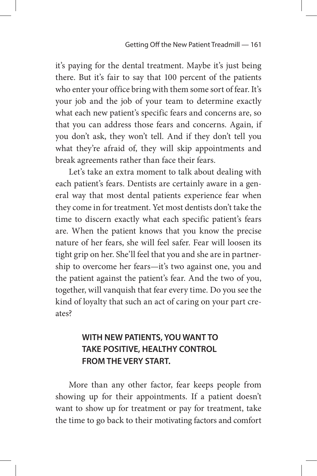it's paying for the dental treatment. Maybe it's just being there. But it's fair to say that 100 percent of the patients who enter your office bring with them some sort of fear. It's your job and the job of your team to determine exactly what each new patient's specific fears and concerns are, so that you can address those fears and concerns. Again, if you don't ask, they won't tell. And if they don't tell you what they're afraid of, they will skip appointments and break agreements rather than face their fears.

Let's take an extra moment to talk about dealing with each patient's fears. Dentists are certainly aware in a general way that most dental patients experience fear when they come in for treatment. Yet most dentists don't take the time to discern exactly what each specific patient's fears are. When the patient knows that you know the precise nature of her fears, she will feel safer. Fear will loosen its tight grip on her. She'll feel that you and she are in partnership to overcome her fears—it's two against one, you and the patient against the patient's fear. And the two of you, together, will vanquish that fear every time. Do you see the kind of loyalty that such an act of caring on your part creates?

## **WITH NEW PATIENTS, YOU WANT TO TAKE POSITIVE, HEALTHY CONTROL FROM THE VERY START.**

More than any other factor, fear keeps people from showing up for their appointments. If a patient doesn't want to show up for treatment or pay for treatment, take the time to go back to their motivating factors and comfort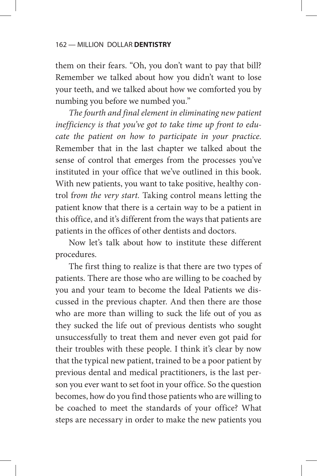them on their fears. "Oh, you don't want to pay that bill? Remember we talked about how you didn't want to lose your teeth, and we talked about how we comforted you by numbing you before we numbed you."

*The fourth and final element in eliminating new patient inefficiency is that you've got to take time up front to educate the patient on how to participate in your practice.*  Remember that in the last chapter we talked about the sense of control that emerges from the processes you've instituted in your office that we've outlined in this book. With new patients, you want to take positive, healthy control f*rom the very start.* Taking control means letting the patient know that there is a certain way to be a patient in this office, and it's different from the ways that patients are patients in the offices of other dentists and doctors.

Now let's talk about how to institute these different procedures.

The first thing to realize is that there are two types of patients. There are those who are willing to be coached by you and your team to become the Ideal Patients we discussed in the previous chapter. And then there are those who are more than willing to suck the life out of you as they sucked the life out of previous dentists who sought unsuccessfully to treat them and never even got paid for their troubles with these people. I think it's clear by now that the typical new patient, trained to be a poor patient by previous dental and medical practitioners, is the last person you ever want to set foot in your office. So the question becomes, how do you find those patients who are willing to be coached to meet the standards of your office? What steps are necessary in order to make the new patients you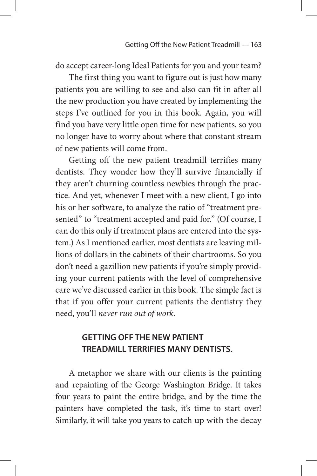do accept career-long Ideal Patients for you and your team?

The first thing you want to figure out is just how many patients you are willing to see and also can fit in after all the new production you have created by implementing the steps I've outlined for you in this book. Again, you will find you have very little open time for new patients, so you no longer have to worry about where that constant stream of new patients will come from.

Getting off the new patient treadmill terrifies many dentists. They wonder how they'll survive financially if they aren't churning countless newbies through the practice. And yet, whenever I meet with a new client, I go into his or her software, to analyze the ratio of "treatment presented" to "treatment accepted and paid for." (Of course, I can do this only if treatment plans are entered into the system.) As I mentioned earlier, most dentists are leaving millions of dollars in the cabinets of their chartrooms. So you don't need a gazillion new patients if you're simply providing your current patients with the level of comprehensive care we've discussed earlier in this book. The simple fact is that if you offer your current patients the dentistry they need, you'll *never run out of work.*

## **GETTING OFF THE NEW PATIENT TREADMILL TERRIFIES MANY DENTISTS.**

A metaphor we share with our clients is the painting and repainting of the George Washington Bridge. It takes four years to paint the entire bridge, and by the time the painters have completed the task, it's time to start over! Similarly, it will take you years to catch up with the decay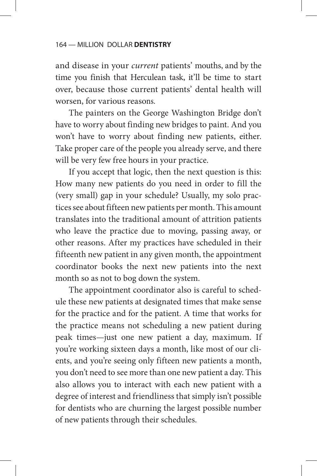and disease in your *current* patients' mouths, and by the time you finish that Herculean task, it'll be time to start over, because those current patients' dental health will worsen, for various reasons.

The painters on the George Washington Bridge don't have to worry about finding new bridges to paint. And you won't have to worry about finding new patients, either. Take proper care of the people you already serve, and there will be very few free hours in your practice.

If you accept that logic, then the next question is this: How many new patients do you need in order to fill the (very small) gap in your schedule? Usually, my solo practices see about fifteen new patients per month. This amount translates into the traditional amount of attrition patients who leave the practice due to moving, passing away, or other reasons. After my practices have scheduled in their fifteenth new patient in any given month, the appointment coordinator books the next new patients into the next month so as not to bog down the system.

The appointment coordinator also is careful to schedule these new patients at designated times that make sense for the practice and for the patient. A time that works for the practice means not scheduling a new patient during peak times—just one new patient a day, maximum. If you're working sixteen days a month, like most of our clients, and you're seeing only fifteen new patients a month, you don't need to see more than one new patient a day. This also allows you to interact with each new patient with a degree of interest and friendliness that simply isn't possible for dentists who are churning the largest possible number of new patients through their schedules.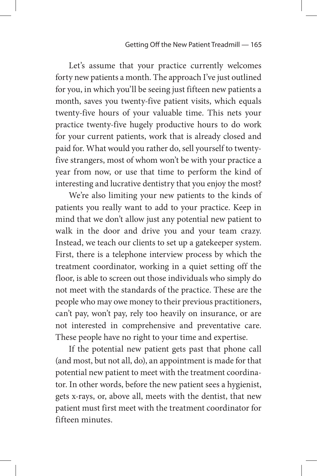Let's assume that your practice currently welcomes forty new patients a month. The approach I've just outlined for you, in which you'll be seeing just fifteen new patients a month, saves you twenty-five patient visits, which equals twenty-five hours of your valuable time. This nets your practice twenty-five hugely productive hours to do work for your current patients, work that is already closed and paid for. What would you rather do, sell yourself to twentyfive strangers, most of whom won't be with your practice a year from now, or use that time to perform the kind of interesting and lucrative dentistry that you enjoy the most?

We're also limiting your new patients to the kinds of patients you really want to add to your practice. Keep in mind that we don't allow just any potential new patient to walk in the door and drive you and your team crazy. Instead, we teach our clients to set up a gatekeeper system. First, there is a telephone interview process by which the treatment coordinator, working in a quiet setting off the floor, is able to screen out those individuals who simply do not meet with the standards of the practice. These are the people who may owe money to their previous practitioners, can't pay, won't pay, rely too heavily on insurance, or are not interested in comprehensive and preventative care. These people have no right to your time and expertise.

If the potential new patient gets past that phone call (and most, but not all, do), an appointment is made for that potential new patient to meet with the treatment coordinator. In other words, before the new patient sees a hygienist, gets x-rays, or, above all, meets with the dentist, that new patient must first meet with the treatment coordinator for fifteen minutes.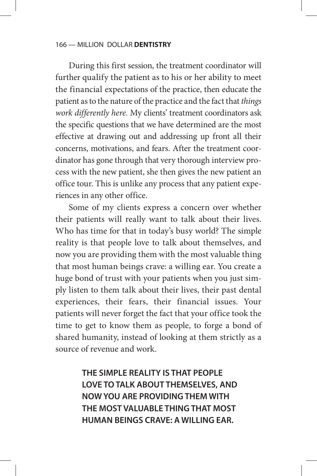During this first session, the treatment coordinator will further qualify the patient as to his or her ability to meet the financial expectations of the practice, then educate the patient as to the nature of the practice and the fact that *things work differently here.* My clients' treatment coordinators ask the specific questions that we have determined are the most effective at drawing out and addressing up front all their concerns, motivations, and fears. After the treatment coordinator has gone through that very thorough interview process with the new patient, she then gives the new patient an office tour. This is unlike any process that any patient experiences in any other office.

Some of my clients express a concern over whether their patients will really want to talk about their lives. Who has time for that in today's busy world? The simple reality is that people love to talk about themselves, and now you are providing them with the most valuable thing that most human beings crave: a willing ear. You create a huge bond of trust with your patients when you just simply listen to them talk about their lives, their past dental experiences, their fears, their financial issues. Your patients will never forget the fact that your office took the time to get to know them as people, to forge a bond of shared humanity, instead of looking at them strictly as a source of revenue and work.

> **THE SIMPLE REALITY IS THAT PEOPLE LOVE TO TALK ABOUT THEMSELVES, AND NOW YOU ARE PROVIDING THEM WITH THE MOST VALUABLE THING THAT MOST HUMAN BEINGS CRAVE: A WILLING EAR.**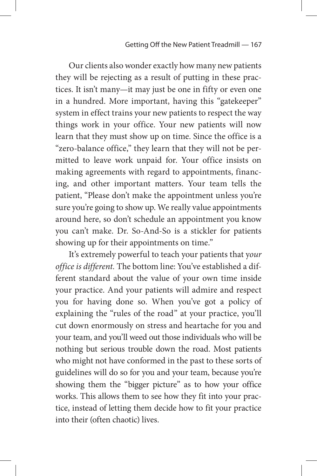Our clients also wonder exactly how many new patients they will be rejecting as a result of putting in these practices. It isn't many—it may just be one in fifty or even one in a hundred. More important, having this "gatekeeper" system in effect trains your new patients to respect the way things work in your office. Your new patients will now learn that they must show up on time. Since the office is a "zero-balance office," they learn that they will not be permitted to leave work unpaid for. Your office insists on making agreements with regard to appointments, financing, and other important matters. Your team tells the patient, "Please don't make the appointment unless you're sure you're going to show up. We really value appointments around here, so don't schedule an appointment you know you can't make. Dr. So-And-So is a stickler for patients showing up for their appointments on time."

It's extremely powerful to teach your patients that y*our office is different.* The bottom line: You've established a different standard about the value of your own time inside your practice. And your patients will admire and respect you for having done so. When you've got a policy of explaining the "rules of the road" at your practice, you'll cut down enormously on stress and heartache for you and your team, and you'll weed out those individuals who will be nothing but serious trouble down the road. Most patients who might not have conformed in the past to these sorts of guidelines will do so for you and your team, because you're showing them the "bigger picture" as to how your office works. This allows them to see how they fit into your practice, instead of letting them decide how to fit your practice into their (often chaotic) lives.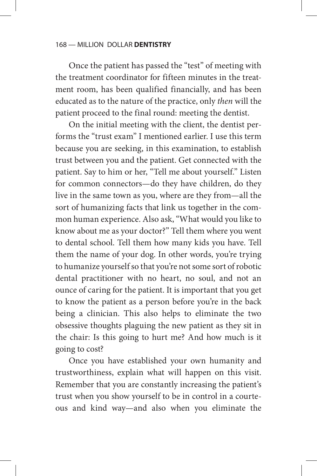Once the patient has passed the "test" of meeting with the treatment coordinator for fifteen minutes in the treatment room, has been qualified financially, and has been educated as to the nature of the practice, only *then* will the patient proceed to the final round: meeting the dentist.

On the initial meeting with the client, the dentist performs the "trust exam" I mentioned earlier. I use this term because you are seeking, in this examination, to establish trust between you and the patient. Get connected with the patient. Say to him or her, "Tell me about yourself." Listen for common connectors—do they have children, do they live in the same town as you, where are they from—all the sort of humanizing facts that link us together in the common human experience. Also ask, "What would you like to know about me as your doctor?" Tell them where you went to dental school. Tell them how many kids you have. Tell them the name of your dog. In other words, you're trying to humanize yourself so that you're not some sort of robotic dental practitioner with no heart, no soul, and not an ounce of caring for the patient. It is important that you get to know the patient as a person before you're in the back being a clinician. This also helps to eliminate the two obsessive thoughts plaguing the new patient as they sit in the chair: Is this going to hurt me? And how much is it going to cost?

Once you have established your own humanity and trustworthiness, explain what will happen on this visit. Remember that you are constantly increasing the patient's trust when you show yourself to be in control in a courteous and kind way—and also when you eliminate the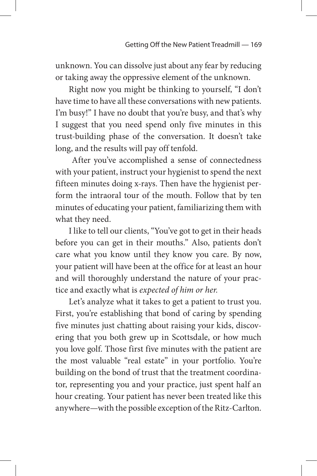unknown. You can dissolve just about any fear by reducing or taking away the oppressive element of the unknown.

Right now you might be thinking to yourself, "I don't have time to have all these conversations with new patients. I'm busy!" I have no doubt that you're busy, and that's why I suggest that you need spend only five minutes in this trust-building phase of the conversation. It doesn't take long, and the results will pay off tenfold.

 After you've accomplished a sense of connectedness with your patient, instruct your hygienist to spend the next fifteen minutes doing x-rays. Then have the hygienist perform the intraoral tour of the mouth. Follow that by ten minutes of educating your patient, familiarizing them with what they need.

I like to tell our clients, "You've got to get in their heads before you can get in their mouths." Also, patients don't care what you know until they know you care. By now, your patient will have been at the office for at least an hour and will thoroughly understand the nature of your practice and exactly what is *expected of him or her.*

Let's analyze what it takes to get a patient to trust you. First, you're establishing that bond of caring by spending five minutes just chatting about raising your kids, discovering that you both grew up in Scottsdale, or how much you love golf. Those first five minutes with the patient are the most valuable "real estate" in your portfolio. You're building on the bond of trust that the treatment coordinator, representing you and your practice, just spent half an hour creating. Your patient has never been treated like this anywhere—with the possible exception of the Ritz-Carlton.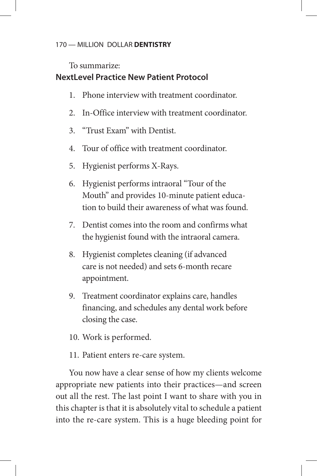To summarize:

## **NextLevel Practice New Patient Protocol**

- 1. Phone interview with treatment coordinator.
- 2. In-Office interview with treatment coordinator.
- 3. "Trust Exam" with Dentist.
- 4. Tour of office with treatment coordinator.
- 5. Hygienist performs X-Rays.
- 6. Hygienist performs intraoral "Tour of the Mouth" and provides 10-minute patient education to build their awareness of what was found.
- 7. Dentist comes into the room and confirms what the hygienist found with the intraoral camera.
- 8. Hygienist completes cleaning (if advanced care is not needed) and sets 6-month recare appointment.
- 9. Treatment coordinator explains care, handles financing, and schedules any dental work before closing the case.
- 10. Work is performed.
- 11. Patient enters re-care system.

You now have a clear sense of how my clients welcome appropriate new patients into their practices—and screen out all the rest. The last point I want to share with you in this chapter is that it is absolutely vital to schedule a patient into the re-care system. This is a huge bleeding point for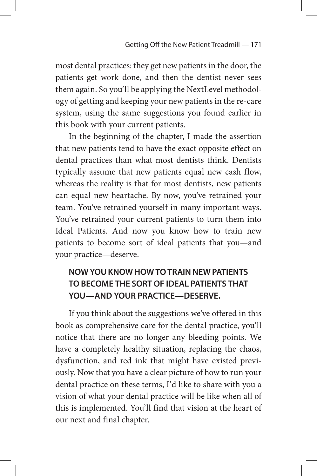most dental practices: they get new patients in the door, the patients get work done, and then the dentist never sees them again. So you'll be applying the NextLevel methodology of getting and keeping your new patients in the re-care system, using the same suggestions you found earlier in this book with your current patients.

In the beginning of the chapter, I made the assertion that new patients tend to have the exact opposite effect on dental practices than what most dentists think. Dentists typically assume that new patients equal new cash flow, whereas the reality is that for most dentists, new patients can equal new heartache. By now, you've retrained your team. You've retrained yourself in many important ways. You've retrained your current patients to turn them into Ideal Patients. And now you know how to train new patients to become sort of ideal patients that you—and your practice—deserve.

## **NOW YOU KNOW HOW TO TRAIN NEW PATIENTS TO BECOME THE SORT OF IDEAL PATIENTS THAT YOU—AND YOUR PRACTICE—DESERVE.**

If you think about the suggestions we've offered in this book as comprehensive care for the dental practice, you'll notice that there are no longer any bleeding points. We have a completely healthy situation, replacing the chaos, dysfunction, and red ink that might have existed previously. Now that you have a clear picture of how to run your dental practice on these terms, I'd like to share with you a vision of what your dental practice will be like when all of this is implemented. You'll find that vision at the heart of our next and final chapter.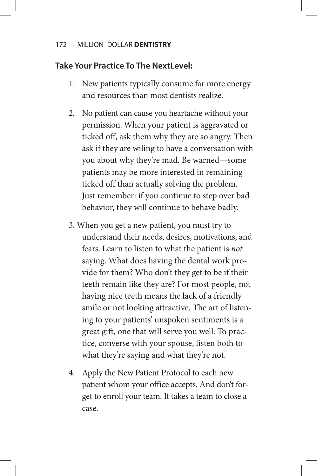### 172 — MILLION DOLLAR **DENTISTRY**

### **Take Your Practice To The NextLevel:**

- 1. New patients typically consume far more energy and resources than most dentists realize.
- 2. No patient can cause you heartache without your permission. When your patient is aggravated or ticked off, ask them why they are so angry. Then ask if they are wiling to have a conversation with you about why they're mad. Be warned—some patients may be more interested in remaining ticked off than actually solving the problem. Just remember: if you continue to step over bad behavior, they will continue to behave badly.
- 3. When you get a new patient, you must try to understand their needs, desires, motivations, and fears. Learn to listen to what the patient is *not* saying. What does having the dental work provide for them? Who don't they get to be if their teeth remain like they are? For most people, not having nice teeth means the lack of a friendly smile or not looking attractive. The art of listening to your patients' unspoken sentiments is a great gift, one that will serve you well. To practice, converse with your spouse, listen both to what they're saying and what they're not.
- 4. Apply the New Patient Protocol to each new patient whom your office accepts. And don't forget to enroll your team. It takes a team to close a case.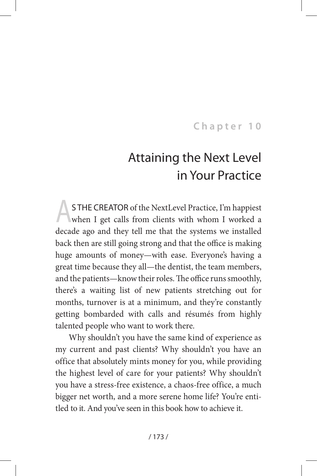## **Chapter 10**

# Attaining the Next Level in Your Practice

STHE CREATOR of the NextLevel Practice, I'm happiest when I get calls from clients with whom I worked a decade ago and they tell me that the systems we installed back then are still going strong and that the office is making huge amounts of money—with ease. Everyone's having a great time because they all—the dentist, the team members, and the patients—know their roles. The office runs smoothly, there's a waiting list of new patients stretching out for months, turnover is at a minimum, and they're constantly getting bombarded with calls and résumés from highly talented people who want to work there.

Why shouldn't you have the same kind of experience as my current and past clients? Why shouldn't you have an office that absolutely mints money for you, while providing the highest level of care for your patients? Why shouldn't you have a stress-free existence, a chaos-free office, a much bigger net worth, and a more serene home life? You're entitled to it. And you've seen in this book how to achieve it.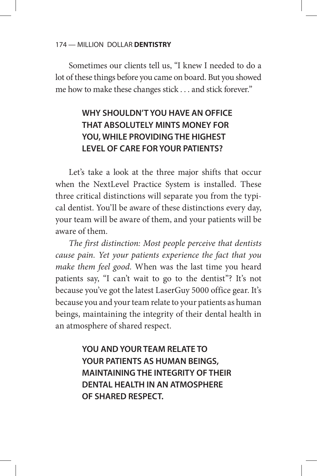Sometimes our clients tell us, "I knew I needed to do a lot of these things before you came on board. But you showed me how to make these changes stick . . . and stick forever."

## **WHY SHOULDN'T YOU HAVE AN OFFICE THAT ABSOLUTELY MINTS MONEY FOR YOU, WHILE PROVIDING THE HIGHEST LEVEL OF CARE FOR YOUR PATIENTS?**

Let's take a look at the three major shifts that occur when the NextLevel Practice System is installed. These three critical distinctions will separate you from the typical dentist. You'll be aware of these distinctions every day, your team will be aware of them, and your patients will be aware of them.

*The first distinction: Most people perceive that dentists cause pain. Yet your patients experience the fact that you make them feel good.* When was the last time you heard patients say, "I can't wait to go to the dentist"? It's not because you've got the latest LaserGuy 5000 office gear. It's because you and your team relate to your patients as human beings, maintaining the integrity of their dental health in an atmosphere of shared respect.

> **YOU AND YOUR TEAM RELATE TO YOUR PATIENTS AS HUMAN BEINGS, MAINTAINING THE INTEGRITY OF THEIR DENTAL HEALTH IN AN ATMOSPHERE OF SHARED RESPECT.**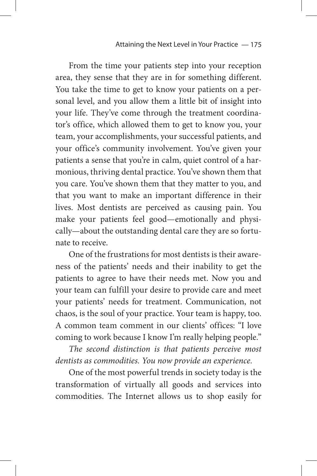From the time your patients step into your reception area, they sense that they are in for something different. You take the time to get to know your patients on a personal level, and you allow them a little bit of insight into your life. They've come through the treatment coordinator's office, which allowed them to get to know you, your team, your accomplishments, your successful patients, and your office's community involvement. You've given your patients a sense that you're in calm, quiet control of a harmonious, thriving dental practice. You've shown them that you care. You've shown them that they matter to you, and that you want to make an important difference in their lives. Most dentists are perceived as causing pain. You make your patients feel good—emotionally and physically—about the outstanding dental care they are so fortunate to receive.

One of the frustrations for most dentists is their awareness of the patients' needs and their inability to get the patients to agree to have their needs met. Now you and your team can fulfill your desire to provide care and meet your patients' needs for treatment. Communication, not chaos, is the soul of your practice. Your team is happy, too. A common team comment in our clients' offices: "I love coming to work because I know I'm really helping people."

*The second distinction is that patients perceive most dentists as commodities. You now provide an experience.* 

One of the most powerful trends in society today is the transformation of virtually all goods and services into commodities. The Internet allows us to shop easily for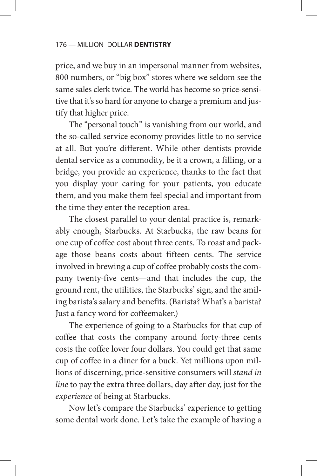price, and we buy in an impersonal manner from websites, 800 numbers, or "big box" stores where we seldom see the same sales clerk twice. The world has become so price-sensitive that it's so hard for anyone to charge a premium and justify that higher price.

The "personal touch" is vanishing from our world, and the so-called service economy provides little to no service at all. But you're different. While other dentists provide dental service as a commodity, be it a crown, a filling, or a bridge, you provide an experience, thanks to the fact that you display your caring for your patients, you educate them, and you make them feel special and important from the time they enter the reception area.

The closest parallel to your dental practice is, remarkably enough, Starbucks. At Starbucks, the raw beans for one cup of coffee cost about three cents. To roast and package those beans costs about fifteen cents. The service involved in brewing a cup of coffee probably costs the company twenty-five cents—and that includes the cup, the ground rent, the utilities, the Starbucks' sign, and the smiling barista's salary and benefits. (Barista? What's a barista? Just a fancy word for coffeemaker.)

The experience of going to a Starbucks for that cup of coffee that costs the company around forty-three cents costs the coffee lover four dollars. You could get that same cup of coffee in a diner for a buck. Yet millions upon millions of discerning, price-sensitive consumers will *stand in line* to pay the extra three dollars, day after day, just for the *experience* of being at Starbucks.

Now let's compare the Starbucks' experience to getting some dental work done. Let's take the example of having a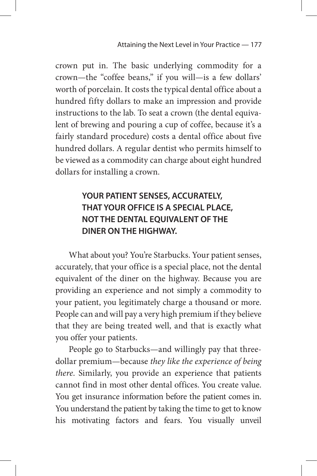crown put in. The basic underlying commodity for a crown—the "coffee beans," if you will—is a few dollars' worth of porcelain. It costs the typical dental office about a hundred fifty dollars to make an impression and provide instructions to the lab. To seat a crown (the dental equivalent of brewing and pouring a cup of coffee, because it's a fairly standard procedure) costs a dental office about five hundred dollars. A regular dentist who permits himself to be viewed as a commodity can charge about eight hundred dollars for installing a crown.

## **YOUR PATIENT SENSES, ACCURATELY, THAT YOUR OFFICE IS A SPECIAL PLACE, NOT THE DENTAL EQUIVALENT OF THE DINER ON THE HIGHWAY.**

What about you? You're Starbucks. Your patient senses, accurately, that your office is a special place, not the dental equivalent of the diner on the highway. Because you are providing an experience and not simply a commodity to your patient, you legitimately charge a thousand or more. People can and will pay a very high premium if they believe that they are being treated well, and that is exactly what you offer your patients.

People go to Starbucks—and willingly pay that threedollar premium—because *they like the experience of being there*. Similarly, you provide an experience that patients cannot find in most other dental offices. You create value. You get insurance information before the patient comes in. You understand the patient by taking the time to get to know his motivating factors and fears. You visually unveil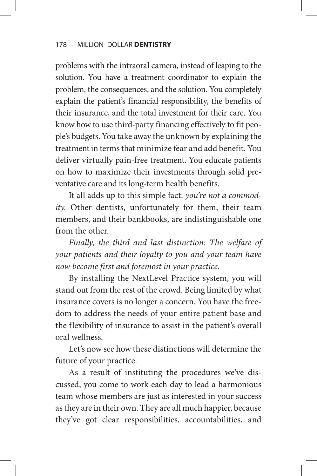#### 178 — MILLION DOLLAR **DENTISTRY**

problems with the intraoral camera, instead of leaping to the solution. You have a treatment coordinator to explain the problem, the consequences, and the solution. You completely explain the patient's financial responsibility, the benefits of their insurance, and the total investment for their care. You know how to use third-party financing effectively to fit people's budgets. You take away the unknown by explaining the treatment in terms that minimize fear and add benefit. You deliver virtually pain-free treatment. You educate patients on how to maximize their investments through solid preventative care and its long-term health benefits.

It all adds up to this simple fact: *you're not a commodity.* Other dentists, unfortunately for them, their team members, and their bankbooks, are indistinguishable one from the other.

*Finally, the third and last distinction: The welfare of your patients and their loyalty to you and your team have now become first and foremost in your practice.*

By installing the NextLevel Practice system, you will stand out from the rest of the crowd. Being limited by what insurance covers is no longer a concern. You have the freedom to address the needs of your entire patient base and the flexibility of insurance to assist in the patient's overall oral wellness.

Let's now see how these distinctions will determine the future of your practice.

As a result of instituting the procedures we've discussed, you come to work each day to lead a harmonious team whose members are just as interested in your success as they are in their own. They are all much happier, because they've got clear responsibilities, accountabilities, and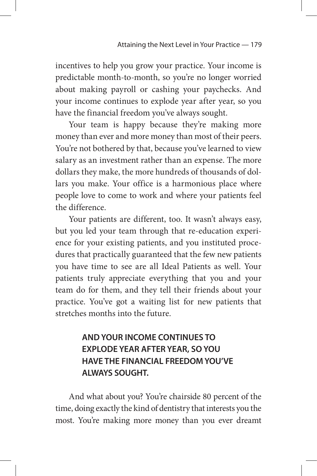incentives to help you grow your practice. Your income is predictable month-to-month, so you're no longer worried about making payroll or cashing your paychecks. And your income continues to explode year after year, so you have the financial freedom you've always sought.

Your team is happy because they're making more money than ever and more money than most of their peers. You're not bothered by that, because you've learned to view salary as an investment rather than an expense. The more dollars they make, the more hundreds of thousands of dollars you make. Your office is a harmonious place where people love to come to work and where your patients feel the difference.

Your patients are different, too. It wasn't always easy, but you led your team through that re-education experience for your existing patients, and you instituted procedures that practically guaranteed that the few new patients you have time to see are all Ideal Patients as well. Your patients truly appreciate everything that you and your team do for them, and they tell their friends about your practice. You've got a waiting list for new patients that stretches months into the future.

## **AND YOUR INCOME CONTINUES TO EXPLODE YEAR AFTER YEAR, SO YOU HAVE THE FINANCIAL FREEDOM YOU'VE ALWAYS SOUGHT.**

And what about you? You're chairside 80 percent of the time, doing exactly the kind of dentistry that interests you the most. You're making more money than you ever dreamt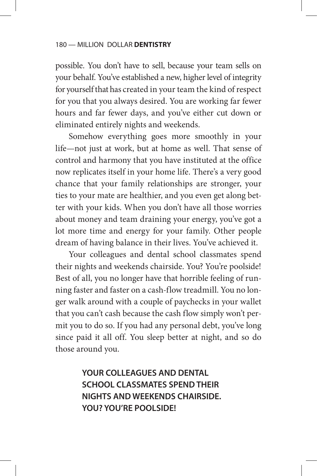possible. You don't have to sell, because your team sells on your behalf. You've established a new, higher level of integrity for yourself that has created in your team the kind of respect for you that you always desired. You are working far fewer hours and far fewer days, and you've either cut down or eliminated entirely nights and weekends.

Somehow everything goes more smoothly in your life—not just at work, but at home as well. That sense of control and harmony that you have instituted at the office now replicates itself in your home life. There's a very good chance that your family relationships are stronger, your ties to your mate are healthier, and you even get along better with your kids. When you don't have all those worries about money and team draining your energy, you've got a lot more time and energy for your family. Other people dream of having balance in their lives. You've achieved it.

Your colleagues and dental school classmates spend their nights and weekends chairside. You? You're poolside! Best of all, you no longer have that horrible feeling of running faster and faster on a cash-flow treadmill. You no longer walk around with a couple of paychecks in your wallet that you can't cash because the cash flow simply won't permit you to do so. If you had any personal debt, you've long since paid it all off. You sleep better at night, and so do those around you.

> **YOUR COLLEAGUES AND DENTAL SCHOOL CLASSMATES SPEND THEIR NIGHTS AND WEEKENDS CHAIRSIDE. YOU? YOU'RE POOLSIDE!**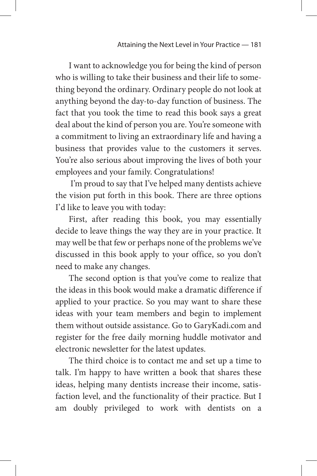I want to acknowledge you for being the kind of person who is willing to take their business and their life to something beyond the ordinary. Ordinary people do not look at anything beyond the day-to-day function of business. The fact that you took the time to read this book says a great deal about the kind of person you are. You're someone with a commitment to living an extraordinary life and having a business that provides value to the customers it serves. You're also serious about improving the lives of both your employees and your family. Congratulations!

 I'm proud to say that I've helped many dentists achieve the vision put forth in this book. There are three options I'd like to leave you with today:

First, after reading this book, you may essentially decide to leave things the way they are in your practice. It may well be that few or perhaps none of the problems we've discussed in this book apply to your office, so you don't need to make any changes.

The second option is that you've come to realize that the ideas in this book would make a dramatic difference if applied to your practice. So you may want to share these ideas with your team members and begin to implement them without outside assistance. Go to GaryKadi.com and register for the free daily morning huddle motivator and electronic newsletter for the latest updates.

The third choice is to contact me and set up a time to talk. I'm happy to have written a book that shares these ideas, helping many dentists increase their income, satisfaction level, and the functionality of their practice. But I am doubly privileged to work with dentists on a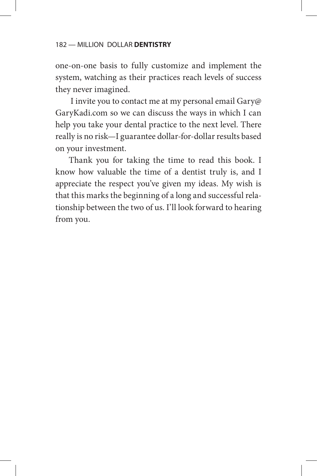one-on-one basis to fully customize and implement the system, watching as their practices reach levels of success they never imagined.

 I invite you to contact me at my personal email Gary@ GaryKadi.com so we can discuss the ways in which I can help you take your dental practice to the next level. There really is no risk—I guarantee dollar-for-dollar results based on your investment.

Thank you for taking the time to read this book. I know how valuable the time of a dentist truly is, and I appreciate the respect you've given my ideas. My wish is that this marks the beginning of a long and successful relationship between the two of us. I'll look forward to hearing from you.